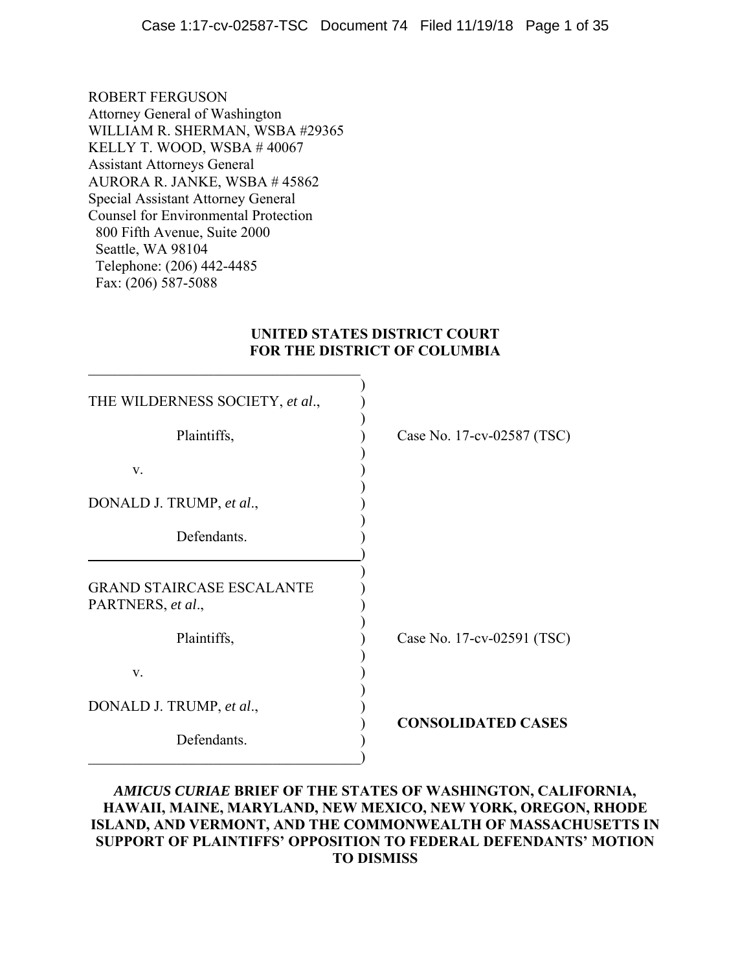ROBERT FERGUSON Attorney General of Washington WILLIAM R. SHERMAN, WSBA #29365 KELLY T. WOOD, WSBA # 40067 Assistant Attorneys General AURORA R. JANKE, WSBA # 45862 Special Assistant Attorney General Counsel for Environmental Protection 800 Fifth Avenue, Suite 2000 Seattle, WA 98104 Telephone: (206) 442-4485 Fax: (206) 587-5088

## **UNITED STATES DISTRICT COURT FOR THE DISTRICT OF COLUMBIA**

| THE WILDERNESS SOCIETY, et al.,                       |                            |
|-------------------------------------------------------|----------------------------|
| Plaintiffs,                                           | Case No. 17-cv-02587 (TSC) |
| V.                                                    |                            |
| DONALD J. TRUMP, et al.,                              |                            |
| Defendants.                                           |                            |
| <b>GRAND STAIRCASE ESCALANTE</b><br>PARTNERS, et al., |                            |
| Plaintiffs,                                           | Case No. 17-cv-02591 (TSC) |
| V.                                                    |                            |
| DONALD J. TRUMP, et al.,                              | <b>CONSOLIDATED CASES</b>  |
| Defendants.                                           |                            |

## *AMICUS CURIAE* **BRIEF OF THE STATES OF WASHINGTON, CALIFORNIA, HAWAII, MAINE, MARYLAND, NEW MEXICO, NEW YORK, OREGON, RHODE ISLAND, AND VERMONT, AND THE COMMONWEALTH OF MASSACHUSETTS IN SUPPORT OF PLAINTIFFS' OPPOSITION TO FEDERAL DEFENDANTS' MOTION TO DISMISS**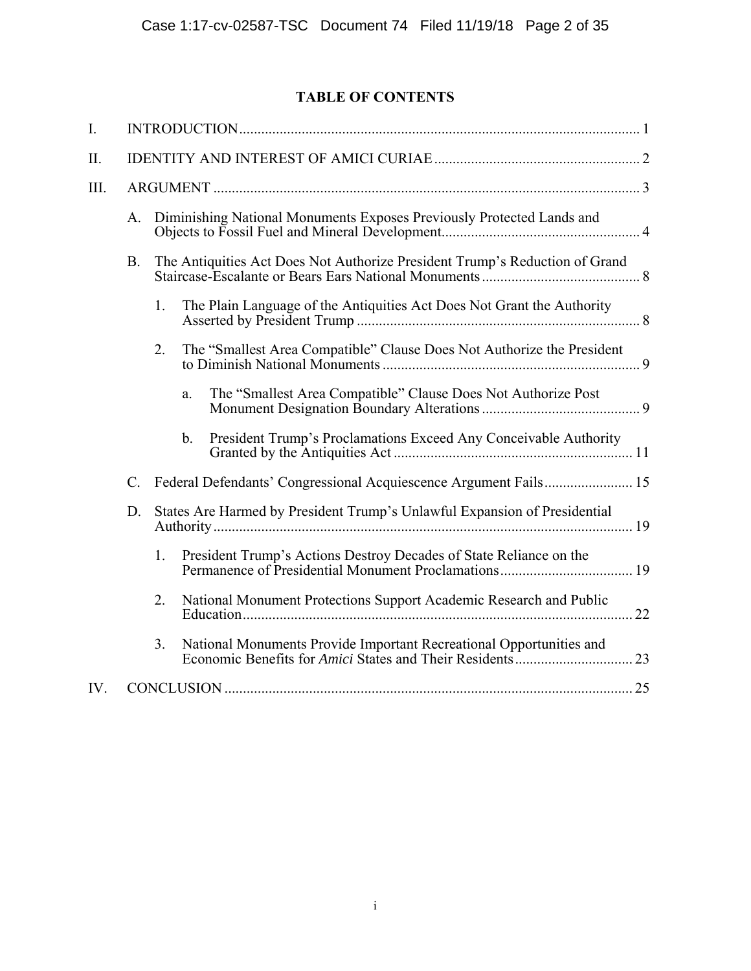## **TABLE OF CONTENTS**

<span id="page-1-0"></span>

| I.   |                 |    |                                                                             |  |
|------|-----------------|----|-----------------------------------------------------------------------------|--|
| Π.   |                 |    |                                                                             |  |
| III. |                 |    |                                                                             |  |
|      | A.              |    | Diminishing National Monuments Exposes Previously Protected Lands and       |  |
|      | <b>B.</b>       |    | The Antiquities Act Does Not Authorize President Trump's Reduction of Grand |  |
|      |                 | 1. | The Plain Language of the Antiquities Act Does Not Grant the Authority      |  |
|      |                 | 2. | The "Smallest Area Compatible" Clause Does Not Authorize the President      |  |
|      |                 |    | The "Smallest Area Compatible" Clause Does Not Authorize Post<br>a.         |  |
|      |                 |    | President Trump's Proclamations Exceed Any Conceivable Authority<br>b.      |  |
|      | $\mathcal{C}$ . |    |                                                                             |  |
|      | D.              |    | States Are Harmed by President Trump's Unlawful Expansion of Presidential   |  |
|      |                 | 1. | President Trump's Actions Destroy Decades of State Reliance on the          |  |
|      |                 | 2. | National Monument Protections Support Academic Research and Public          |  |
|      |                 | 3. | National Monuments Provide Important Recreational Opportunities and         |  |
| IV.  |                 |    |                                                                             |  |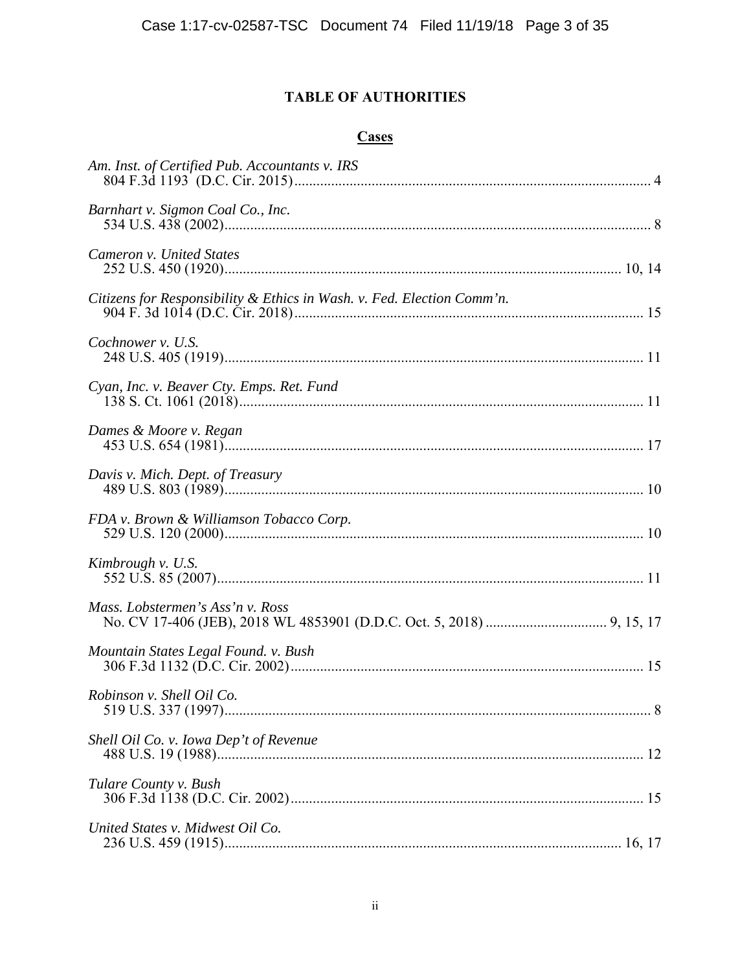## **TABLE OF AUTHORITIES**

## **Cases**

<span id="page-2-0"></span>

| Am. Inst. of Certified Pub. Accountants v. IRS                         |  |
|------------------------------------------------------------------------|--|
| Barnhart v. Sigmon Coal Co., Inc.                                      |  |
| Cameron v. United States                                               |  |
| Citizens for Responsibility & Ethics in Wash. v. Fed. Election Comm'n. |  |
| Cochnower v. U.S.                                                      |  |
| Cyan, Inc. v. Beaver Cty. Emps. Ret. Fund                              |  |
| Dames & Moore v. Regan                                                 |  |
| Davis v. Mich. Dept. of Treasury                                       |  |
| FDA v. Brown & Williamson Tobacco Corp.                                |  |
| Kimbrough v. U.S.                                                      |  |
| Mass. Lobstermen's Ass'n v. Ross                                       |  |
| Mountain States Legal Found. v. Bush                                   |  |
| Robinson v. Shell Oil Co.                                              |  |
| Shell Oil Co. v. Iowa Dep't of Revenue                                 |  |
| Tulare County v. Bush                                                  |  |
| United States v. Midwest Oil Co.                                       |  |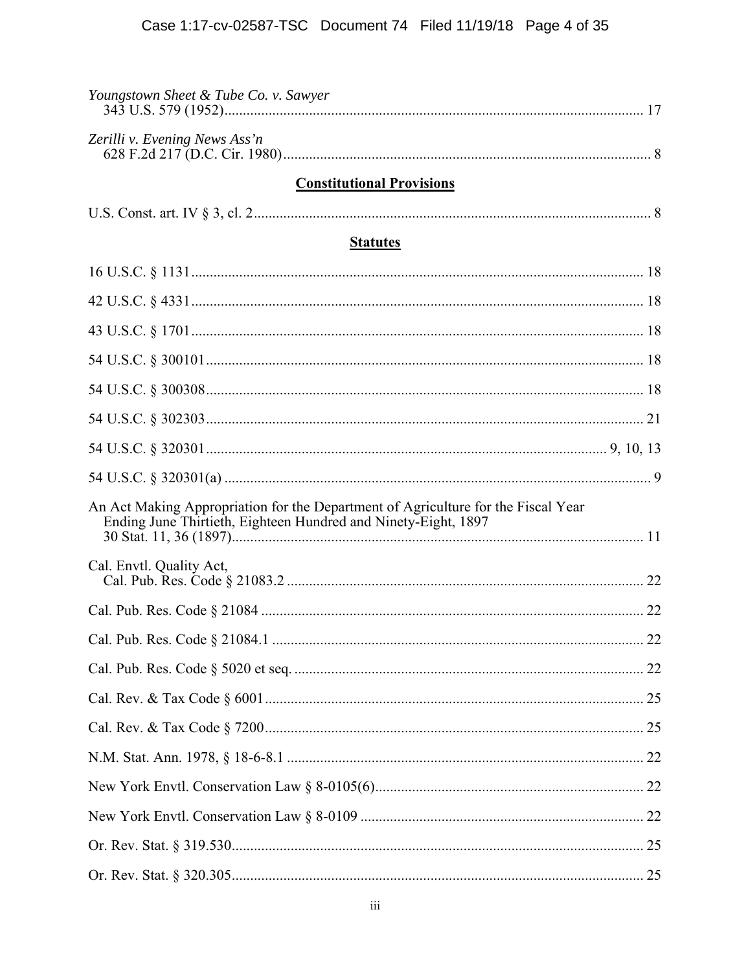<span id="page-3-0"></span>

| Youngstown Sheet & Tube Co. v. Sawyer                                                                                                               |
|-----------------------------------------------------------------------------------------------------------------------------------------------------|
| Zerilli v. Evening News Ass'n                                                                                                                       |
| <b>Constitutional Provisions</b>                                                                                                                    |
|                                                                                                                                                     |
| <b>Statutes</b>                                                                                                                                     |
|                                                                                                                                                     |
|                                                                                                                                                     |
|                                                                                                                                                     |
|                                                                                                                                                     |
|                                                                                                                                                     |
|                                                                                                                                                     |
|                                                                                                                                                     |
|                                                                                                                                                     |
| An Act Making Appropriation for the Department of Agriculture for the Fiscal Year<br>Ending June Thirtieth, Eighteen Hundred and Ninety-Eight, 1897 |
| Cal. Envtl. Quality Act,                                                                                                                            |
|                                                                                                                                                     |
|                                                                                                                                                     |
|                                                                                                                                                     |
|                                                                                                                                                     |
|                                                                                                                                                     |
|                                                                                                                                                     |
|                                                                                                                                                     |
|                                                                                                                                                     |
|                                                                                                                                                     |
|                                                                                                                                                     |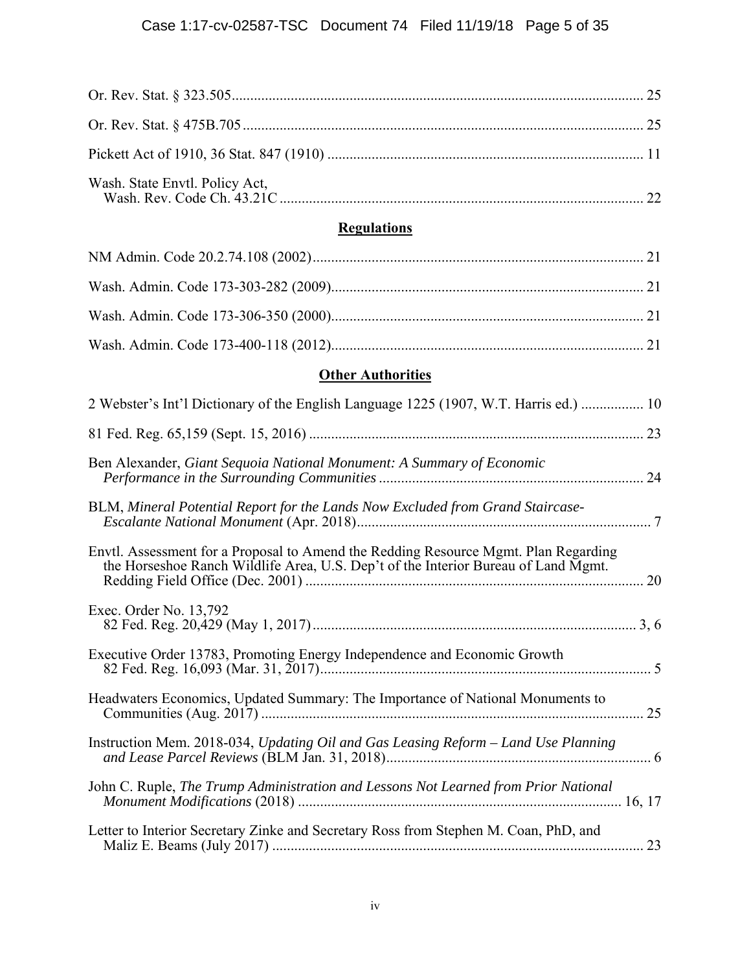<span id="page-4-0"></span>

# **Regulations**

# **Other Authorities**

| 2 Webster's Int'l Dictionary of the English Language 1225 (1907, W.T. Harris ed.)  10                                                                                     |
|---------------------------------------------------------------------------------------------------------------------------------------------------------------------------|
|                                                                                                                                                                           |
| Ben Alexander, Giant Sequoia National Monument: A Summary of Economic                                                                                                     |
| BLM, Mineral Potential Report for the Lands Now Excluded from Grand Staircase-                                                                                            |
| Envtl. Assessment for a Proposal to Amend the Redding Resource Mgmt. Plan Regarding<br>the Horseshoe Ranch Wildlife Area, U.S. Dep't of the Interior Bureau of Land Mgmt. |
| Exec. Order No. 13,792                                                                                                                                                    |
| Executive Order 13783, Promoting Energy Independence and Economic Growth                                                                                                  |
| Headwaters Economics, Updated Summary: The Importance of National Monuments to                                                                                            |
| Instruction Mem. 2018-034, Updating Oil and Gas Leasing Reform - Land Use Planning                                                                                        |
| John C. Ruple, The Trump Administration and Lessons Not Learned from Prior National                                                                                       |
| Letter to Interior Secretary Zinke and Secretary Ross from Stephen M. Coan, PhD, and                                                                                      |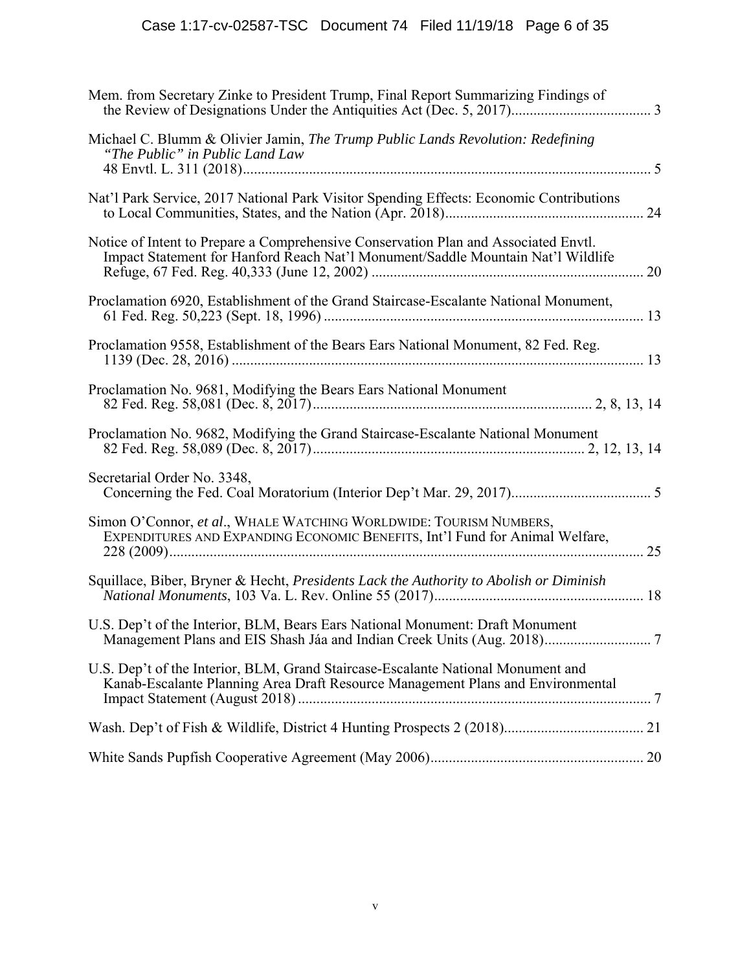<span id="page-5-0"></span>

| Mem. from Secretary Zinke to President Trump, Final Report Summarizing Findings of                                                                                      |
|-------------------------------------------------------------------------------------------------------------------------------------------------------------------------|
| Michael C. Blumm & Olivier Jamin, The Trump Public Lands Revolution: Redefining<br>"The Public" in Public Land Law                                                      |
| Nat'l Park Service, 2017 National Park Visitor Spending Effects: Economic Contributions                                                                                 |
| Notice of Intent to Prepare a Comprehensive Conservation Plan and Associated Envtl.<br>Impact Statement for Hanford Reach Nat'l Monument/Saddle Mountain Nat'l Wildlife |
| Proclamation 6920, Establishment of the Grand Staircase-Escalante National Monument,                                                                                    |
| Proclamation 9558, Establishment of the Bears Ears National Monument, 82 Fed. Reg.                                                                                      |
| Proclamation No. 9681, Modifying the Bears Ears National Monument                                                                                                       |
| Proclamation No. 9682, Modifying the Grand Staircase-Escalante National Monument                                                                                        |
| Secretarial Order No. 3348,                                                                                                                                             |
| Simon O'Connor, et al., WHALE WATCHING WORLDWIDE: TOURISM NUMBERS,<br>EXPENDITURES AND EXPANDING ECONOMIC BENEFITS, Int'l Fund for Animal Welfare,                      |
| Squillace, Biber, Bryner & Hecht, Presidents Lack the Authority to Abolish or Diminish                                                                                  |
| U.S. Dep't of the Interior, BLM, Bears Ears National Monument: Draft Monument                                                                                           |
| U.S. Dep't of the Interior, BLM, Grand Staircase-Escalante National Monument and<br>Kanab-Escalante Planning Area Draft Resource Management Plans and Environmental     |
|                                                                                                                                                                         |
|                                                                                                                                                                         |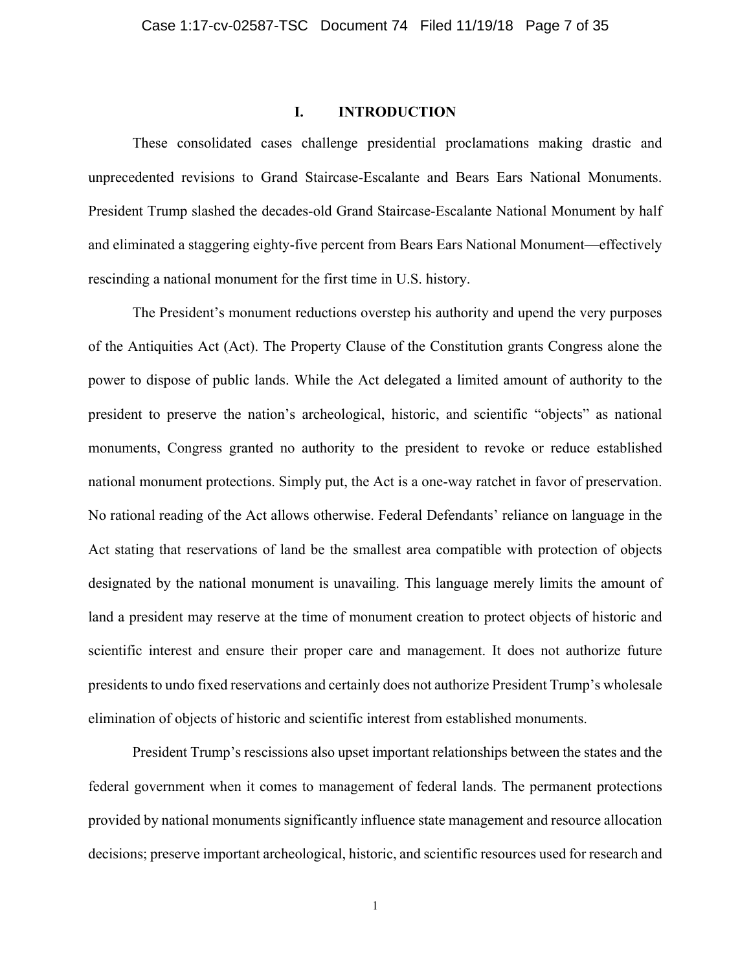### **I. INTRODUCTION**

<span id="page-6-0"></span>These consolidated cases challenge presidential proclamations making drastic and unprecedented revisions to Grand Staircase-Escalante and Bears Ears National Monuments. President Trump slashed the decades-old Grand Staircase-Escalante National Monument by half and eliminated a staggering eighty-five percent from Bears Ears National Monument—effectively rescinding a national monument for the first time in U.S. history.

The President's monument reductions overstep his authority and upend the very purposes of the Antiquities Act (Act). The Property Clause of the Constitution grants Congress alone the power to dispose of public lands. While the Act delegated a limited amount of authority to the president to preserve the nation's archeological, historic, and scientific "objects" as national monuments, Congress granted no authority to the president to revoke or reduce established national monument protections. Simply put, the Act is a one-way ratchet in favor of preservation. No rational reading of the Act allows otherwise. Federal Defendants' reliance on language in the Act stating that reservations of land be the smallest area compatible with protection of objects designated by the national monument is unavailing. This language merely limits the amount of land a president may reserve at the time of monument creation to protect objects of historic and scientific interest and ensure their proper care and management. It does not authorize future presidents to undo fixed reservations and certainly does not authorize President Trump's wholesale elimination of objects of historic and scientific interest from established monuments.

President Trump's rescissions also upset important relationships between the states and the federal government when it comes to management of federal lands. The permanent protections provided by national monuments significantly influence state management and resource allocation decisions; preserve important archeological, historic, and scientific resources used for research and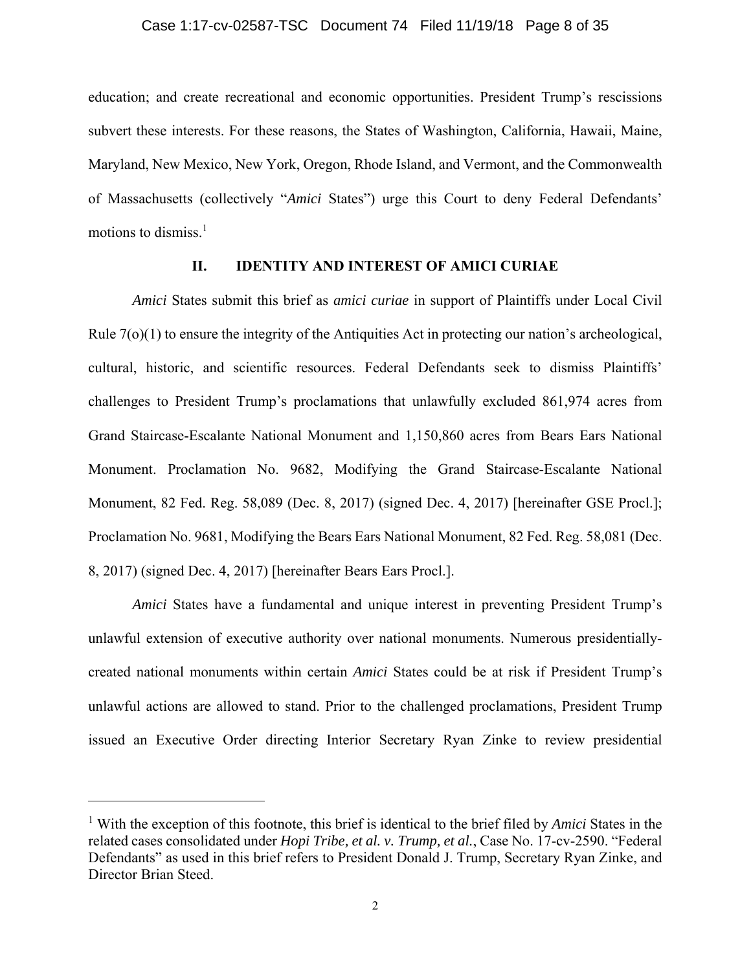<span id="page-7-0"></span>education; and create recreational and economic opportunities. President Trump's rescissions subvert these interests. For these reasons, the States of Washington, California, Hawaii, Maine, Maryland, New Mexico, New York, Oregon, Rhode Island, and Vermont, and the Commonwealth of Massachusetts (collectively "*Amici* States") urge this Court to deny Federal Defendants' motions to dismiss. $<sup>1</sup>$ </sup>

### **II. IDENTITY AND INTEREST OF AMICI CURIAE**

*Amici* States submit this brief as *amici curiae* in support of Plaintiffs under Local Civil Rule 7(o)(1) to ensure the integrity of the Antiquities Act in protecting our nation's archeological, cultural, historic, and scientific resources. Federal Defendants seek to dismiss Plaintiffs' challenges to President Trump's proclamations that unlawfully excluded 861,974 acres from Grand Staircase-Escalante National Monument and 1,150,860 acres from Bears Ears National Monument. Proclamation No. 9682, Modifying the Grand Staircase-Escalante National Monument, 82 Fed. Reg. 58,089 (Dec. 8, 2017) (signed Dec. 4, 2017) [hereinafter GSE Procl.]; Proclamation No. 9681, Modifying the Bears Ears National Monument, 82 Fed. Reg. 58,081 (Dec. 8, 2017) (signed Dec. 4, 2017) [hereinafter Bears Ears Procl.].

*Amici* States have a fundamental and unique interest in preventing President Trump's unlawful extension of executive authority over national monuments. Numerous presidentiallycreated national monuments within certain *Amici* States could be at risk if President Trump's unlawful actions are allowed to stand. Prior to the challenged proclamations, President Trump issued an Executive Order directing Interior Secretary Ryan Zinke to review presidential

<sup>&</sup>lt;sup>1</sup> With the exception of this footnote, this brief is identical to the brief filed by *Amici* States in the related cases consolidated under *Hopi Tribe, et al. v. Trump, et al.*, Case No. 17-cv-2590. "Federal Defendants" as used in this brief refers to President Donald J. Trump, Secretary Ryan Zinke, and Director Brian Steed.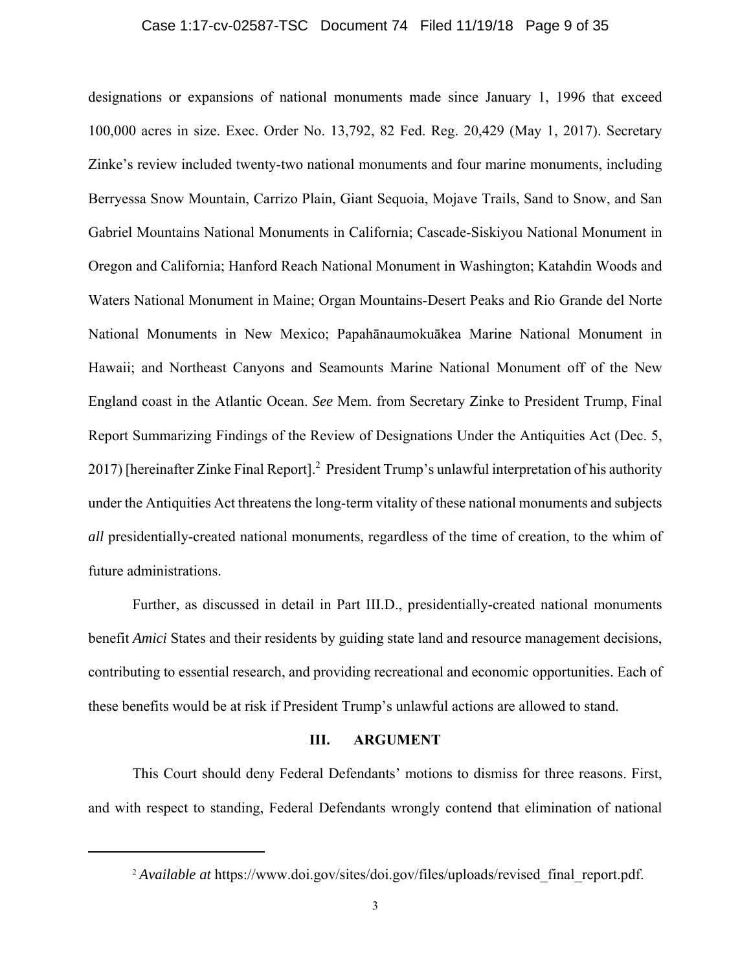### Case 1:17-cv-02587-TSC Document 74 Filed 11/19/18 Page 9 of 35

<span id="page-8-0"></span>designations or expansions of national monuments made since January 1, 1996 that exceed 100,000 acres in size. Exec. Order No. 13,792, 82 Fed. Reg. 20,429 (May 1, 2017). Secretary Zinke's review included twenty-two national monuments and four marine monuments, including Berryessa Snow Mountain, Carrizo Plain, Giant Sequoia, Mojave Trails, Sand to Snow, and San Gabriel Mountains National Monuments in California; Cascade-Siskiyou National Monument in Oregon and California; Hanford Reach National Monument in Washington; Katahdin Woods and Waters National Monument in Maine; Organ Mountains-Desert Peaks and Rio Grande del Norte National Monuments in New Mexico; Papahānaumokuākea Marine National Monument in Hawaii; and Northeast Canyons and Seamounts Marine National Monument off of the New England coast in the Atlantic Ocean. *See* Mem. from Secretary Zinke to President Trump, Final Report Summarizing Findings of the Review of Designations Under the Antiquities Act (Dec. 5, 2017) [hereinafter Zinke Final Report].<sup>2</sup> President Trump's unlawful interpretation of his authority under the Antiquities Act threatens the long-term vitality of these national monuments and subjects *all* presidentially-created national monuments, regardless of the time of creation, to the whim of future administrations.

Further, as discussed in detail in Part III.D., presidentially-created national monuments benefit *Amici* States and their residents by guiding state land and resource management decisions, contributing to essential research, and providing recreational and economic opportunities. Each of these benefits would be at risk if President Trump's unlawful actions are allowed to stand.

#### **III. ARGUMENT**

This Court should deny Federal Defendants' motions to dismiss for three reasons. First, and with respect to standing, Federal Defendants wrongly contend that elimination of national

<sup>&</sup>lt;sup>2</sup> *Available at* https://www.doi.gov/sites/doi.gov/files/uploads/revised final report.pdf.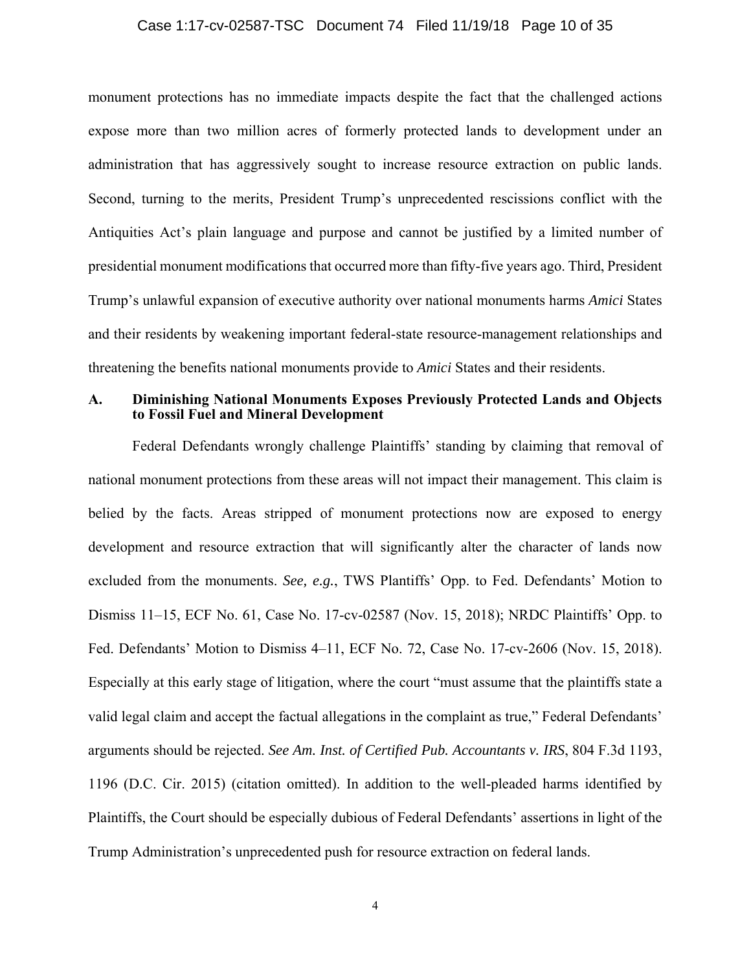### Case 1:17-cv-02587-TSC Document 74 Filed 11/19/18 Page 10 of 35

 Antiquities Act's plain language and purpose and cannot be justified by a limited number of Trump's unlawful expansion of executive authority over national monuments harms *Amici* States monument protections has no immediate impacts despite the fact that the challenged actions expose more than two million acres of formerly protected lands to development under an administration that has aggressively sought to increase resource extraction on public lands. Second, turning to the merits, President Trump's unprecedented rescissions conflict with the presidential monument modifications that occurred more than fifty-five years ago. Third, President and their residents by weakening important federal-state resource-management relationships and threatening the benefits national monuments provide to *Amici* States and their residents.

## **A. Diminishing National Monuments Exposes Previously Protected Lands and Objects to Fossil Fuel and Mineral Development**

 Federal Defendants wrongly challenge Plaintiffs' standing by claiming that removal of national monument protections from these areas will not impact their management. This claim is Especially at this early stage of litigation, where the court "must assume that the plaintiffs state a belied by the facts. Areas stripped of monument protections now are exposed to energy development and resource extraction that will significantly alter the character of lands now excluded from the monuments. *See, e.g.*, TWS Plantiffs' Opp. to Fed. Defendants' Motion to Dismiss 11–15, ECF No. 61, Case No. 17-cv-02587 (Nov. 15, 2018); NRDC Plaintiffs' Opp. to Fed. Defendants' Motion to Dismiss 4–11, ECF No. 72, Case No. 17-cv-2606 (Nov. 15, 2018). valid legal claim and accept the factual allegations in the complaint as true," Federal Defendants' arguments should be rejected. *See Am. Inst. of Certified Pub. Accountants v. IRS*, 804 F.3d 1193, 1196 (D.C. Cir. 2015) (citation omitted). In addition to the well-pleaded harms identified by Plaintiffs, the Court should be especially dubious of Federal Defendants' assertions in light of the Trump Administration's unprecedented push for resource extraction on federal lands.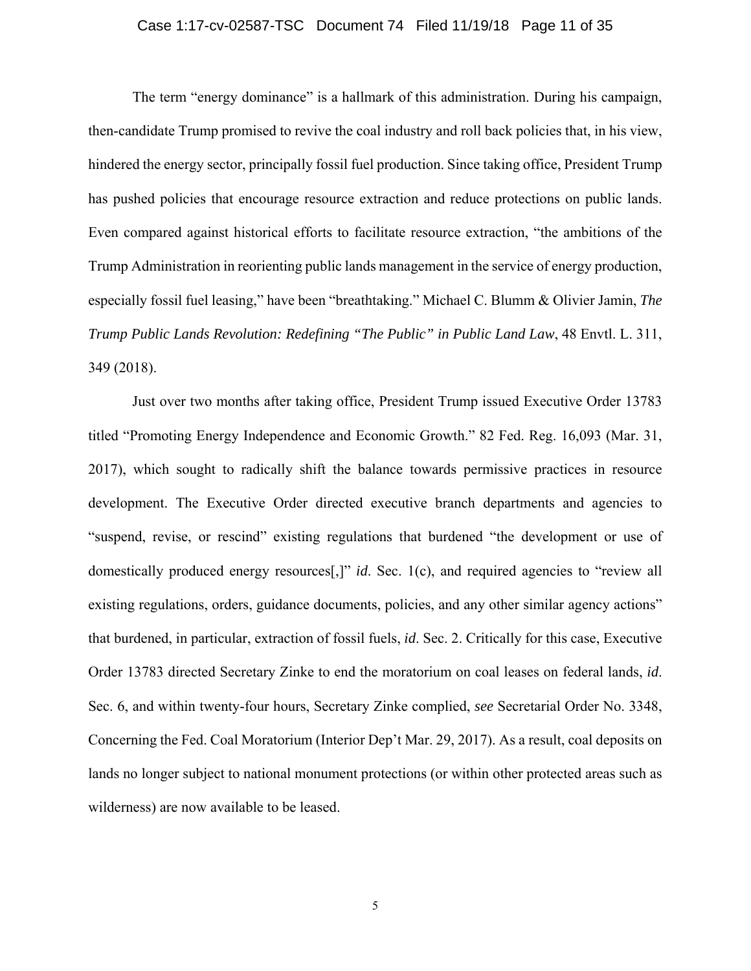### Case 1:17-cv-02587-TSC Document 74 Filed 11/19/18 Page 11 of 35

<span id="page-10-0"></span>The term "energy dominance" is a hallmark of this administration. During his campaign, then-candidate Trump promised to revive the coal industry and roll back policies that, in his view, Trump Administration in reorienting public lands management in the service of energy production, hindered the energy sector, principally fossil fuel production. Since taking office, President Trump has pushed policies that encourage resource extraction and reduce protections on public lands. Even compared against historical efforts to facilitate resource extraction, "the ambitions of the especially fossil fuel leasing," have been "breathtaking." Michael C. Blumm & Olivier Jamin, *The Trump Public Lands Revolution: Redefining "The Public" in Public Land Law*, 48 Envtl. L. 311, 349 (2018).

 that burdened, in particular, extraction of fossil fuels, *id*. Sec. 2. Critically for this case, Executive Just over two months after taking office, President Trump issued Executive Order 13783 titled "Promoting Energy Independence and Economic Growth." 82 Fed. Reg. 16,093 (Mar. 31, 2017), which sought to radically shift the balance towards permissive practices in resource development. The Executive Order directed executive branch departments and agencies to "suspend, revise, or rescind" existing regulations that burdened "the development or use of domestically produced energy resources[,]" *id*. Sec. 1(c), and required agencies to "review all existing regulations, orders, guidance documents, policies, and any other similar agency actions" Order 13783 directed Secretary Zinke to end the moratorium on coal leases on federal lands, *id*. Sec. 6, and within twenty-four hours, Secretary Zinke complied, *see* Secretarial Order No. 3348, Concerning the Fed. Coal Moratorium (Interior Dep't Mar. 29, 2017). As a result, coal deposits on lands no longer subject to national monument protections (or within other protected areas such as wilderness) are now available to be leased.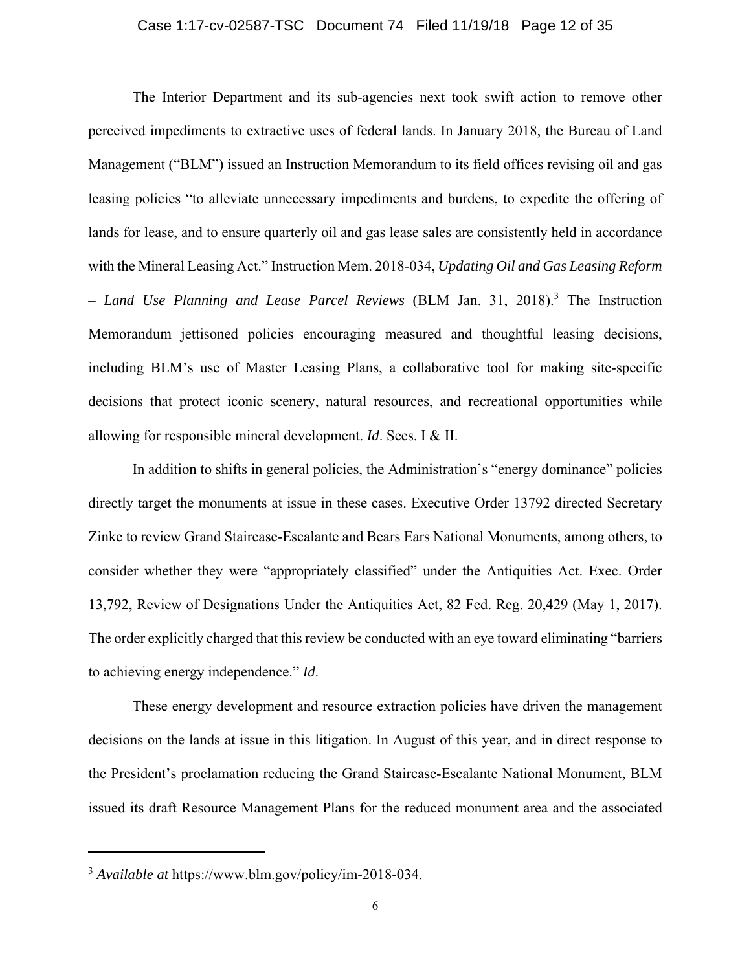### Case 1:17-cv-02587-TSC Document 74 Filed 11/19/18 Page 12 of 35

<span id="page-11-0"></span>The Interior Department and its sub-agencies next took swift action to remove other perceived impediments to extractive uses of federal lands. In January 2018, the Bureau of Land Management ("BLM") issued an Instruction Memorandum to its field offices revising oil and gas leasing policies "to alleviate unnecessary impediments and burdens, to expedite the offering of lands for lease, and to ensure quarterly oil and gas lease sales are consistently held in accordance with the Mineral Leasing Act." Instruction Mem. 2018-034, *Updating Oil and Gas Leasing Reform – Land Use Planning and Lease Parcel Reviews* (BLM Jan. 31, 2018).3 The Instruction Memorandum jettisoned policies encouraging measured and thoughtful leasing decisions, including BLM's use of Master Leasing Plans, a collaborative tool for making site-specific decisions that protect iconic scenery, natural resources, and recreational opportunities while allowing for responsible mineral development. *Id*. Secs. I & II.

In addition to shifts in general policies, the Administration's "energy dominance" policies directly target the monuments at issue in these cases. Executive Order 13792 directed Secretary Zinke to review Grand Staircase-Escalante and Bears Ears National Monuments, among others, to consider whether they were "appropriately classified" under the Antiquities Act. Exec. Order 13,792, Review of Designations Under the Antiquities Act, 82 Fed. Reg. 20,429 (May 1, 2017). The order explicitly charged that this review be conducted with an eye toward eliminating "barriers to achieving energy independence." *Id*.

These energy development and resource extraction policies have driven the management decisions on the lands at issue in this litigation. In August of this year, and in direct response to the President's proclamation reducing the Grand Staircase-Escalante National Monument, BLM issued its draft Resource Management Plans for the reduced monument area and the associated

<sup>3</sup> *Available at* [https://www.blm.gov/policy/im-2018-034.](https://www.blm.gov/policy/im-2018-034)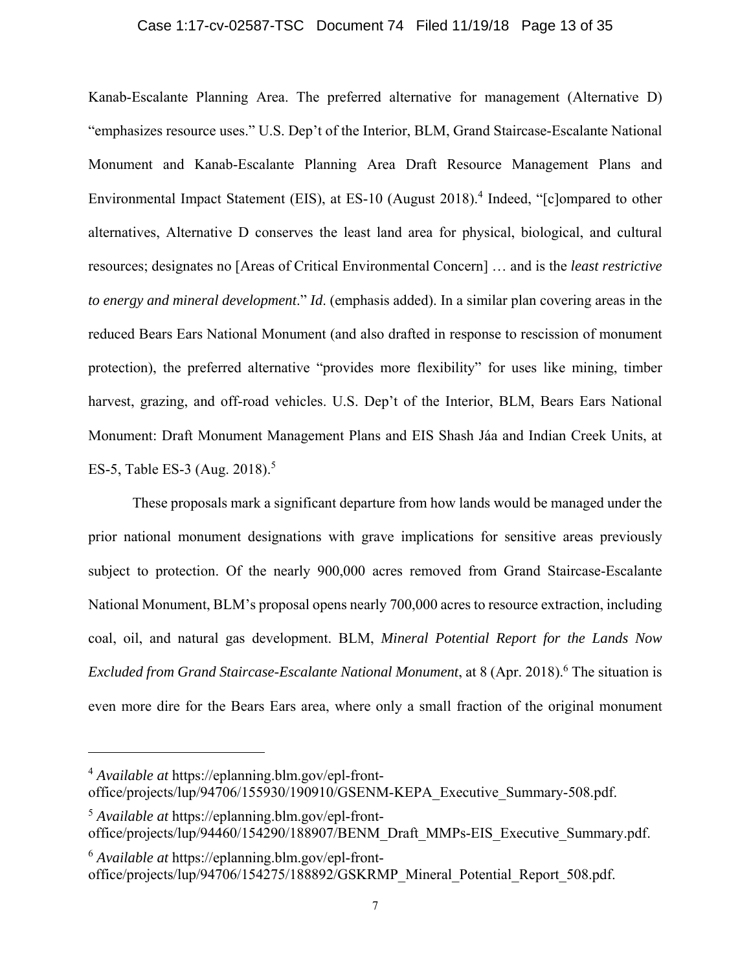### Case 1:17-cv-02587-TSC Document 74 Filed 11/19/18 Page 13 of 35

Kanab-Escalante Planning Area. The preferred alternative for management (Alternative D) "emphasizes resource uses." U.S. Dep't of the Interior, BLM, Grand Staircase-Escalante National Monument and Kanab-Escalante Planning Area Draft Resource Management Plans and Environmental Impact Statement (EIS), at ES-10 (August 2018).<sup>4</sup> Indeed, "[c]ompared to other alternatives, Alternative D conserves the least land area for physical, biological, and cultural resources; designates no [Areas of Critical Environmental Concern] … and is the *least restrictive to energy and mineral development*." *Id*. (emphasis added). In a similar plan covering areas in the reduced Bears Ears National Monument (and also drafted in response to rescission of monument protection), the preferred alternative "provides more flexibility" for uses like mining, timber harvest, grazing, and off-road vehicles. U.S. Dep't of the Interior, BLM, Bears Ears National Monument: Draft Monument Management Plans and EIS Shash Jáa and Indian Creek Units, at ES-5, Table ES-3 (Aug. 2018).<sup>5</sup>

These proposals mark a significant departure from how lands would be managed under the prior national monument designations with grave implications for sensitive areas previously subject to protection. Of the nearly 900,000 acres removed from Grand Staircase-Escalante National Monument, BLM's proposal opens nearly 700,000 acres to resource extraction, including coal, oil, and natural gas development. BLM, *Mineral Potential Report for the Lands Now Excluded from Grand Staircase-Escalante National Monument*, at 8 (Apr. 2018).<sup>6</sup> The situation is even more dire for the Bears Ears area, where only a small fraction of the original monument

<sup>4</sup> *Available at*<https://eplanning.blm.gov/epl-front>office/projects/lup/94706/155930/190910/GSENM-KEPA\_Executive\_Summary-508.pdf.

<sup>5</sup> *Available at*<https://eplanning.blm.gov/epl-front>office/projects/lup/94460/154290/188907/BENM\_Draft\_MMPs-EIS\_Executive\_Summary.pdf.

<sup>6</sup> *Available at*<https://eplanning.blm.gov/epl-front>office/projects/lup/94706/154275/188892/GSKRMP\_Mineral\_Potential\_Report\_508.pdf.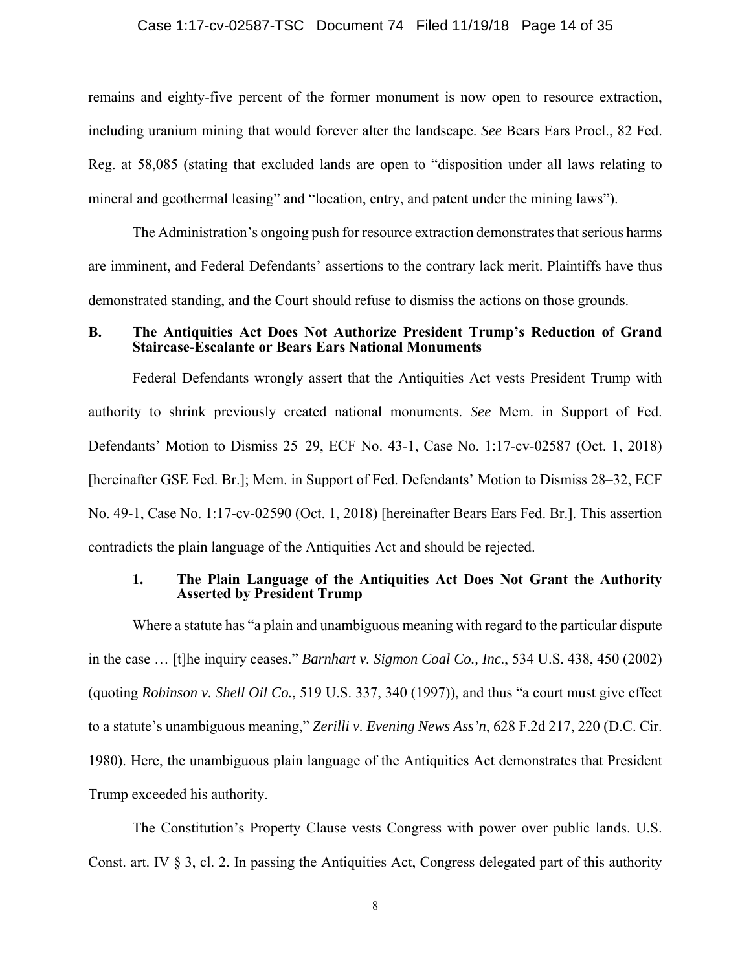### Case 1:17-cv-02587-TSC Document 74 Filed 11/19/18 Page 14 of 35

remains and eighty-five percent of the former monument is now open to resource extraction, including uranium mining that would forever alter the landscape. *See* Bears Ears Procl., 82 Fed. Reg. at 58,085 (stating that excluded lands are open to "disposition under all laws relating to mineral and geothermal leasing" and "location, entry, and patent under the mining laws").

The Administration's ongoing push for resource extraction demonstrates that serious harms are imminent, and Federal Defendants' assertions to the contrary lack merit. Plaintiffs have thus demonstrated standing, and the Court should refuse to dismiss the actions on those grounds.

### **B. The Antiquities Act Does Not Authorize President Trump's Reduction of Grand Staircase-Escalante or Bears Ears National Monuments**

Federal Defendants wrongly assert that the Antiquities Act vests President Trump with authority to shrink previously created national monuments. *See* Mem. in Support of Fed. Defendants' Motion to Dismiss 25–29, ECF No. 43-1, Case No. 1:17-cv-02587 (Oct. 1, 2018) [hereinafter GSE Fed. Br.]; Mem. in Support of Fed. Defendants' Motion to Dismiss 28–32, ECF No. 49-1, Case No. 1:17-cv-02590 (Oct. 1, 2018) [hereinafter Bears Ears Fed. Br.]. This assertion contradicts the plain language of the Antiquities Act and should be rejected.

### **1. The Plain Language of the Antiquities Act Does Not Grant the Authority Asserted by President Trump**

Where a statute has "a plain and unambiguous meaning with regard to the particular dispute in the case … [t]he inquiry ceases." *Barnhart v. Sigmon Coal Co., Inc.*, 534 U.S. 438, 450 (2002) (quoting *Robinson v. Shell Oil Co.*, 519 U.S. 337, 340 (1997)), and thus "a court must give effect to a statute's unambiguous meaning," *Zerilli v. Evening News Ass'n*, 628 F.2d 217, 220 (D.C. Cir. 1980). Here, the unambiguous plain language of the Antiquities Act demonstrates that President Trump exceeded his authority.

The Constitution's Property Clause vests Congress with power over public lands. U.S. Const. art. IV § 3, cl. 2. In passing the Antiquities Act, Congress delegated part of this authority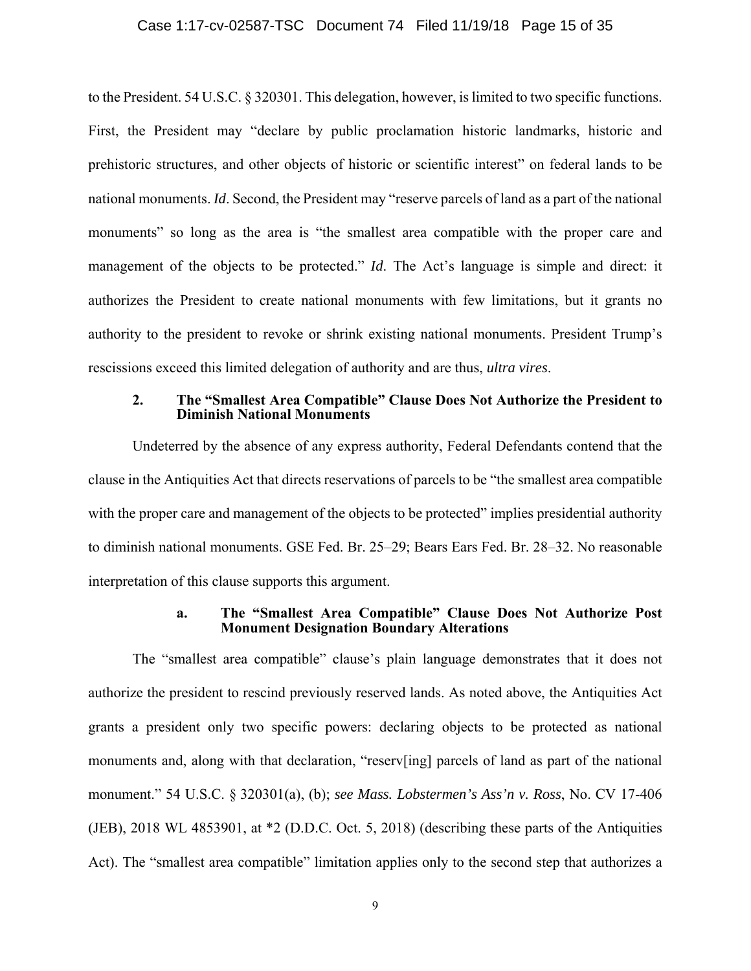### Case 1:17-cv-02587-TSC Document 74 Filed 11/19/18 Page 15 of 35

to the President. 54 U.S.C. § 320301. This delegation, however, is limited to two specific functions. First, the President may "declare by public proclamation historic landmarks, historic and prehistoric structures, and other objects of historic or scientific interest" on federal lands to be national monuments. *Id*. Second, the President may "reserve parcels of land as a part of the national monuments" so long as the area is "the smallest area compatible with the proper care and management of the objects to be protected." *Id*. The Act's language is simple and direct: it authorizes the President to create national monuments with few limitations, but it grants no authority to the president to revoke or shrink existing national monuments. President Trump's rescissions exceed this limited delegation of authority and are thus, *ultra vires*.

### **2. The "Smallest Area Compatible" Clause Does Not Authorize the President to Diminish National Monuments**

Undeterred by the absence of any express authority, Federal Defendants contend that the clause in the Antiquities Act that directs reservations of parcels to be "the smallest area compatible with the proper care and management of the objects to be protected" implies presidential authority to diminish national monuments. GSE Fed. Br. 25–29; Bears Ears Fed. Br. 28–32. No reasonable interpretation of this clause supports this argument.

### **a. The "Smallest Area Compatible" Clause Does Not Authorize Post Monument Designation Boundary Alterations**

 (JEB), 2018 WL 4853901, at \*2 (D.D.C. Oct. 5, 2018) (describing these parts of the Antiquities The "smallest area compatible" clause's plain language demonstrates that it does not authorize the president to rescind previously reserved lands. As noted above, the Antiquities Act grants a president only two specific powers: declaring objects to be protected as national monuments and, along with that declaration, "reserv[ing] parcels of land as part of the national monument." 54 U.S.C. § 320301(a), (b); *see Mass. Lobstermen's Ass'n v. Ross*, No. CV 17-406 Act). The "smallest area compatible" limitation applies only to the second step that authorizes a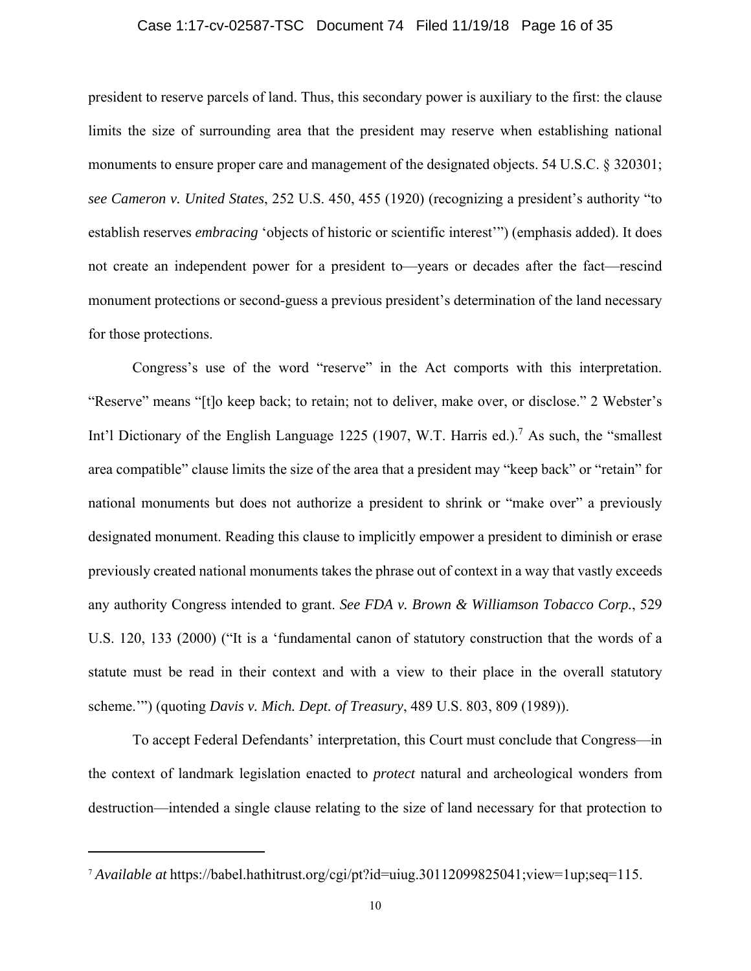### Case 1:17-cv-02587-TSC Document 74 Filed 11/19/18 Page 16 of 35

<span id="page-15-0"></span>president to reserve parcels of land. Thus, this secondary power is auxiliary to the first: the clause limits the size of surrounding area that the president may reserve when establishing national monuments to ensure proper care and management of the designated objects. 54 U.S.C. § 320301; *see Cameron v. United States*, 252 U.S. 450, 455 (1920) (recognizing a president's authority "to establish reserves *embracing* 'objects of historic or scientific interest'") (emphasis added). It does not create an independent power for a president to—years or decades after the fact—rescind monument protections or second-guess a previous president's determination of the land necessary for those protections.

Congress's use of the word "reserve" in the Act comports with this interpretation. "Reserve" means "[t]o keep back; to retain; not to deliver, make over, or disclose." 2 Webster's Int'l Dictionary of the English Language 1225 (1907, W.T. Harris ed.).<sup>7</sup> As such, the "smallest" area compatible" clause limits the size of the area that a president may "keep back" or "retain" for national monuments but does not authorize a president to shrink or "make over" a previously designated monument. Reading this clause to implicitly empower a president to diminish or erase previously created national monuments takes the phrase out of context in a way that vastly exceeds any authority Congress intended to grant. *See FDA v. Brown & Williamson Tobacco Corp.*, 529 U.S. 120, 133 (2000) ("It is a 'fundamental canon of statutory construction that the words of a statute must be read in their context and with a view to their place in the overall statutory scheme.'") (quoting *Davis v. Mich. Dept. of Treasury*, 489 U.S. 803, 809 (1989)).

To accept Federal Defendants' interpretation, this Court must conclude that Congress—in the context of landmark legislation enacted to *protect* natural and archeological wonders from destruction—intended a single clause relating to the size of land necessary for that protection to

<sup>7</sup> *Available at* <https://babel.hathitrust.org/cgi/pt?id=uiug.30112099825041;view=1up;seq=115>.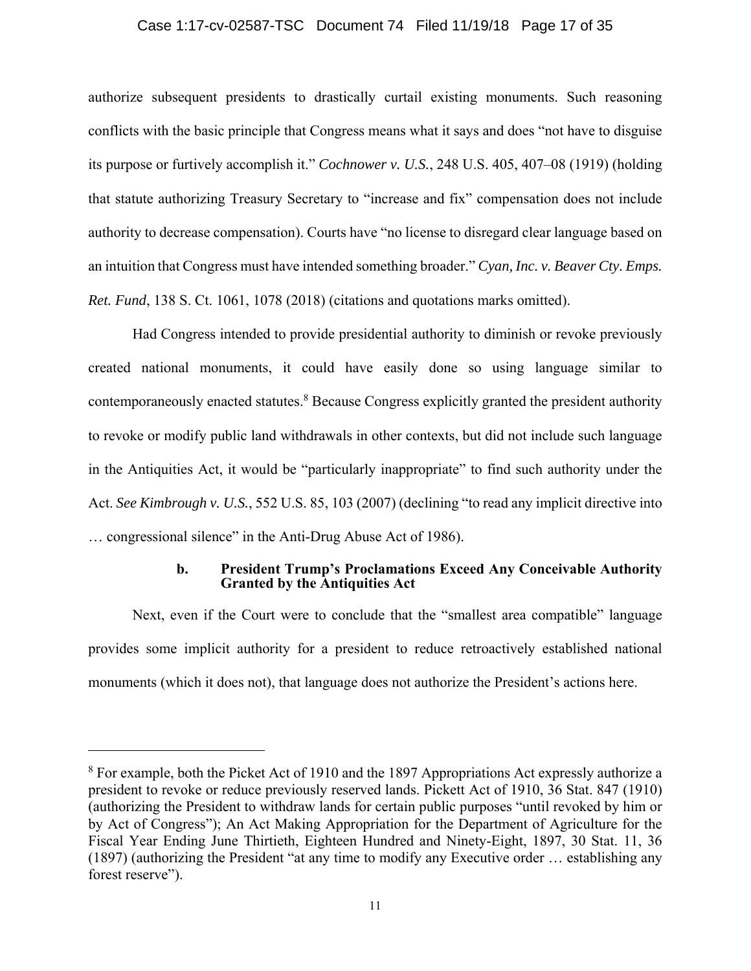### Case 1:17-cv-02587-TSC Document 74 Filed 11/19/18 Page 17 of 35

<span id="page-16-0"></span>authorize subsequent presidents to drastically curtail existing monuments. Such reasoning conflicts with the basic principle that Congress means what it says and does "not have to disguise its purpose or furtively accomplish it." *Cochnower v. U.S.*, 248 U.S. 405, 407–08 (1919) (holding that statute authorizing Treasury Secretary to "increase and fix" compensation does not include authority to decrease compensation). Courts have "no license to disregard clear language based on an intuition that Congress must have intended something broader." *Cyan, Inc. v. Beaver Cty. Emps. Ret. Fund*, 138 S. Ct. 1061, 1078 (2018) (citations and quotations marks omitted).

Had Congress intended to provide presidential authority to diminish or revoke previously created national monuments, it could have easily done so using language similar to contemporaneously enacted statutes.<sup>8</sup> Because Congress explicitly granted the president authority to revoke or modify public land withdrawals in other contexts, but did not include such language in the Antiquities Act, it would be "particularly inappropriate" to find such authority under the Act. *See Kimbrough v. U.S.*, 552 U.S. 85, 103 (2007) (declining "to read any implicit directive into … congressional silence" in the Anti-Drug Abuse Act of 1986).

### **b. President Trump's Proclamations Exceed Any Conceivable Authority Granted by the Antiquities Act**

Next, even if the Court were to conclude that the "smallest area compatible" language provides some implicit authority for a president to reduce retroactively established national monuments (which it does not), that language does not authorize the President's actions here.

<sup>&</sup>lt;sup>8</sup> For example, both the Picket Act of 1910 and the 1897 Appropriations Act expressly authorize a president to revoke or reduce previously reserved lands. Pickett Act of 1910, 36 Stat. 847 (1910) (authorizing the President to withdraw lands for certain public purposes "until revoked by him or by Act of Congress"); An Act Making Appropriation for the Department of Agriculture for the Fiscal Year Ending June Thirtieth, Eighteen Hundred and Ninety-Eight, 1897, 30 Stat. 11, 36 (1897) (authorizing the President "at any time to modify any Executive order … establishing any forest reserve").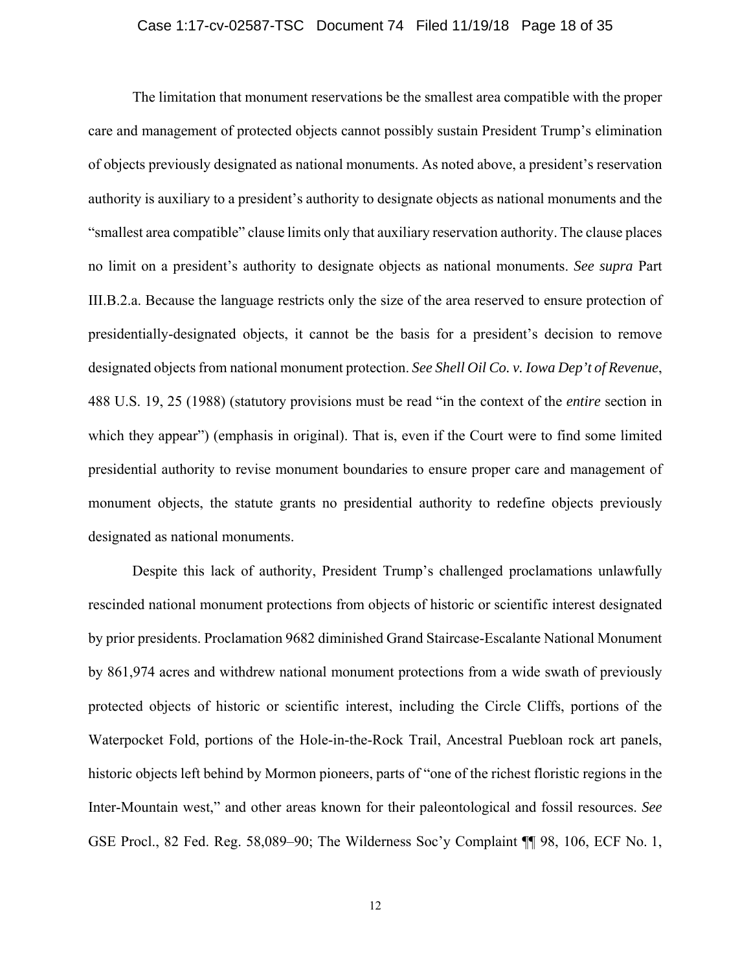### Case 1:17-cv-02587-TSC Document 74 Filed 11/19/18 Page 18 of 35

<span id="page-17-0"></span>which they appear") (emphasis in original). That is, even if the Court were to find some limited monument objects, the statute grants no presidential authority to redefine objects previously The limitation that monument reservations be the smallest area compatible with the proper care and management of protected objects cannot possibly sustain President Trump's elimination of objects previously designated as national monuments. As noted above, a president's reservation authority is auxiliary to a president's authority to designate objects as national monuments and the "smallest area compatible" clause limits only that auxiliary reservation authority. The clause places no limit on a president's authority to designate objects as national monuments. *See supra* Part III.B.2.a. Because the language restricts only the size of the area reserved to ensure protection of presidentially-designated objects, it cannot be the basis for a president's decision to remove designated objects from national monument protection. *See Shell Oil Co. v. Iowa Dep't of Revenue*, 488 U.S. 19, 25 (1988) (statutory provisions must be read "in the context of the *entire* section in presidential authority to revise monument boundaries to ensure proper care and management of designated as national monuments.

 by 861,974 acres and withdrew national monument protections from a wide swath of previously Despite this lack of authority, President Trump's challenged proclamations unlawfully rescinded national monument protections from objects of historic or scientific interest designated by prior presidents. Proclamation 9682 diminished Grand Staircase-Escalante National Monument protected objects of historic or scientific interest, including the Circle Cliffs, portions of the Waterpocket Fold, portions of the Hole-in-the-Rock Trail, Ancestral Puebloan rock art panels, historic objects left behind by Mormon pioneers, parts of "one of the richest floristic regions in the Inter-Mountain west," and other areas known for their paleontological and fossil resources. *See*  GSE Procl., 82 Fed. Reg. 58,089–90; The Wilderness Soc'y Complaint ¶¶ 98, 106, ECF No. 1,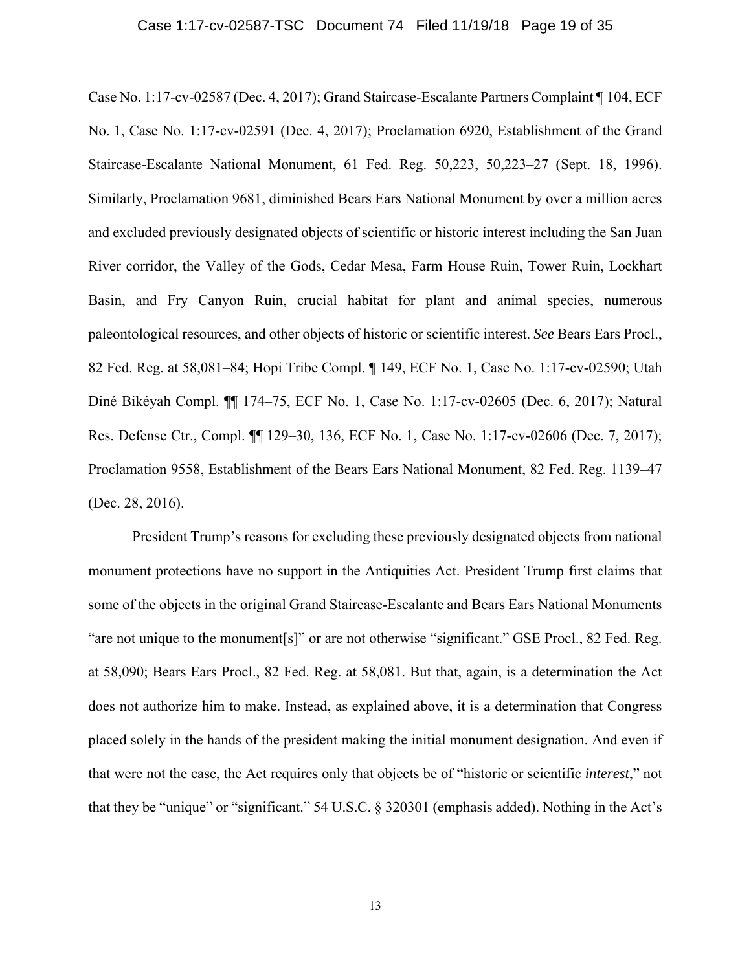#### Case 1:17-cv-02587-TSC Document 74 Filed 11/19/18 Page 19 of 35

<span id="page-18-0"></span>Case No. 1:17-cv-02587 (Dec. 4, 2017); Grand Staircase-Escalante Partners Complaint ¶ 104, ECF No. 1, Case No. 1:17-cv-02591 (Dec. 4, 2017); Proclamation 6920, Establishment of the Grand Staircase-Escalante National Monument, 61 Fed. Reg. 50,223, 50,223–27 (Sept. 18, 1996). Similarly, Proclamation 9681, diminished Bears Ears National Monument by over a million acres and excluded previously designated objects of scientific or historic interest including the San Juan River corridor, the Valley of the Gods, Cedar Mesa, Farm House Ruin, Tower Ruin, Lockhart Basin, and Fry Canyon Ruin, crucial habitat for plant and animal species, numerous paleontological resources, and other objects of historic or scientific interest. *See* Bears Ears Procl., 82 Fed. Reg. at 58,081–84; Hopi Tribe Compl. ¶ 149, ECF No. 1, Case No. 1:17-cv-02590; Utah Diné Bikéyah Compl. ¶¶ 174–75, ECF No. 1, Case No. 1:17-cv-02605 (Dec. 6, 2017); Natural Res. Defense Ctr., Compl. ¶¶ 129–30, 136, ECF No. 1, Case No. 1:17-cv-02606 (Dec. 7, 2017); Proclamation 9558, Establishment of the Bears Ears National Monument, 82 Fed. Reg. 1139–47 (Dec. 28, 2016).

President Trump's reasons for excluding these previously designated objects from national monument protections have no support in the Antiquities Act. President Trump first claims that some of the objects in the original Grand Staircase-Escalante and Bears Ears National Monuments "are not unique to the monument[s]" or are not otherwise "significant." GSE Procl., 82 Fed. Reg. at 58,090; Bears Ears Procl., 82 Fed. Reg. at 58,081. But that, again, is a determination the Act does not authorize him to make. Instead, as explained above, it is a determination that Congress placed solely in the hands of the president making the initial monument designation. And even if that were not the case, the Act requires only that objects be of "historic or scientific *interest*," not that they be "unique" or "significant." 54 U.S.C. § 320301 (emphasis added). Nothing in the Act's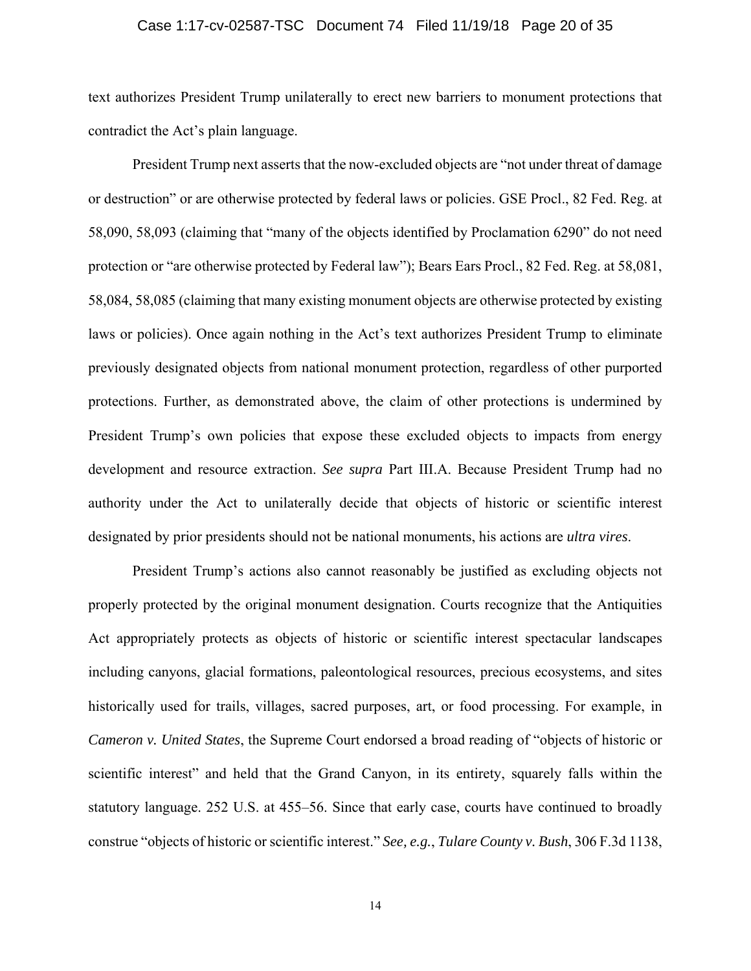### Case 1:17-cv-02587-TSC Document 74 Filed 11/19/18 Page 20 of 35

<span id="page-19-0"></span>text authorizes President Trump unilaterally to erect new barriers to monument protections that contradict the Act's plain language.

President Trump next asserts that the now-excluded objects are "not under threat of damage or destruction" or are otherwise protected by federal laws or policies. GSE Procl., 82 Fed. Reg. at 58,090, 58,093 (claiming that "many of the objects identified by Proclamation 6290" do not need protection or "are otherwise protected by Federal law"); Bears Ears Procl., 82 Fed. Reg. at 58,081, 58,084, 58,085 (claiming that many existing monument objects are otherwise protected by existing laws or policies). Once again nothing in the Act's text authorizes President Trump to eliminate previously designated objects from national monument protection, regardless of other purported protections. Further, as demonstrated above, the claim of other protections is undermined by President Trump's own policies that expose these excluded objects to impacts from energy development and resource extraction. *See supra* Part III.A. Because President Trump had no authority under the Act to unilaterally decide that objects of historic or scientific interest designated by prior presidents should not be national monuments, his actions are *ultra vires*.

President Trump's actions also cannot reasonably be justified as excluding objects not properly protected by the original monument designation. Courts recognize that the Antiquities Act appropriately protects as objects of historic or scientific interest spectacular landscapes including canyons, glacial formations, paleontological resources, precious ecosystems, and sites historically used for trails, villages, sacred purposes, art, or food processing. For example, in *Cameron v. United States*, the Supreme Court endorsed a broad reading of "objects of historic or scientific interest" and held that the Grand Canyon, in its entirety, squarely falls within the statutory language. 252 U.S. at 455–56. Since that early case, courts have continued to broadly construe "objects of historic or scientific interest." *See, e.g.*, *Tulare County v. Bush*, 306 F.3d 1138,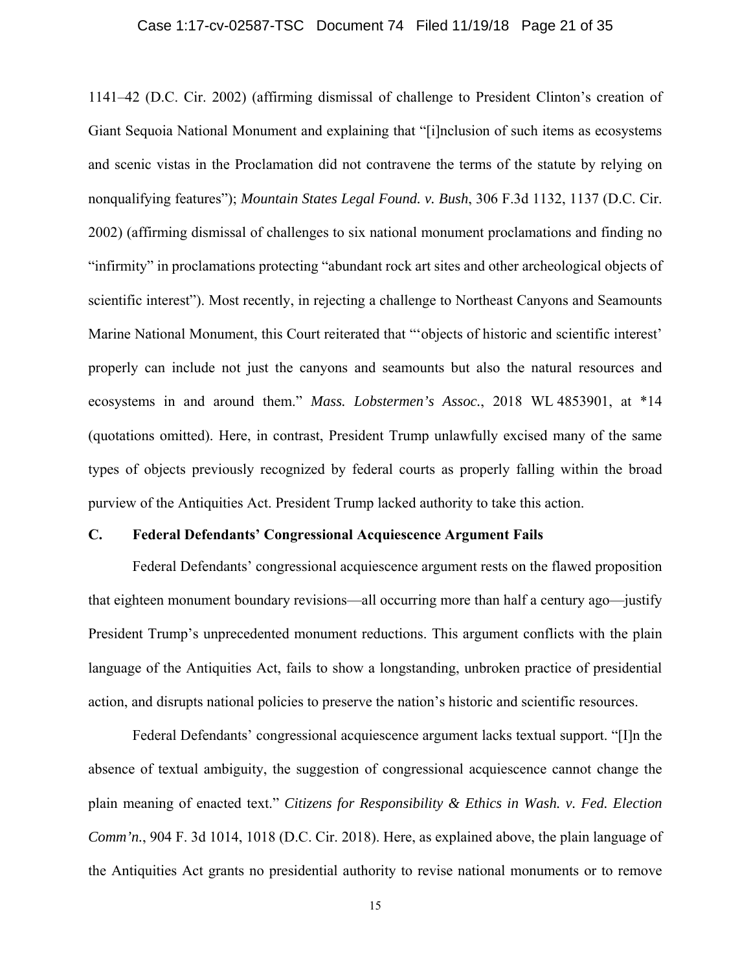### Case 1:17-cv-02587-TSC Document 74 Filed 11/19/18 Page 21 of 35

<span id="page-20-0"></span>1141–42 (D.C. Cir. 2002) (affirming dismissal of challenge to President Clinton's creation of Giant Sequoia National Monument and explaining that "[i]nclusion of such items as ecosystems and scenic vistas in the Proclamation did not contravene the terms of the statute by relying on nonqualifying features"); *Mountain States Legal Found. v. Bush*, 306 F.3d 1132, 1137 (D.C. Cir. 2002) (affirming dismissal of challenges to six national monument proclamations and finding no "infirmity" in proclamations protecting "abundant rock art sites and other archeological objects of scientific interest"). Most recently, in rejecting a challenge to Northeast Canyons and Seamounts Marine National Monument, this Court reiterated that "'objects of historic and scientific interest' properly can include not just the canyons and seamounts but also the natural resources and ecosystems in and around them." *Mass. Lobstermen's Assoc.*, 2018 WL 4853901, at \*14 (quotations omitted). Here, in contrast, President Trump unlawfully excised many of the same types of objects previously recognized by federal courts as properly falling within the broad purview of the Antiquities Act. President Trump lacked authority to take this action.

### **C. Federal Defendants' Congressional Acquiescence Argument Fails**

Federal Defendants' congressional acquiescence argument rests on the flawed proposition that eighteen monument boundary revisions—all occurring more than half a century ago—justify President Trump's unprecedented monument reductions. This argument conflicts with the plain language of the Antiquities Act, fails to show a longstanding, unbroken practice of presidential action, and disrupts national policies to preserve the nation's historic and scientific resources.

Federal Defendants' congressional acquiescence argument lacks textual support. "[I]n the absence of textual ambiguity, the suggestion of congressional acquiescence cannot change the plain meaning of enacted text." *Citizens for Responsibility & Ethics in Wash. v. Fed. Election Comm'n.*, 904 F. 3d 1014, 1018 (D.C. Cir. 2018). Here, as explained above, the plain language of the Antiquities Act grants no presidential authority to revise national monuments or to remove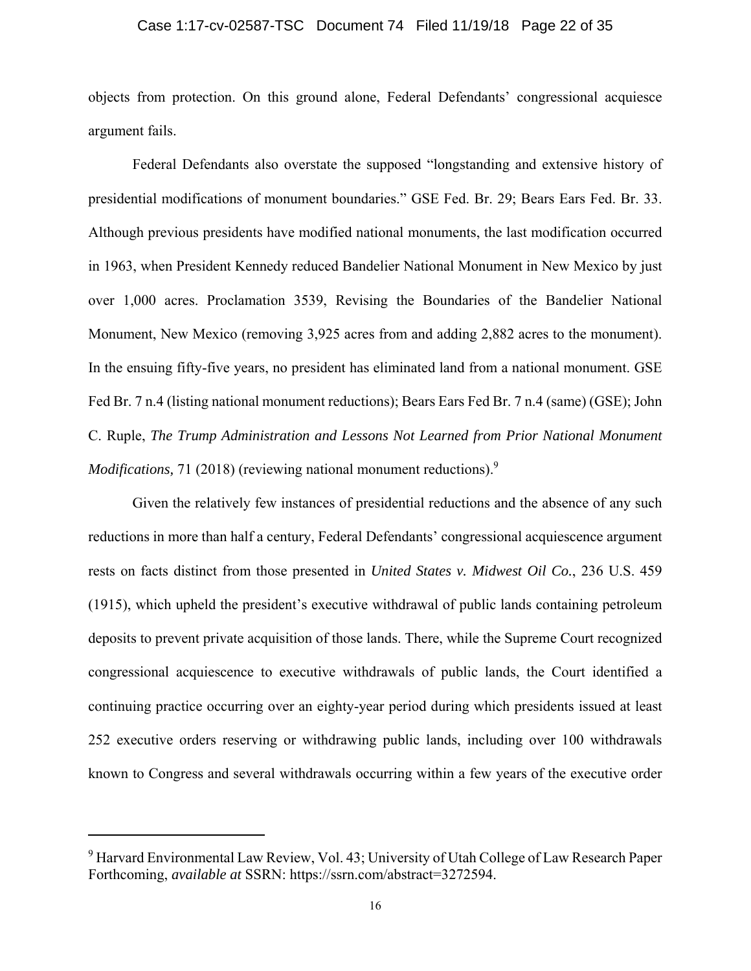### Case 1:17-cv-02587-TSC Document 74 Filed 11/19/18 Page 22 of 35

objects from protection. On this ground alone, Federal Defendants' congressional acquiesce argument fails.

Federal Defendants also overstate the supposed "longstanding and extensive history of presidential modifications of monument boundaries." GSE Fed. Br. 29; Bears Ears Fed. Br. 33. Although previous presidents have modified national monuments, the last modification occurred in 1963, when President Kennedy reduced Bandelier National Monument in New Mexico by just over 1,000 acres. Proclamation 3539, Revising the Boundaries of the Bandelier National Monument, New Mexico (removing 3,925 acres from and adding 2,882 acres to the monument). In the ensuing fifty-five years, no president has eliminated land from a national monument. GSE Fed Br. 7 n.4 (listing national monument reductions); Bears Ears Fed Br. 7 n.4 (same) (GSE); John C. Ruple, *The Trump Administration and Lessons Not Learned from Prior National Monument Modifications,* 71 (2018) (reviewing national monument reductions).<sup>9</sup>

Given the relatively few instances of presidential reductions and the absence of any such reductions in more than half a century, Federal Defendants' congressional acquiescence argument rests on facts distinct from those presented in *United States v. Midwest Oil Co.*, 236 U.S. 459 (1915), which upheld the president's executive withdrawal of public lands containing petroleum deposits to prevent private acquisition of those lands. There, while the Supreme Court recognized congressional acquiescence to executive withdrawals of public lands, the Court identified a continuing practice occurring over an eighty-year period during which presidents issued at least 252 executive orders reserving or withdrawing public lands, including over 100 withdrawals known to Congress and several withdrawals occurring within a few years of the executive order

<sup>&</sup>lt;sup>9</sup> Harvard Environmental Law Review, Vol. 43; University of Utah College of Law Research Paper Forthcoming, *available at* SSRN:<https://ssrn.com/abstract=3272594>.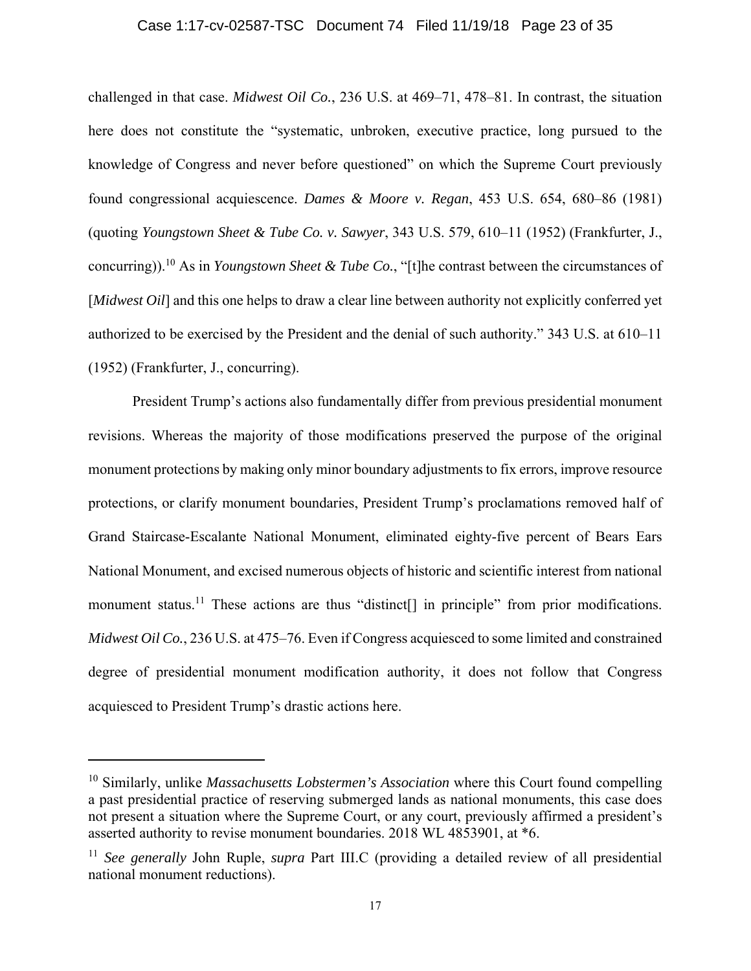### Case 1:17-cv-02587-TSC Document 74 Filed 11/19/18 Page 23 of 35

challenged in that case. *Midwest Oil Co.*, 236 U.S. at 469–71, 478–81. In contrast, the situation here does not constitute the "systematic, unbroken, executive practice, long pursued to the knowledge of Congress and never before questioned" on which the Supreme Court previously found congressional acquiescence. *Dames & Moore v. Regan*, 453 U.S. 654, 680–86 (1981) (quoting *Youngstown Sheet & Tube Co. v. Sawyer*, 343 U.S. 579, 610–11 (1952) (Frankfurter, J., [concurring\)\).](https://concurring)).10)10 As in *Youngstown Sheet & Tube Co.*, "[t]he contrast between the circumstances of [*Midwest Oil*] and this one helps to draw a clear line between authority not explicitly conferred yet authorized to be exercised by the President and the denial of such authority." 343 U.S. at 610–11 (1952) (Frankfurter, J., concurring).

President Trump's actions also fundamentally differ from previous presidential monument revisions. Whereas the majority of those modifications preserved the purpose of the original monument protections by making only minor boundary adjustments to fix errors, improve resource protections, or clarify monument boundaries, President Trump's proclamations removed half of Grand Staircase-Escalante National Monument, eliminated eighty-five percent of Bears Ears National Monument, and excised numerous objects of historic and scientific interest from national monument status.<sup>11</sup> These actions are thus "distinct<sup>[]</sup> in principle" from prior modifications. *Midwest Oil Co.*, 236 U.S. at 475–76. Even if Congress acquiesced to some limited and constrained degree of presidential monument modification authority, it does not follow that Congress acquiesced to President Trump's drastic actions here.

<sup>10</sup> Similarly, unlike *Massachusetts Lobstermen's Association* where this Court found compelling a past presidential practice of reserving submerged lands as national monuments, this case does not present a situation where the Supreme Court, or any court, previously affirmed a president's asserted authority to revise monument boundaries. 2018 WL 4853901, at \*6.

<sup>11</sup> *See generally* John Ruple, *supra* Part III.C (providing a detailed review of all presidential national monument reductions).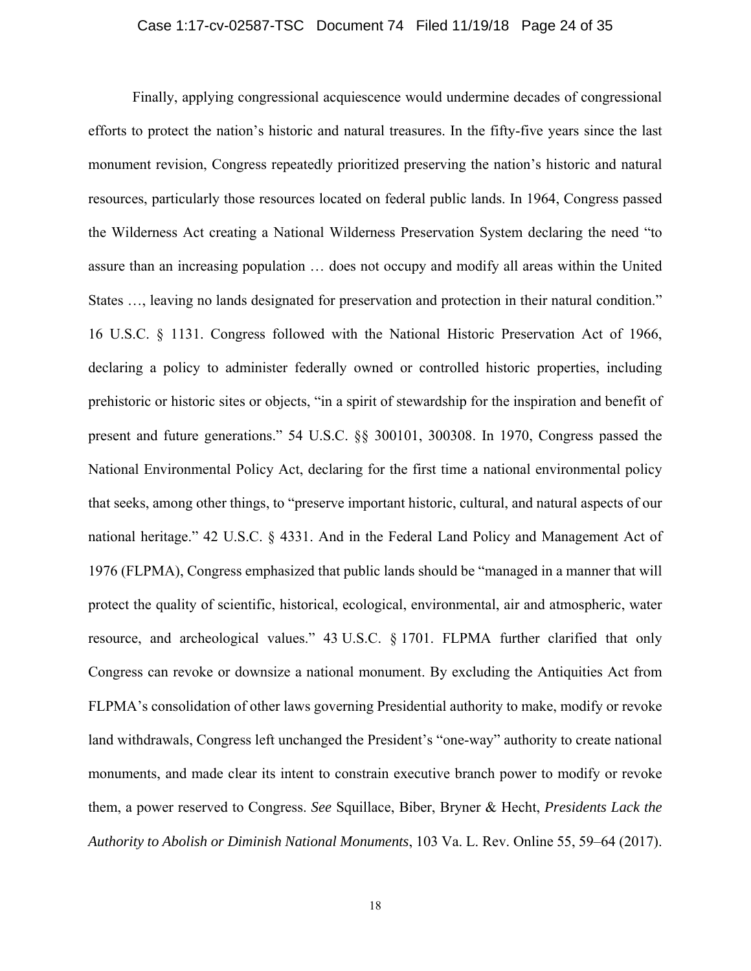### Case 1:17-cv-02587-TSC Document 74 Filed 11/19/18 Page 24 of 35

<span id="page-23-0"></span> National Environmental Policy Act, declaring for the first time a national environmental policy Finally, applying congressional acquiescence would undermine decades of congressional efforts to protect the nation's historic and natural treasures. In the fifty-five years since the last monument revision, Congress repeatedly prioritized preserving the nation's historic and natural resources, particularly those resources located on federal public lands. In 1964, Congress passed the Wilderness Act creating a National Wilderness Preservation System declaring the need "to assure than an increasing population … does not occupy and modify all areas within the United States …, leaving no lands designated for preservation and protection in their natural condition." 16 U.S.C. § 1131. Congress followed with the National Historic Preservation Act of 1966, declaring a policy to administer federally owned or controlled historic properties, including prehistoric or historic sites or objects, "in a spirit of stewardship for the inspiration and benefit of present and future generations." 54 U.S.C. §§ 300101, 300308. In 1970, Congress passed the that seeks, among other things, to "preserve important historic, cultural, and natural aspects of our national heritage." 42 U.S.C. § 4331. And in the Federal Land Policy and Management Act of 1976 (FLPMA), Congress emphasized that public lands should be "managed in a manner that will protect the quality of scientific, historical, ecological, environmental, air and atmospheric, water resource, and archeological values." 43 U.S.C. § 1701. FLPMA further clarified that only Congress can revoke or downsize a national monument. By excluding the Antiquities Act from FLPMA's consolidation of other laws governing Presidential authority to make, modify or revoke land withdrawals, Congress left unchanged the President's "one-way" authority to create national monuments, and made clear its intent to constrain executive branch power to modify or revoke them, a power reserved to Congress. *See* Squillace, Biber, Bryner & Hecht, *Presidents Lack the Authority to Abolish or Diminish National Monuments*, 103 Va. L. Rev. Online 55, 59–64 (2017).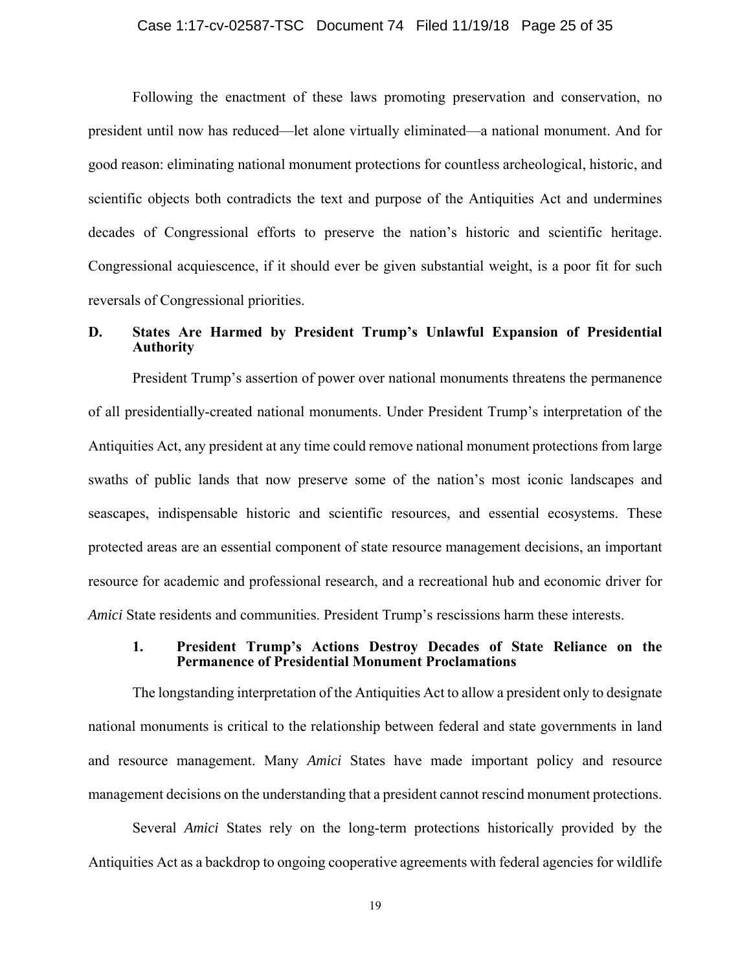### Case 1:17-cv-02587-TSC Document 74 Filed 11/19/18 Page 25 of 35

<span id="page-24-0"></span>Following the enactment of these laws promoting preservation and conservation, no president until now has reduced—let alone virtually eliminated—a national monument. And for good reason: eliminating national monument protections for countless archeological, historic, and scientific objects both contradicts the text and purpose of the Antiquities Act and undermines decades of Congressional efforts to preserve the nation's historic and scientific heritage. Congressional acquiescence, if it should ever be given substantial weight, is a poor fit for such reversals of Congressional priorities.

### **D. States Are Harmed by President Trump's Unlawful Expansion of Presidential Authority**

 Antiquities Act, any president at any time could remove national monument protections from large President Trump's assertion of power over national monuments threatens the permanence of all presidentially-created national monuments. Under President Trump's interpretation of the swaths of public lands that now preserve some of the nation's most iconic landscapes and seascapes, indispensable historic and scientific resources, and essential ecosystems. These protected areas are an essential component of state resource management decisions, an important resource for academic and professional research, and a recreational hub and economic driver for *Amici* State residents and communities. President Trump's rescissions harm these interests.

### **1. President Trump's Actions Destroy Decades of State Reliance on the Permanence of Presidential Monument Proclamations**

 The longstanding interpretation of the Antiquities Act to allow a president only to designate national monuments is critical to the relationship between federal and state governments in land and resource management. Many *Amici* States have made important policy and resource management decisions on the understanding that a president cannot rescind monument protections.

 Antiquities Act as a backdrop to ongoing cooperative agreements with federal agencies for wildlife Several *Amici* States rely on the long-term protections historically provided by the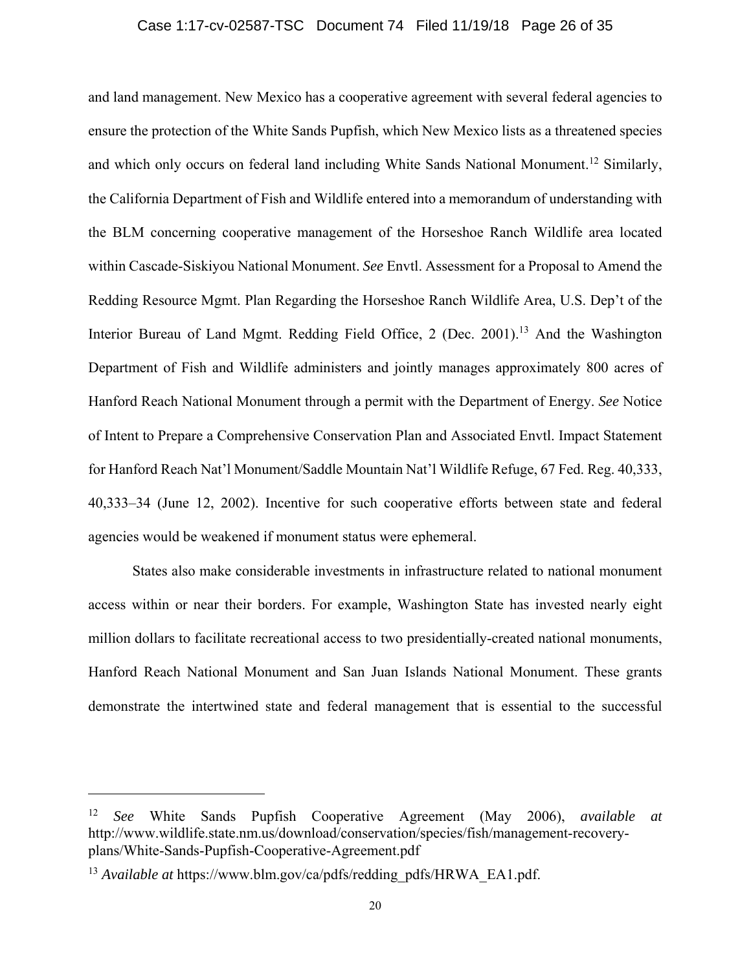### Case 1:17-cv-02587-TSC Document 74 Filed 11/19/18 Page 26 of 35

<span id="page-25-0"></span>and land management. New Mexico has a cooperative agreement with several federal agencies to ensure the protection of the White Sands Pupfish, which New Mexico lists as a threatened species and which only occurs on federal land including White Sands National [Monument.](https://Monument.12)<sup>12</sup> Similarly, the California Department of Fish and Wildlife entered into a memorandum of understanding with the BLM concerning cooperative management of the Horseshoe Ranch Wildlife area located within Cascade-Siskiyou National Monument. *See* Envtl. Assessment for a Proposal to Amend the Redding Resource Mgmt. Plan Regarding the Horseshoe Ranch Wildlife Area, U.S. Dep't of the Interior Bureau of Land Mgmt. Redding Field Office, 2 (Dec. [2001\).](https://2001).13)<sup>13</sup> And the Washington Department of Fish and Wildlife administers and jointly manages approximately 800 acres of Hanford Reach National Monument through a permit with the Department of Energy. *See* Notice of Intent to Prepare a Comprehensive Conservation Plan and Associated Envtl. Impact Statement for Hanford Reach Nat'l Monument/Saddle Mountain Nat'l Wildlife Refuge, 67 Fed. Reg. 40,333, 40,333–34 (June 12, 2002). Incentive for such cooperative efforts between state and federal agencies would be weakened if monument status were ephemeral.

States also make considerable investments in infrastructure related to national monument access within or near their borders. For example, Washington State has invested nearly eight million dollars to facilitate recreational access to two presidentially-created national monuments, Hanford Reach National Monument and San Juan Islands National Monument. These grants demonstrate the intertwined state and federal management that is essential to the successful

<sup>12</sup> *See* White Sands Pupfish Cooperative Agreement (May 2006), *available at*  <http://www.wildlife.state.nm.us/download/conservation/species/fish/management-recovery>plans/White-Sands-Pupfish-Cooperative-Agreement.pdf

<sup>&</sup>lt;sup>13</sup> *Available at [https://www.blm.gov/ca/pdfs/redding\\_pdfs/HRWA\\_EA1.pdf](https://www.blm.gov/ca/pdfs/redding_pdfs/HRWA_EA1.pdf).*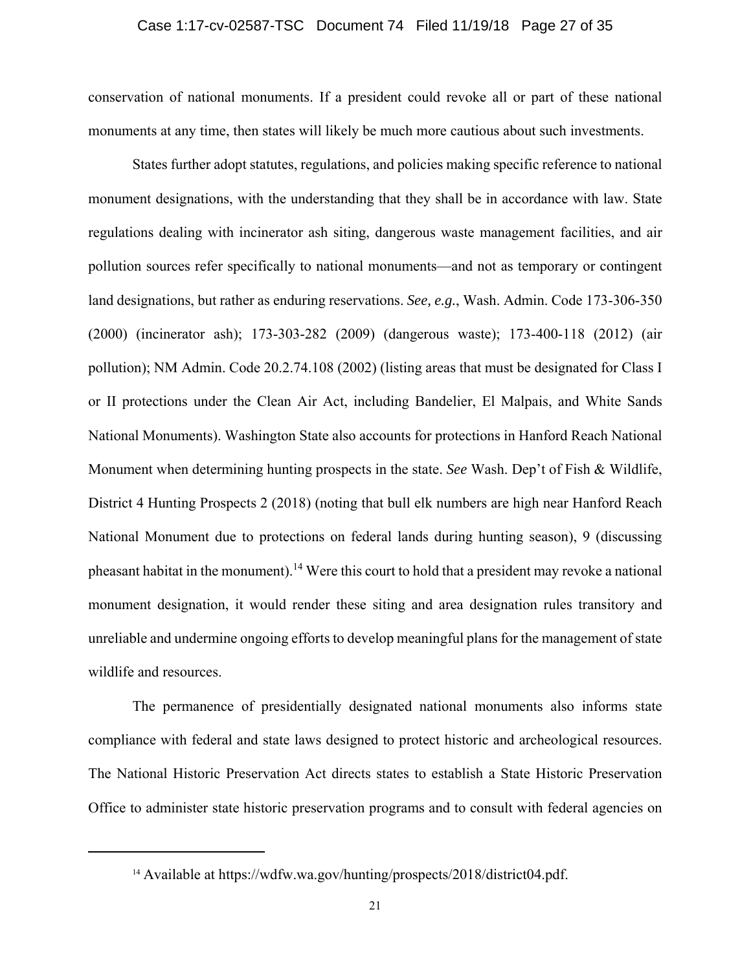### Case 1:17-cv-02587-TSC Document 74 Filed 11/19/18 Page 27 of 35

<span id="page-26-0"></span>conservation of national monuments. If a president could revoke all or part of these national monuments at any time, then states will likely be much more cautious about such investments.

States further adopt statutes, regulations, and policies making specific reference to national monument designations, with the understanding that they shall be in accordance with law. State regulations dealing with incinerator ash siting, dangerous waste management facilities, and air pollution sources refer specifically to national monuments—and not as temporary or contingent land designations, but rather as enduring reservations. *See, e.g.*, Wash. Admin. Code 173-306-350 (2000) (incinerator ash); 173-303-282 (2009) (dangerous waste); 173-400-118 (2012) (air pollution); NM Admin. Code 20.2.74.108 (2002) (listing areas that must be designated for Class I or II protections under the Clean Air Act, including Bandelier, El Malpais, and White Sands National Monuments). Washington State also accounts for protections in Hanford Reach National Monument when determining hunting prospects in the state. *See* Wash. Dep't of Fish & Wildlife, District 4 Hunting Prospects 2 (2018) (noting that bull elk numbers are high near Hanford Reach National Monument due to protections on federal lands during hunting season), 9 (discussing pheasant habitat in the monument).<sup>14</sup> Were this court to hold that a president may revoke a national monument designation, it would render these siting and area designation rules transitory and unreliable and undermine ongoing efforts to develop meaningful plans for the management of state wildlife and resources.

The permanence of presidentially designated national monuments also informs state compliance with federal and state laws designed to protect historic and archeological resources. The National Historic Preservation Act directs states to establish a State Historic Preservation Office to administer state historic preservation programs and to consult with federal agencies on

<sup>14</sup> Available at [https://wdfw.wa.gov/hunting/prospects/2018/district04.pdf.](https://wdfw.wa.gov/hunting/prospects/2018/district04.pdf)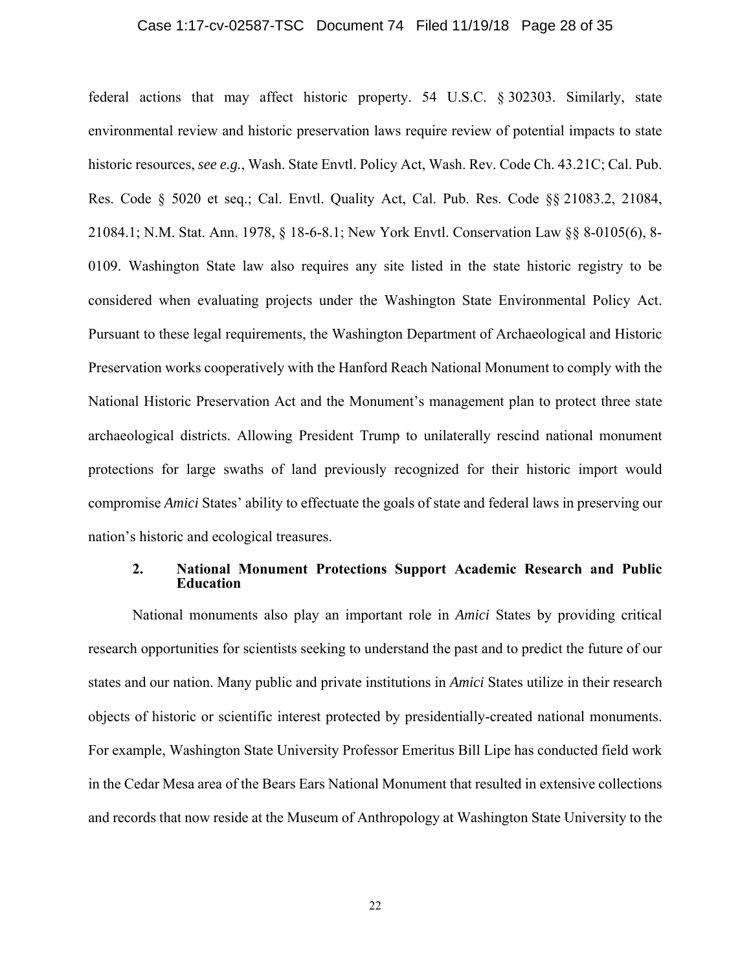### Case 1:17-cv-02587-TSC Document 74 Filed 11/19/18 Page 28 of 35

<span id="page-27-0"></span> 0109. Washington State law also requires any site listed in the state historic registry to be compromise *Amici* States' ability to effectuate the goals of state and federal laws in preserving our federal actions that may affect historic property. 54 U.S.C. § 302303. Similarly, state environmental review and historic preservation laws require review of potential impacts to state historic resources, *see e.g.*, Wash. State Envtl. Policy Act, Wash. Rev. Code Ch. 43.21C; Cal. Pub. Res. Code § 5020 et seq.; Cal. Envtl. Quality Act, Cal. Pub. Res. Code §§ 21083.2, 21084, 21084.1; N.M. Stat. Ann. 1978, § 18-6-8.1; New York Envtl. Conservation Law §§ 8-0105(6), 8 considered when evaluating projects under the Washington State Environmental Policy Act. Pursuant to these legal requirements, the Washington Department of Archaeological and Historic Preservation works cooperatively with the Hanford Reach National Monument to comply with the National Historic Preservation Act and the Monument's management plan to protect three state archaeological districts. Allowing President Trump to unilaterally rescind national monument protections for large swaths of land previously recognized for their historic import would nation's historic and ecological treasures.

### **2. National Monument Protections Support Academic Research and Public Education**

 and records that now reside at the Museum of Anthropology at Washington State University to the National monuments also play an important role in *Amici* States by providing critical research opportunities for scientists seeking to understand the past and to predict the future of our states and our nation. Many public and private institutions in *Amici* States utilize in their research objects of historic or scientific interest protected by presidentially-created national monuments. For example, Washington State University Professor Emeritus Bill Lipe has conducted field work in the Cedar Mesa area of the Bears Ears National Monument that resulted in extensive collections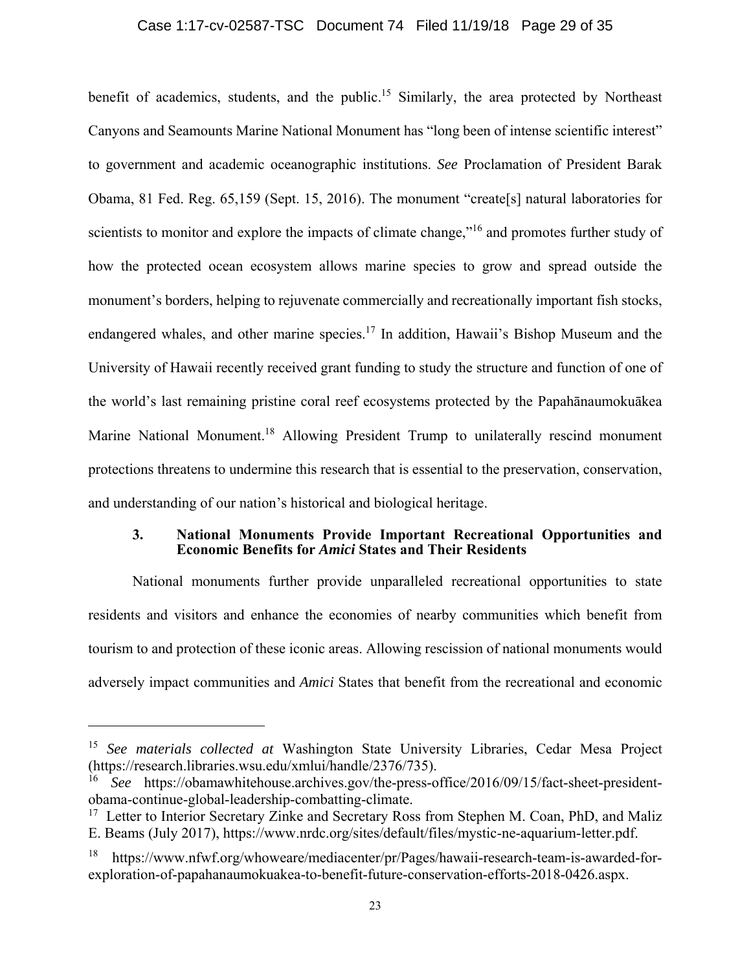### Case 1:17-cv-02587-TSC Document 74 Filed 11/19/18 Page 29 of 35

<span id="page-28-0"></span>benefit of academics, students, and the public.<sup>15</sup> Similarly, the area protected by Northeast Canyons and Seamounts Marine National Monument has "long been of intense scientific interest" to government and academic oceanographic institutions. *See* Proclamation of President Barak Obama, 81 Fed. Reg. 65,159 (Sept. 15, 2016). The monument "create[s] natural laboratories for scientists to monitor and explore the impacts of climate change,"<sup>16</sup> and promotes further study of how the protected ocean ecosystem allows marine species to grow and spread outside the monument's borders, helping to rejuvenate commercially and recreationally important fish stocks, endangered whales, and other marine species.<sup>17</sup> In addition, Hawaii's Bishop Museum and the University of Hawaii recently received grant funding to study the structure and function of one of the world's last remaining pristine coral reef ecosystems protected by the Papahānaumokuākea Marine National [Monument.](https://Monument.18)<sup>18</sup> Allowing President Trump to unilaterally rescind monument protections threatens to undermine this research that is essential to the preservation, conservation, and understanding of our nation's historical and biological heritage.

### **3. National Monuments Provide Important Recreational Opportunities and Economic Benefits for** *Amici* **States and Their Residents**

National monuments further provide unparalleled recreational opportunities to state residents and visitors and enhance the economies of nearby communities which benefit from tourism to and protection of these iconic areas. Allowing rescission of national monuments would adversely impact communities and *Amici* States that benefit from the recreational and economic

<sup>15</sup> *See materials collected at* Washington State University Libraries, Cedar Mesa Project (<https://research.libraries.wsu.edu/xmlui/handle/2376/735>).

<sup>16</sup> *See* <https://obamawhitehouse.archives.gov/the-press-office/2016/09/15/fact-sheet-president>obama-continue-global-leadership-combatting-climate.

 $17$  Letter to Interior Secretary Zinke and Secretary Ross from Stephen M. Coan, PhD, and Maliz E. Beams (July 2017), [https://www.nrdc.org/sites/default/files/mystic-ne-aquarium-letter.pdf.](https://www.nrdc.org/sites/default/files/mystic-ne-aquarium-letter.pdf)

<sup>18</sup> <https://www.nfwf.org/whoweare/mediacenter/pr/Pages/hawaii-research-team-is-awarded-for>exploration-of-papahanaumokuakea-to-benefit-future-conservation-efforts-2018-0426.aspx.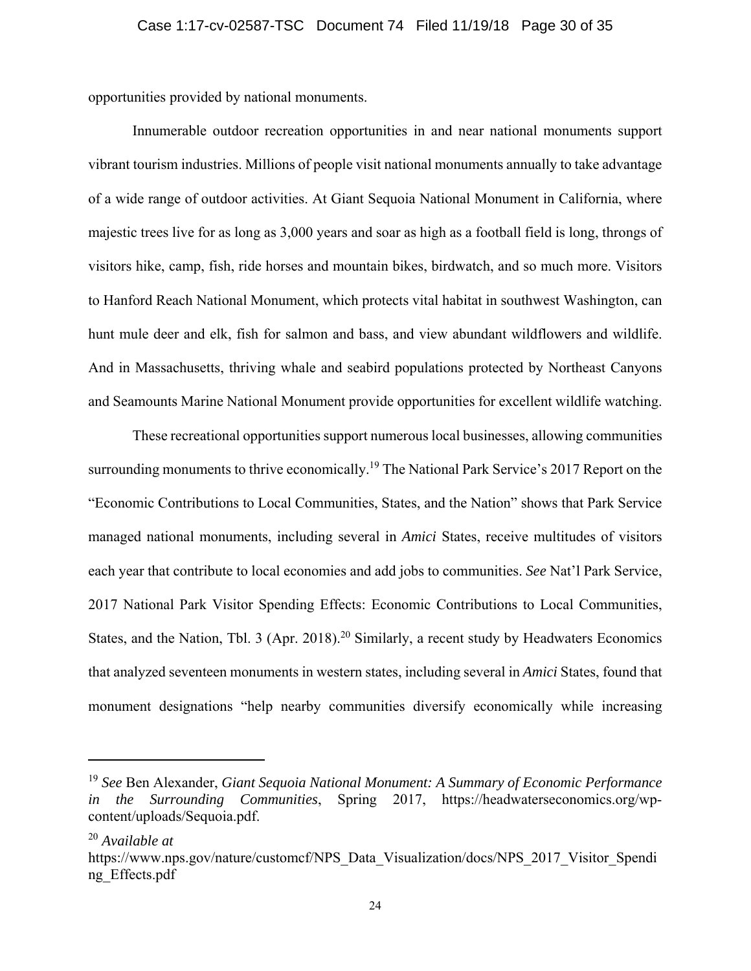<span id="page-29-0"></span>opportunities provided by national monuments.

Innumerable outdoor recreation opportunities in and near national monuments support vibrant tourism industries. Millions of people visit national monuments annually to take advantage of a wide range of outdoor activities. At Giant Sequoia National Monument in California, where majestic trees live for as long as 3,000 years and soar as high as a football field is long, throngs of visitors hike, camp, fish, ride horses and mountain bikes, birdwatch, and so much more. Visitors to Hanford Reach National Monument, which protects vital habitat in southwest Washington, can hunt mule deer and elk, fish for salmon and bass, and view abundant wildflowers and wildlife. And in Massachusetts, thriving whale and seabird populations protected by Northeast Canyons and Seamounts Marine National Monument provide opportunities for excellent wildlife watching.

These recreational opportunities support numerous local businesses, allowing communities surrounding monuments to thrive economically.<sup>19</sup> The National Park Service's 2017 Report on the "Economic Contributions to Local Communities, States, and the Nation" shows that Park Service managed national monuments, including several in *Amici* States, receive multitudes of visitors each year that contribute to local economies and add jobs to communities. *See* Nat'l Park Service, 2017 National Park Visitor Spending Effects: Economic Contributions to Local Communities, States, and the Nation, Tbl. 3 (Apr. 2018).<sup>20</sup> Similarly, a recent study by Headwaters Economics that analyzed seventeen monuments in western states, including several in *Amici* States, found that monument designations "help nearby communities diversify economically while increasing

<sup>19</sup> *See* Ben Alexander, *Giant Sequoia National Monument: A Summary of Economic Performance in the Surrounding Communities*, Spring 2017, <https://headwaterseconomics.org/wp>content/uploads/Sequoia.pdf.

<sup>20</sup> *Available at* 

[https://www.nps.gov/nature/customcf/NPS\\_Data\\_Visualization/docs/NPS\\_2017\\_Visitor\\_Spendi](https://www.nps.gov/nature/customcf/NPS_Data_Visualization/docs/NPS_2017_Visitor_Spendi) ng\_Effects.pdf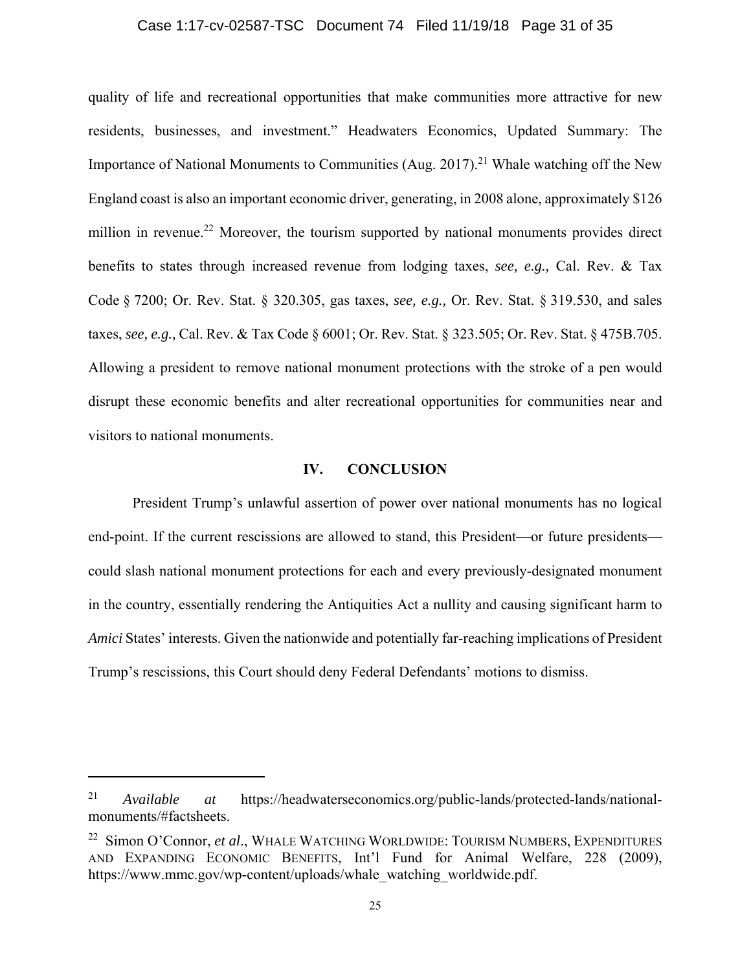### Case 1:17-cv-02587-TSC Document 74 Filed 11/19/18 Page 31 of 35

quality of life and recreational opportunities that make communities more attractive for new residents, businesses, and investment." Headwaters Economics, Updated Summary: The Importance of National Monuments to Communities (Aug. [2017\).](https://2017).21)<sup>21</sup> Whale watching off the New England coast is also an important economic driver, generating, in 2008 alone, approximately \$126 million in revenue.<sup>22</sup> Moreover, the tourism supported by national monuments provides direct benefits to states through increased revenue from lodging taxes, *see, e.g.,* Cal. Rev. & Tax Code § 7200; Or. Rev. Stat. § 320.305, gas taxes, *see, e.g.,* Or. Rev. Stat. § 319.530, and sales taxes, *see, e.g.,* Cal. Rev. & Tax Code § 6001; Or. Rev. Stat. § 323.505; Or. Rev. Stat. § 475B.705. Allowing a president to remove national monument protections with the stroke of a pen would disrupt these economic benefits and alter recreational opportunities for communities near and visitors to national monuments.

### **IV. CONCLUSION**

President Trump's unlawful assertion of power over national monuments has no logical end-point. If the current rescissions are allowed to stand, this President—or future presidents could slash national monument protections for each and every previously-designated monument in the country, essentially rendering the Antiquities Act a nullity and causing significant harm to *Amici* States' interests. Given the nationwide and potentially far-reaching implications of President Trump's rescissions, this Court should deny Federal Defendants' motions to dismiss.

<sup>21</sup> *Available at* <https://headwaterseconomics.org/public-lands/protected-lands/national>monuments/#factsheets.

<sup>22</sup> Simon O'Connor, *et al*., WHALE WATCHING WORLDWIDE: TOURISM NUMBERS, EXPENDITURES AND EXPANDING ECONOMIC BENEFITS, Int'l Fund for Animal Welfare, 228 (2009), [https://www.mmc.gov/wp-content/uploads/whale\\_watching\\_worldwide.pdf](https://www.mmc.gov/wp-content/uploads/whale_watching_worldwide.pdf).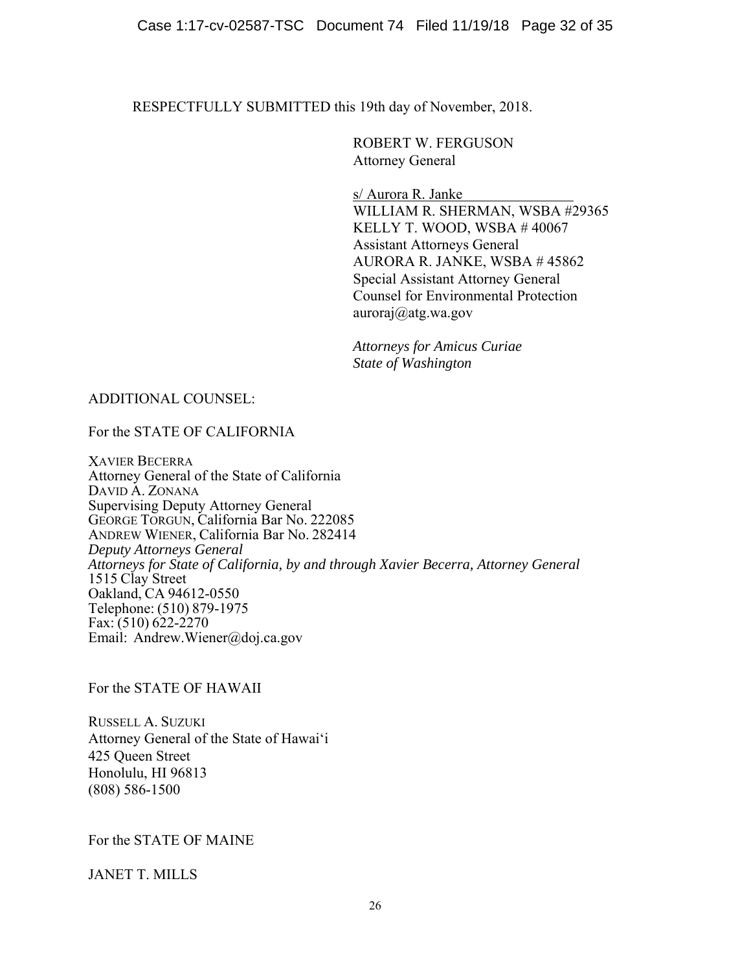RESPECTFULLY SUBMITTED this 19th day of November, 2018.

ROBERT W. FERGUSON Attorney General

s/ Aurora R. Janke WILLIAM R. SHERMAN, WSBA #29365 KELLY T. WOOD, WSBA # 40067 Assistant Attorneys General AURORA R. JANKE, WSBA # 45862 Special Assistant Attorney General Counsel for Environmental Protection [auroraj@atg.wa.gov](mailto:auroraj@atg.wa.gov) 

*Attorneys for Amicus Curiae State of Washington* 

## ADDITIONAL COUNSEL:

For the STATE OF CALIFORNIA

XAVIER BECERRA Attorney General of the State of California DAVID A. ZONANA Supervising Deputy Attorney General GEORGE TORGUN, California Bar No. 222085 ANDREW WIENER, California Bar No. 282414 *Deputy Attorneys General Attorneys for State of California, by and through Xavier Becerra, Attorney General*  1515 Clay Street Oakland, CA 94612-0550 Telephone: (510) 879-1975 Fax:  $(510)$  622-2270 Email: [Andrew.Wiener@doj.ca.gov](mailto:Andrew.Wiener@doj.ca.gov) 

For the STATE OF HAWAII

RUSSELL A. SUZUKI Attorney General of the State of Hawaiʻi 425 Queen Street Honolulu, HI 96813 (808) 586-1500

For the STATE OF MAINE

JANET T. MILLS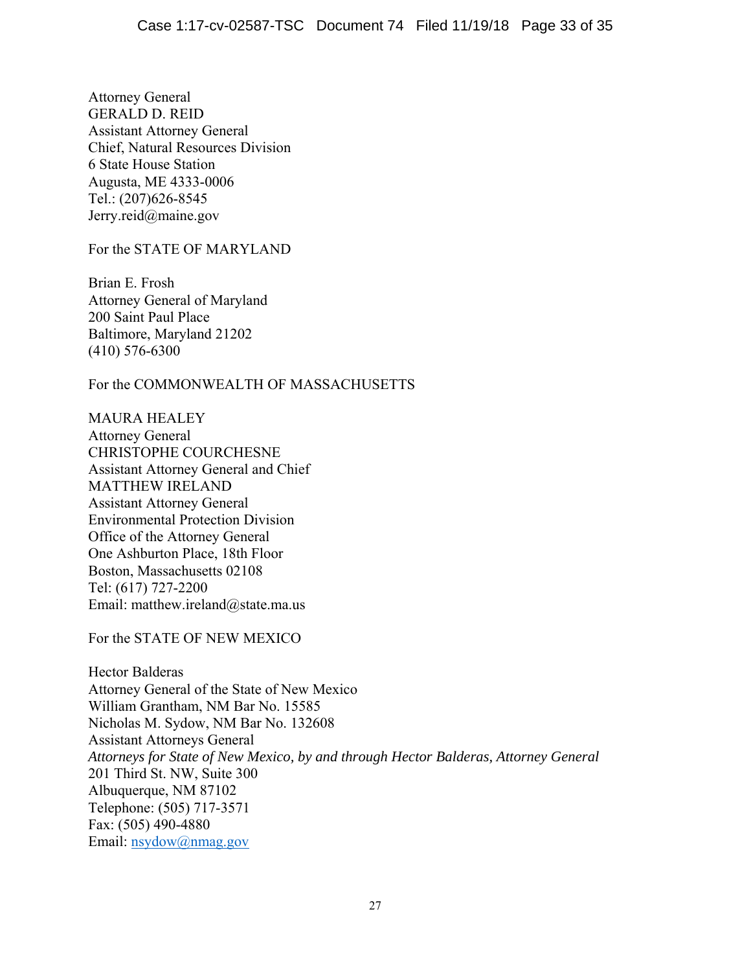Attorney General GERALD D. REID Assistant Attorney General Chief, Natural Resources Division 6 State House Station Augusta, ME 4333-0006 Tel.: (207)626-8545 [Jerry.reid@maine.gov](mailto:Jerry.reid@maine.gov)

For the STATE OF MARYLAND

Brian E. Frosh Attorney General of Maryland 200 Saint Paul Place Baltimore, Maryland 21202 (410) 576-6300

For the COMMONWEALTH OF MASSACHUSETTS

MAURA HEALEY Attorney General CHRISTOPHE COURCHESNE Assistant Attorney General and Chief MATTHEW IRELAND Assistant Attorney General Environmental Protection Division Office of the Attorney General One Ashburton Place, 18th Floor Boston, Massachusetts 02108 Tel: (617) 727-2200 Email: [matthew.ireland@state.ma.us](mailto:matthew.ireland@state.ma.us)

For the STATE OF NEW MEXICO

Hector Balderas Attorney General of the State of New Mexico William Grantham, NM Bar No. 15585 Nicholas M. Sydow, NM Bar No. 132608 Assistant Attorneys General *Attorneys for State of New Mexico, by and through Hector Balderas, Attorney General*  201 Third St. NW, Suite 300 Albuquerque, NM 87102 Telephone: (505) 717-3571 Fax: (505) 490-4880 Email: [nsydow@nmag.gov](mailto:nsydow@nmag.gov)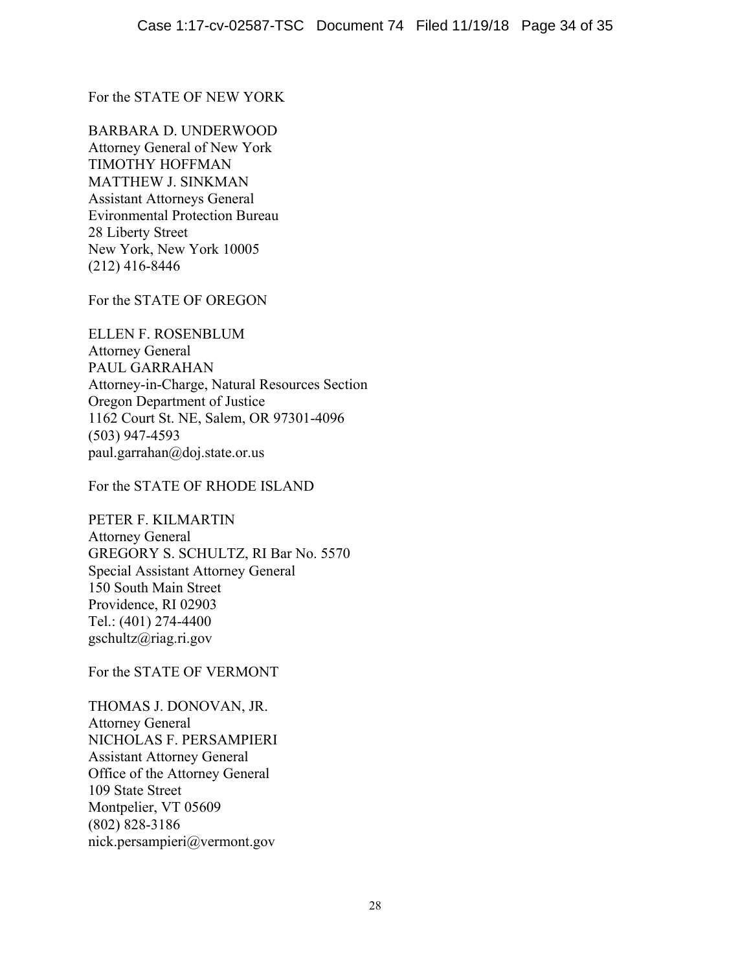For the STATE OF NEW YORK

BARBARA D. UNDERWOOD Attorney General of New York TIMOTHY HOFFMAN MATTHEW J. SINKMAN Assistant Attorneys General Evironmental Protection Bureau 28 Liberty Street New York, New York 10005 (212) 416-8446

For the STATE OF OREGON

ELLEN F. ROSENBLUM Attorney General PAUL GARRAHAN Attorney-in-Charge, Natural Resources Section Oregon Department of Justice 1162 Court St. NE, Salem, OR 97301-4096 (503) 947-4593 [paul.garrahan@doj.state.or.us](mailto:paul.garrahan@doj.state.or.us) 

For the STATE OF RHODE ISLAND

PETER F. KILMARTIN Attorney General GREGORY S. SCHULTZ, RI Bar No. 5570 Special Assistant Attorney General 150 South Main Street Providence, RI 02903 Tel.: (401) 274-4400 [gschultz@riag.ri.gov](mailto:gschultz@riag.ri.gov)

For the STATE OF VERMONT

THOMAS J. DONOVAN, JR. Attorney General NICHOLAS F. PERSAMPIERI Assistant Attorney General Office of the Attorney General 109 State Street Montpelier, VT 05609 (802) 828-3186 [nick.persampieri@vermont.gov](mailto:nick.persampieri@vermont.gov)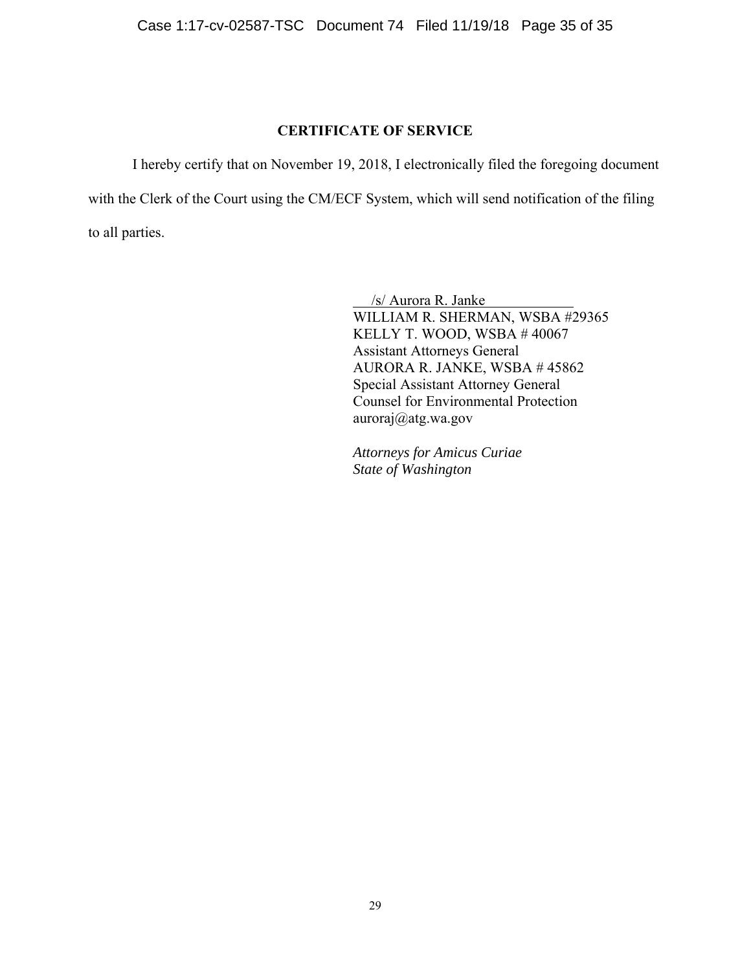## **CERTIFICATE OF SERVICE**

I hereby certify that on November 19, 2018, I electronically filed the foregoing document with the Clerk of the Court using the CM/ECF System, which will send notification of the filing to all parties.

> /s/ Aurora R. Janke WILLIAM R. SHERMAN, WSBA #29365 KELLY T. WOOD, WSBA # 40067 Assistant Attorneys General AURORA R. JANKE, WSBA # 45862 Special Assistant Attorney General Counsel for Environmental Protection [auroraj@atg.wa.gov](mailto:auroraj@atg.wa.gov)

*Attorneys for Amicus Curiae State of Washington*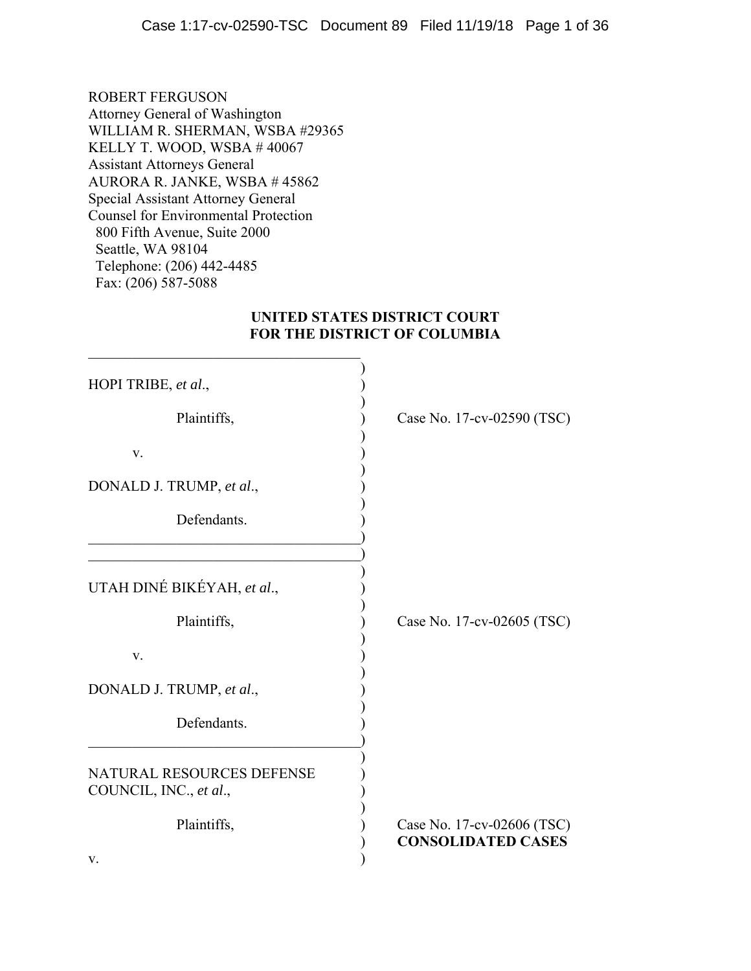ROBERT FERGUSON Attorney General of Washington WILLIAM R. SHERMAN, WSBA #29365 KELLY T. WOOD, WSBA # 40067 Assistant Attorneys General AURORA R. JANKE, WSBA # 45862 Special Assistant Attorney General Counsel for Environmental Protection 800 Fifth Avenue, Suite 2000 Seattle, WA 98104 Telephone: (206) 442-4485 Fax: (206) 587-5088

## **UNITED STATES DISTRICT COURT FOR THE DISTRICT OF COLUMBIA**

| HOPI TRIBE, et al.,                                        |                                                         |
|------------------------------------------------------------|---------------------------------------------------------|
| Plaintiffs,                                                | Case No. 17-cv-02590 (TSC)                              |
| V.                                                         |                                                         |
| DONALD J. TRUMP, et al.,                                   |                                                         |
| Defendants.                                                |                                                         |
|                                                            |                                                         |
| UTAH DINÉ BIKÉYAH, et al.,                                 |                                                         |
| Plaintiffs,                                                | Case No. 17-cv-02605 (TSC)                              |
| V.                                                         |                                                         |
| DONALD J. TRUMP, et al.,                                   |                                                         |
| Defendants.                                                |                                                         |
| <b>NATURAL RESOURCES DEFENSE</b><br>COUNCIL, INC., et al., |                                                         |
| Plaintiffs,                                                | Case No. 17-cv-02606 (TSC)<br><b>CONSOLIDATED CASES</b> |
| V.                                                         |                                                         |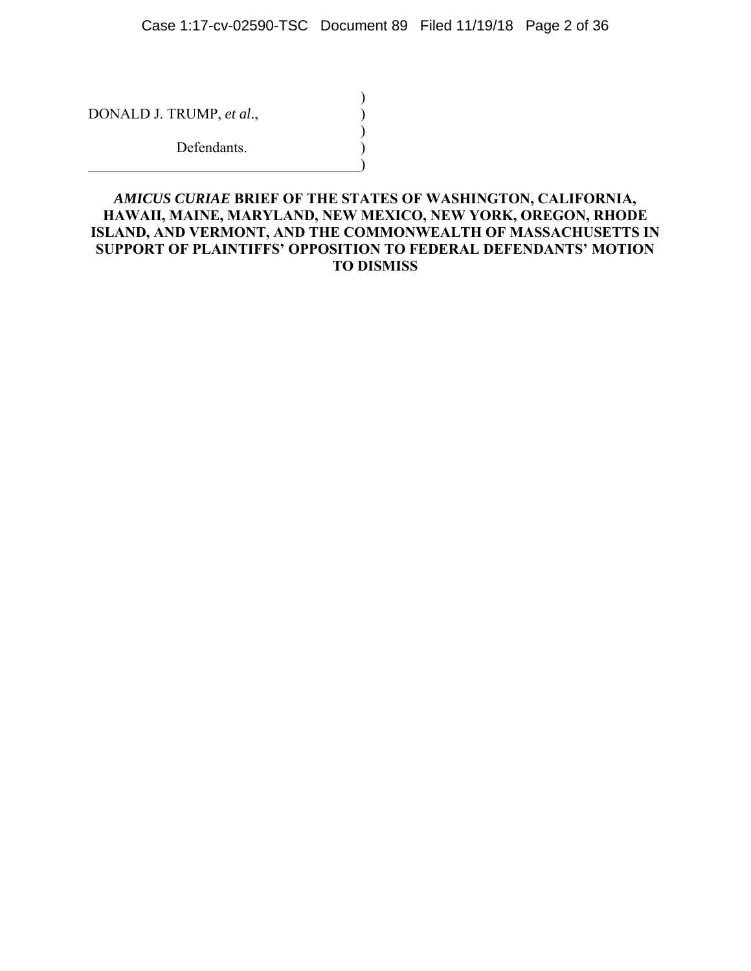)

)

DONALD J. TRUMP, *et al.*,

Defendants.  $\qquad \qquad \Box$ 

*AMICUS CURIAE* **BRIEF OF THE STATES OF WASHINGTON, CALIFORNIA, HAWAII, MAINE, MARYLAND, NEW MEXICO, NEW YORK, OREGON, RHODE ISLAND, AND VERMONT, AND THE COMMONWEALTH OF MASSACHUSETTS IN SUPPORT OF PLAINTIFFS' OPPOSITION TO FEDERAL DEFENDANTS' MOTION TO DISMISS**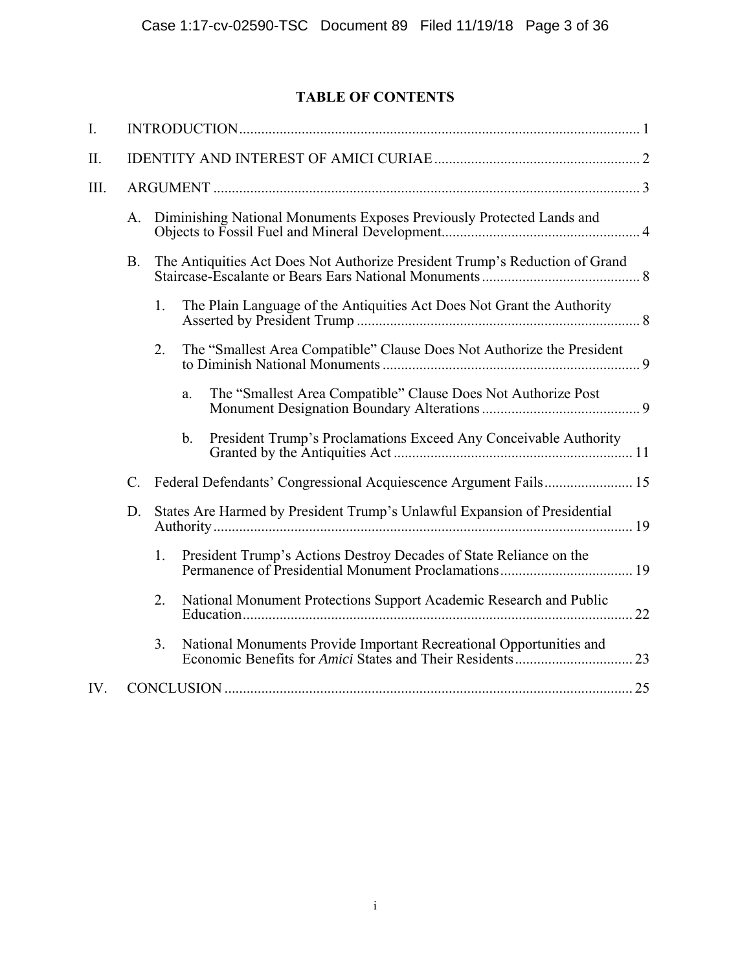## **TABLE OF CONTENTS**

| I.  |           |    |                                                                                   |  |  |
|-----|-----------|----|-----------------------------------------------------------------------------------|--|--|
| Π.  |           |    |                                                                                   |  |  |
| Ш.  |           |    |                                                                                   |  |  |
|     | A.        |    | Diminishing National Monuments Exposes Previously Protected Lands and             |  |  |
|     | <b>B.</b> |    | The Antiquities Act Does Not Authorize President Trump's Reduction of Grand       |  |  |
|     |           | 1. | The Plain Language of the Antiquities Act Does Not Grant the Authority            |  |  |
|     |           | 2. | The "Smallest Area Compatible" Clause Does Not Authorize the President            |  |  |
|     |           |    | The "Smallest Area Compatible" Clause Does Not Authorize Post<br>a.               |  |  |
|     |           |    | President Trump's Proclamations Exceed Any Conceivable Authority<br>$\mathbf b$ . |  |  |
|     | $C$ .     |    | Federal Defendants' Congressional Acquiescence Argument Fails 15                  |  |  |
|     | D.        |    | States Are Harmed by President Trump's Unlawful Expansion of Presidential         |  |  |
|     |           | 1. | President Trump's Actions Destroy Decades of State Reliance on the                |  |  |
|     |           | 2. | National Monument Protections Support Academic Research and Public                |  |  |
|     |           | 3. | National Monuments Provide Important Recreational Opportunities and               |  |  |
| IV. |           |    |                                                                                   |  |  |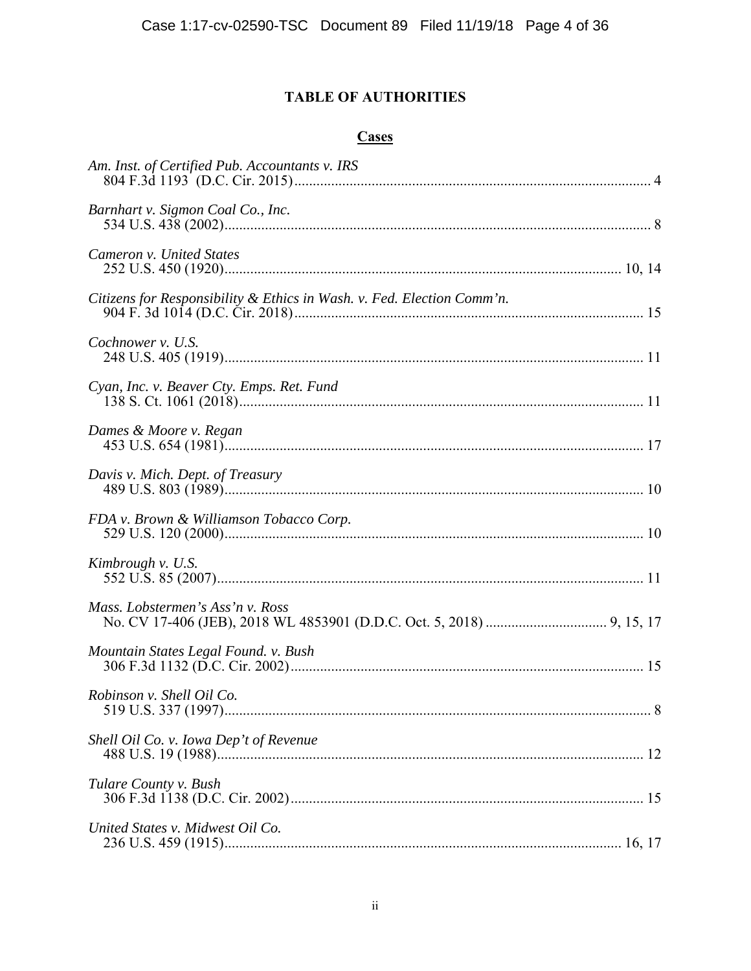## **TABLE OF AUTHORITIES**

## **Cases**

| Am. Inst. of Certified Pub. Accountants v. IRS                         |
|------------------------------------------------------------------------|
| Barnhart v. Sigmon Coal Co., Inc.                                      |
| Cameron v. United States                                               |
| Citizens for Responsibility & Ethics in Wash. v. Fed. Election Comm'n. |
| Cochnower v. U.S.                                                      |
| Cyan, Inc. v. Beaver Cty. Emps. Ret. Fund                              |
| Dames & Moore v. Regan                                                 |
| Davis v. Mich. Dept. of Treasury                                       |
| FDA v. Brown & Williamson Tobacco Corp.                                |
| Kimbrough v. U.S.                                                      |
| Mass. Lobstermen's Ass'n v. Ross                                       |
| Mountain States Legal Found. v. Bush                                   |
| Robinson v. Shell Oil Co.                                              |
| Shell Oil Co. v. Iowa Dep't of Revenue                                 |
| Tulare County v. Bush                                                  |
| United States v. Midwest Oil Co.                                       |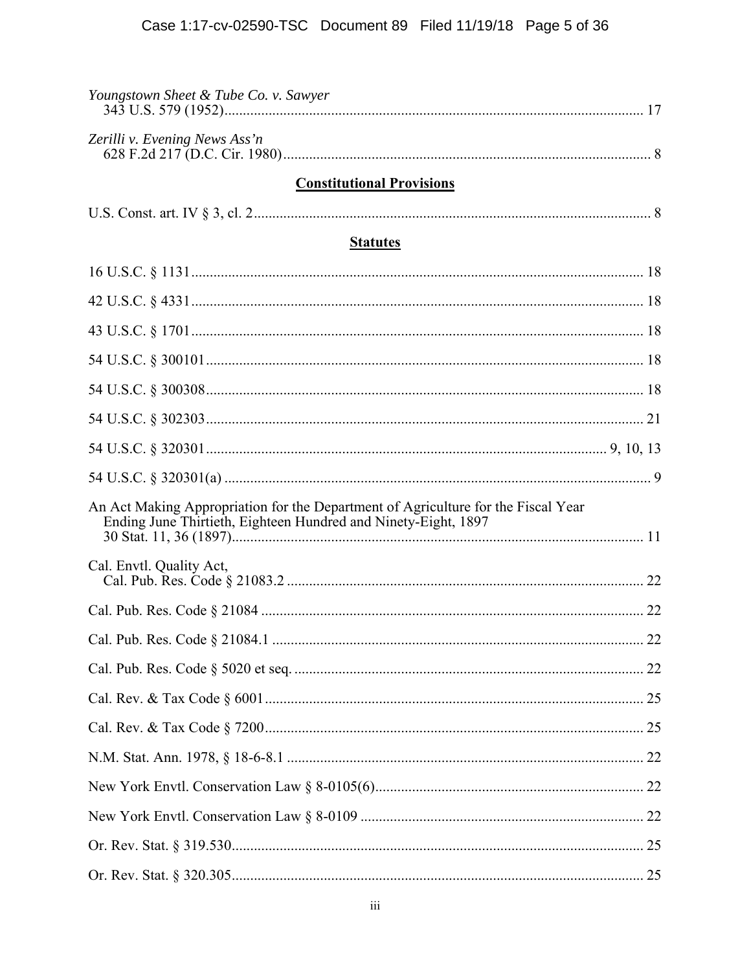| Youngstown Sheet & Tube Co. v. Sawyer                                                                                                               |  |
|-----------------------------------------------------------------------------------------------------------------------------------------------------|--|
| Zerilli v. Evening News Ass'n                                                                                                                       |  |
| <b>Constitutional Provisions</b>                                                                                                                    |  |
|                                                                                                                                                     |  |
| <b>Statutes</b>                                                                                                                                     |  |
|                                                                                                                                                     |  |
|                                                                                                                                                     |  |
|                                                                                                                                                     |  |
|                                                                                                                                                     |  |
|                                                                                                                                                     |  |
|                                                                                                                                                     |  |
|                                                                                                                                                     |  |
|                                                                                                                                                     |  |
| An Act Making Appropriation for the Department of Agriculture for the Fiscal Year<br>Ending June Thirtieth, Eighteen Hundred and Ninety-Eight, 1897 |  |
| Cal. Envtl. Quality Act,                                                                                                                            |  |
|                                                                                                                                                     |  |
|                                                                                                                                                     |  |
|                                                                                                                                                     |  |
|                                                                                                                                                     |  |
|                                                                                                                                                     |  |
|                                                                                                                                                     |  |
|                                                                                                                                                     |  |
|                                                                                                                                                     |  |
|                                                                                                                                                     |  |
|                                                                                                                                                     |  |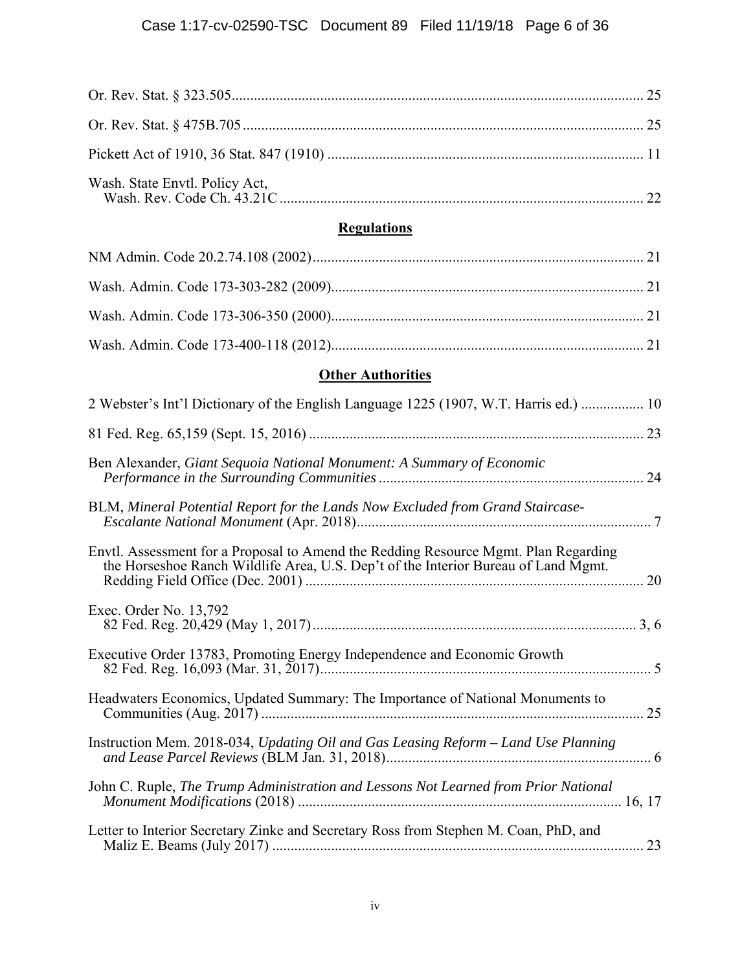## **Regulations**

# **Other Authorities**

| 2 Webster's Int'l Dictionary of the English Language 1225 (1907, W.T. Harris ed.)  10                                                                                     |
|---------------------------------------------------------------------------------------------------------------------------------------------------------------------------|
|                                                                                                                                                                           |
| Ben Alexander, Giant Sequoia National Monument: A Summary of Economic                                                                                                     |
| BLM, Mineral Potential Report for the Lands Now Excluded from Grand Staircase-                                                                                            |
| Envtl. Assessment for a Proposal to Amend the Redding Resource Mgmt. Plan Regarding<br>the Horseshoe Ranch Wildlife Area, U.S. Dep't of the Interior Bureau of Land Mgmt. |
| Exec. Order No. 13,792                                                                                                                                                    |
| Executive Order 13783, Promoting Energy Independence and Economic Growth                                                                                                  |
| Headwaters Economics, Updated Summary: The Importance of National Monuments to                                                                                            |
| Instruction Mem. 2018-034, Updating Oil and Gas Leasing Reform - Land Use Planning                                                                                        |
| John C. Ruple, The Trump Administration and Lessons Not Learned from Prior National                                                                                       |
| Letter to Interior Secretary Zinke and Secretary Ross from Stephen M. Coan, PhD, and                                                                                      |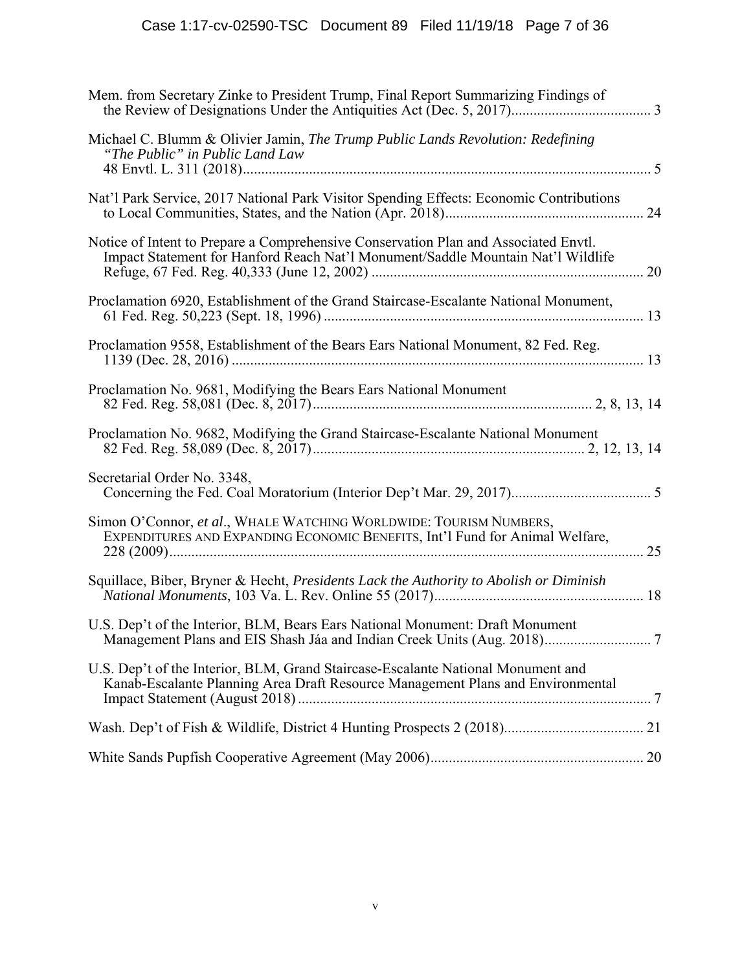| Mem. from Secretary Zinke to President Trump, Final Report Summarizing Findings of                                                                                      |
|-------------------------------------------------------------------------------------------------------------------------------------------------------------------------|
| Michael C. Blumm & Olivier Jamin, The Trump Public Lands Revolution: Redefining<br>"The Public" in Public Land Law                                                      |
| Nat'l Park Service, 2017 National Park Visitor Spending Effects: Economic Contributions                                                                                 |
| Notice of Intent to Prepare a Comprehensive Conservation Plan and Associated Envtl.<br>Impact Statement for Hanford Reach Nat'l Monument/Saddle Mountain Nat'l Wildlife |
| Proclamation 6920, Establishment of the Grand Staircase-Escalante National Monument,                                                                                    |
| Proclamation 9558, Establishment of the Bears Ears National Monument, 82 Fed. Reg.                                                                                      |
| Proclamation No. 9681, Modifying the Bears Ears National Monument                                                                                                       |
| Proclamation No. 9682, Modifying the Grand Staircase-Escalante National Monument                                                                                        |
| Secretarial Order No. 3348,                                                                                                                                             |
| Simon O'Connor, et al., WHALE WATCHING WORLDWIDE: TOURISM NUMBERS,<br>EXPENDITURES AND EXPANDING ECONOMIC BENEFITS, Int'l Fund for Animal Welfare,                      |
| Squillace, Biber, Bryner & Hecht, Presidents Lack the Authority to Abolish or Diminish                                                                                  |
| U.S. Dep't of the Interior, BLM, Bears Ears National Monument: Draft Monument                                                                                           |
| U.S. Dep't of the Interior, BLM, Grand Staircase-Escalante National Monument and<br>Kanab-Escalante Planning Area Draft Resource Management Plans and Environmental     |
|                                                                                                                                                                         |
|                                                                                                                                                                         |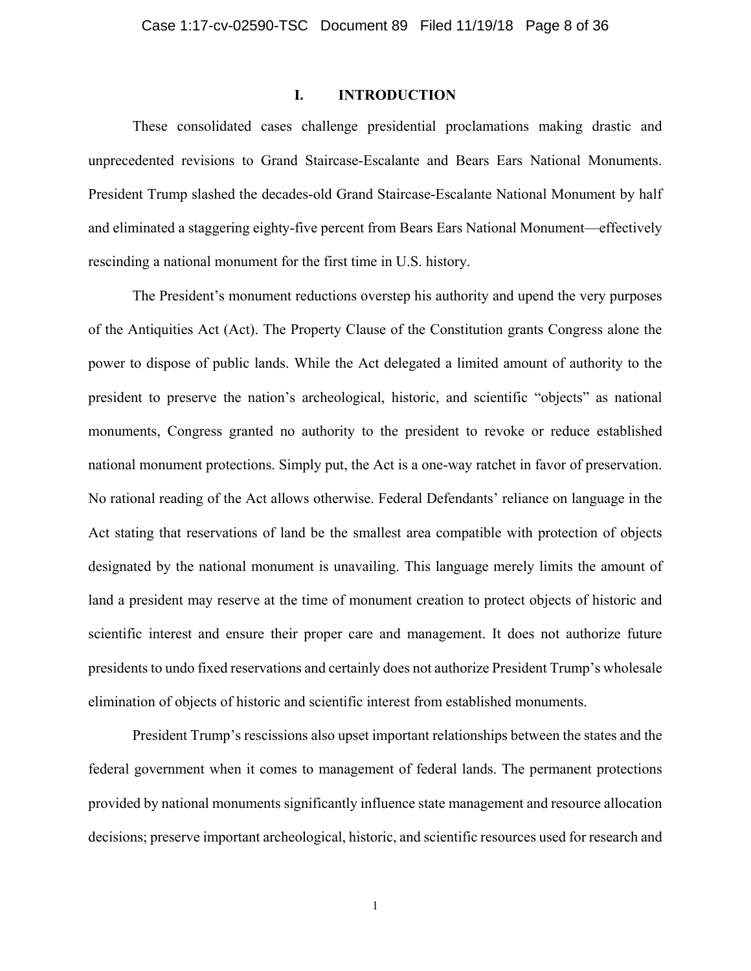### **I. INTRODUCTION**

These consolidated cases challenge presidential proclamations making drastic and unprecedented revisions to Grand Staircase-Escalante and Bears Ears National Monuments. President Trump slashed the decades-old Grand Staircase-Escalante National Monument by half and eliminated a staggering eighty-five percent from Bears Ears National Monument—effectively rescinding a national monument for the first time in U.S. history.

The President's monument reductions overstep his authority and upend the very purposes of the Antiquities Act (Act). The Property Clause of the Constitution grants Congress alone the power to dispose of public lands. While the Act delegated a limited amount of authority to the president to preserve the nation's archeological, historic, and scientific "objects" as national monuments, Congress granted no authority to the president to revoke or reduce established national monument protections. Simply put, the Act is a one-way ratchet in favor of preservation. No rational reading of the Act allows otherwise. Federal Defendants' reliance on language in the Act stating that reservations of land be the smallest area compatible with protection of objects designated by the national monument is unavailing. This language merely limits the amount of land a president may reserve at the time of monument creation to protect objects of historic and scientific interest and ensure their proper care and management. It does not authorize future presidents to undo fixed reservations and certainly does not authorize President Trump's wholesale elimination of objects of historic and scientific interest from established monuments.

President Trump's rescissions also upset important relationships between the states and the federal government when it comes to management of federal lands. The permanent protections provided by national monuments significantly influence state management and resource allocation decisions; preserve important archeological, historic, and scientific resources used for research and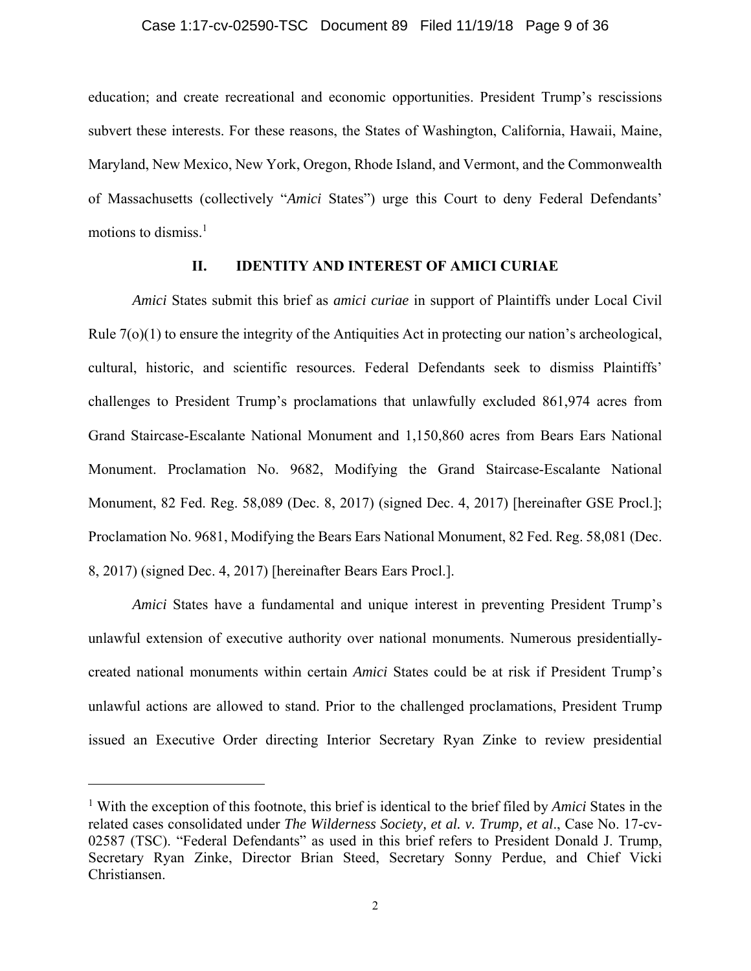education; and create recreational and economic opportunities. President Trump's rescissions subvert these interests. For these reasons, the States of Washington, California, Hawaii, Maine, Maryland, New Mexico, New York, Oregon, Rhode Island, and Vermont, and the Commonwealth of Massachusetts (collectively "*Amici* States") urge this Court to deny Federal Defendants' motions to dismiss. $<sup>1</sup>$ </sup>

### **II. IDENTITY AND INTEREST OF AMICI CURIAE**

*Amici* States submit this brief as *amici curiae* in support of Plaintiffs under Local Civil Rule 7(o)(1) to ensure the integrity of the Antiquities Act in protecting our nation's archeological, cultural, historic, and scientific resources. Federal Defendants seek to dismiss Plaintiffs' challenges to President Trump's proclamations that unlawfully excluded 861,974 acres from Grand Staircase-Escalante National Monument and 1,150,860 acres from Bears Ears National Monument. Proclamation No. 9682, Modifying the Grand Staircase-Escalante National Monument, 82 Fed. Reg. 58,089 (Dec. 8, 2017) (signed Dec. 4, 2017) [hereinafter GSE Procl.]; Proclamation No. 9681, Modifying the Bears Ears National Monument, 82 Fed. Reg. 58,081 (Dec. 8, 2017) (signed Dec. 4, 2017) [hereinafter Bears Ears Procl.].

*Amici* States have a fundamental and unique interest in preventing President Trump's unlawful extension of executive authority over national monuments. Numerous presidentiallycreated national monuments within certain *Amici* States could be at risk if President Trump's unlawful actions are allowed to stand. Prior to the challenged proclamations, President Trump issued an Executive Order directing Interior Secretary Ryan Zinke to review presidential

<sup>&</sup>lt;sup>1</sup> With the exception of this footnote, this brief is identical to the brief filed by *Amici* States in the related cases consolidated under *The Wilderness Society, et al. v. Trump, et al*., Case No. 17-cv-02587 (TSC). "Federal Defendants" as used in this brief refers to President Donald J. Trump, Secretary Ryan Zinke, Director Brian Steed, Secretary Sonny Perdue, and Chief Vicki Christiansen.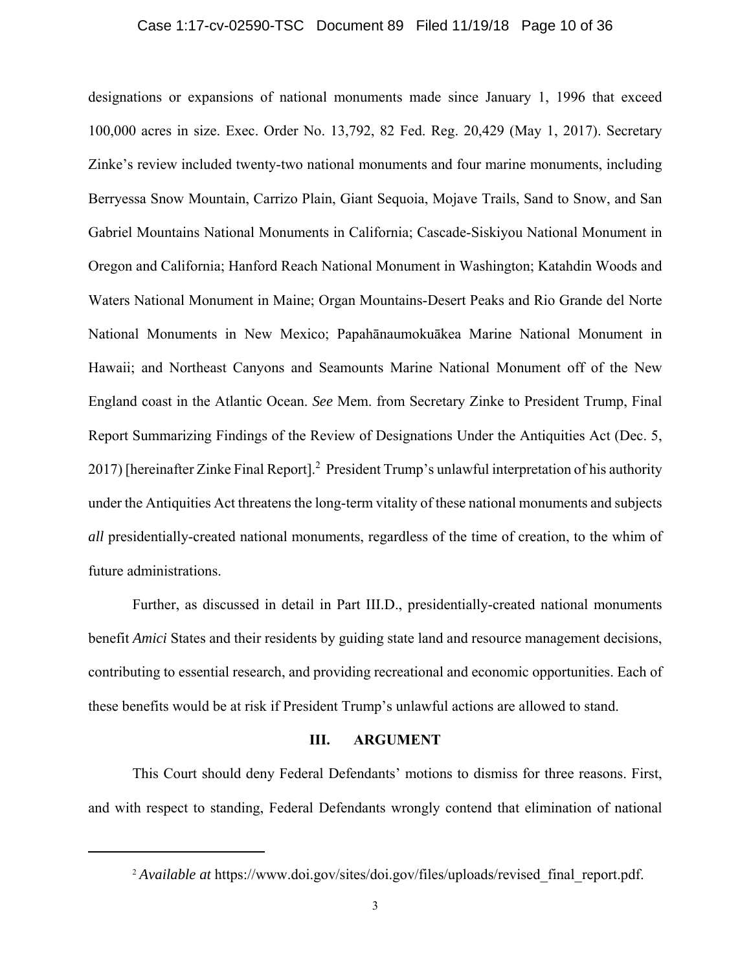### Case 1:17-cv-02590-TSC Document 89 Filed 11/19/18 Page 10 of 36

designations or expansions of national monuments made since January 1, 1996 that exceed 100,000 acres in size. Exec. Order No. 13,792, 82 Fed. Reg. 20,429 (May 1, 2017). Secretary Zinke's review included twenty-two national monuments and four marine monuments, including Berryessa Snow Mountain, Carrizo Plain, Giant Sequoia, Mojave Trails, Sand to Snow, and San Gabriel Mountains National Monuments in California; Cascade-Siskiyou National Monument in Oregon and California; Hanford Reach National Monument in Washington; Katahdin Woods and Waters National Monument in Maine; Organ Mountains-Desert Peaks and Rio Grande del Norte National Monuments in New Mexico; Papahānaumokuākea Marine National Monument in Hawaii; and Northeast Canyons and Seamounts Marine National Monument off of the New England coast in the Atlantic Ocean. *See* Mem. from Secretary Zinke to President Trump, Final Report Summarizing Findings of the Review of Designations Under the Antiquities Act (Dec. 5, 2017) [hereinafter Zinke Final Report].<sup>2</sup> President Trump's unlawful interpretation of his authority under the Antiquities Act threatens the long-term vitality of these national monuments and subjects *all* presidentially-created national monuments, regardless of the time of creation, to the whim of future administrations.

Further, as discussed in detail in Part III.D., presidentially-created national monuments benefit *Amici* States and their residents by guiding state land and resource management decisions, contributing to essential research, and providing recreational and economic opportunities. Each of these benefits would be at risk if President Trump's unlawful actions are allowed to stand.

#### **III. ARGUMENT**

This Court should deny Federal Defendants' motions to dismiss for three reasons. First, and with respect to standing, Federal Defendants wrongly contend that elimination of national

<sup>&</sup>lt;sup>2</sup> *Available at* https://www.doi.gov/sites/doi.gov/files/uploads/revised final report.pdf.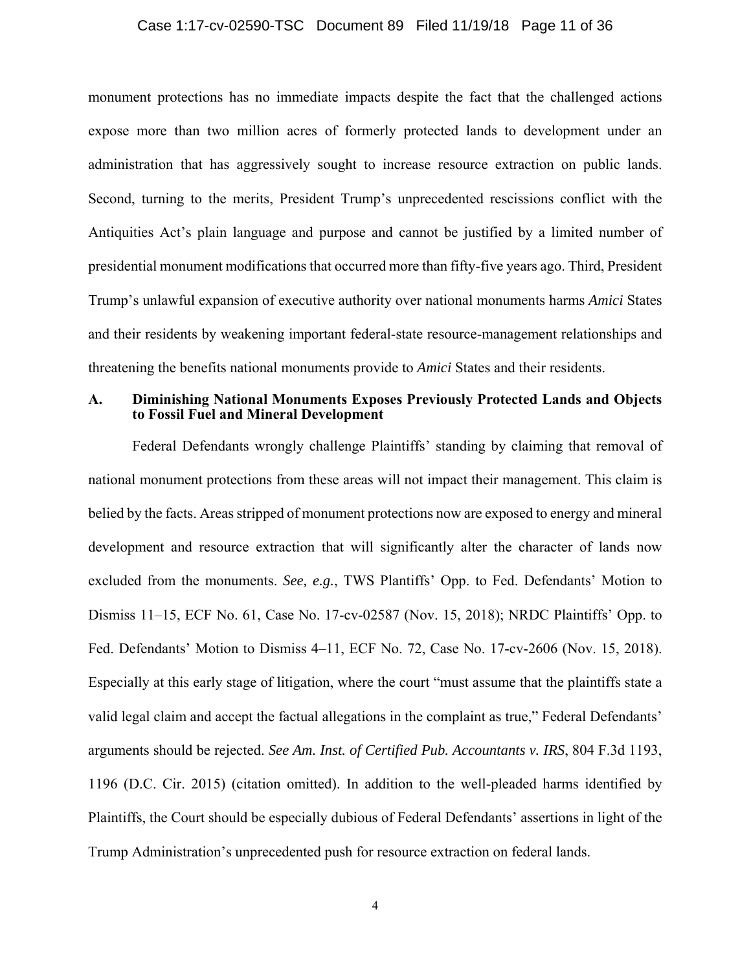### Case 1:17-cv-02590-TSC Document 89 Filed 11/19/18 Page 11 of 36

 Antiquities Act's plain language and purpose and cannot be justified by a limited number of Trump's unlawful expansion of executive authority over national monuments harms *Amici* States monument protections has no immediate impacts despite the fact that the challenged actions expose more than two million acres of formerly protected lands to development under an administration that has aggressively sought to increase resource extraction on public lands. Second, turning to the merits, President Trump's unprecedented rescissions conflict with the presidential monument modifications that occurred more than fifty-five years ago. Third, President and their residents by weakening important federal-state resource-management relationships and threatening the benefits national monuments provide to *Amici* States and their residents.

## **A. Diminishing National Monuments Exposes Previously Protected Lands and Objects to Fossil Fuel and Mineral Development**

 Federal Defendants wrongly challenge Plaintiffs' standing by claiming that removal of national monument protections from these areas will not impact their management. This claim is Especially at this early stage of litigation, where the court "must assume that the plaintiffs state a belied by the facts. Areas stripped of monument protections now are exposed to energy and mineral development and resource extraction that will significantly alter the character of lands now excluded from the monuments. *See, e.g.*, TWS Plantiffs' Opp. to Fed. Defendants' Motion to Dismiss 11–15, ECF No. 61, Case No. 17-cv-02587 (Nov. 15, 2018); NRDC Plaintiffs' Opp. to Fed. Defendants' Motion to Dismiss 4–11, ECF No. 72, Case No. 17-cv-2606 (Nov. 15, 2018). valid legal claim and accept the factual allegations in the complaint as true," Federal Defendants' arguments should be rejected. *See Am. Inst. of Certified Pub. Accountants v. IRS*, 804 F.3d 1193, 1196 (D.C. Cir. 2015) (citation omitted). In addition to the well-pleaded harms identified by Plaintiffs, the Court should be especially dubious of Federal Defendants' assertions in light of the Trump Administration's unprecedented push for resource extraction on federal lands.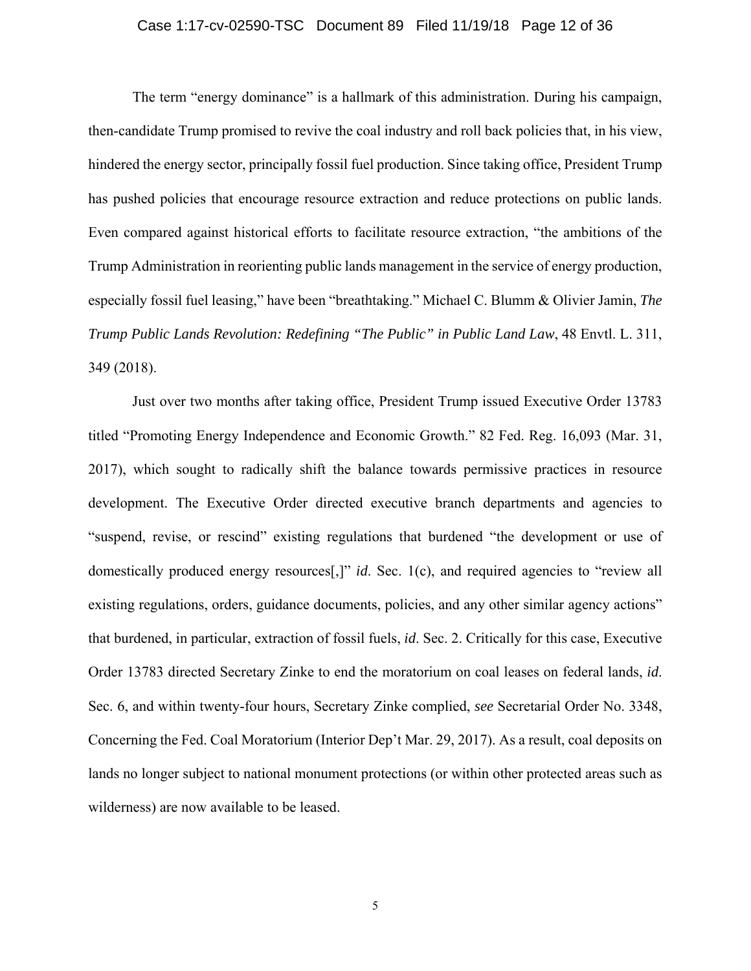### Case 1:17-cv-02590-TSC Document 89 Filed 11/19/18 Page 12 of 36

The term "energy dominance" is a hallmark of this administration. During his campaign, then-candidate Trump promised to revive the coal industry and roll back policies that, in his view, Trump Administration in reorienting public lands management in the service of energy production, hindered the energy sector, principally fossil fuel production. Since taking office, President Trump has pushed policies that encourage resource extraction and reduce protections on public lands. Even compared against historical efforts to facilitate resource extraction, "the ambitions of the especially fossil fuel leasing," have been "breathtaking." Michael C. Blumm & Olivier Jamin, *The Trump Public Lands Revolution: Redefining "The Public" in Public Land Law*, 48 Envtl. L. 311, 349 (2018).

 that burdened, in particular, extraction of fossil fuels, *id*. Sec. 2. Critically for this case, Executive Just over two months after taking office, President Trump issued Executive Order 13783 titled "Promoting Energy Independence and Economic Growth." 82 Fed. Reg. 16,093 (Mar. 31, 2017), which sought to radically shift the balance towards permissive practices in resource development. The Executive Order directed executive branch departments and agencies to "suspend, revise, or rescind" existing regulations that burdened "the development or use of domestically produced energy resources[,]" *id*. Sec. 1(c), and required agencies to "review all existing regulations, orders, guidance documents, policies, and any other similar agency actions" Order 13783 directed Secretary Zinke to end the moratorium on coal leases on federal lands, *id*. Sec. 6, and within twenty-four hours, Secretary Zinke complied, *see* Secretarial Order No. 3348, Concerning the Fed. Coal Moratorium (Interior Dep't Mar. 29, 2017). As a result, coal deposits on lands no longer subject to national monument protections (or within other protected areas such as wilderness) are now available to be leased.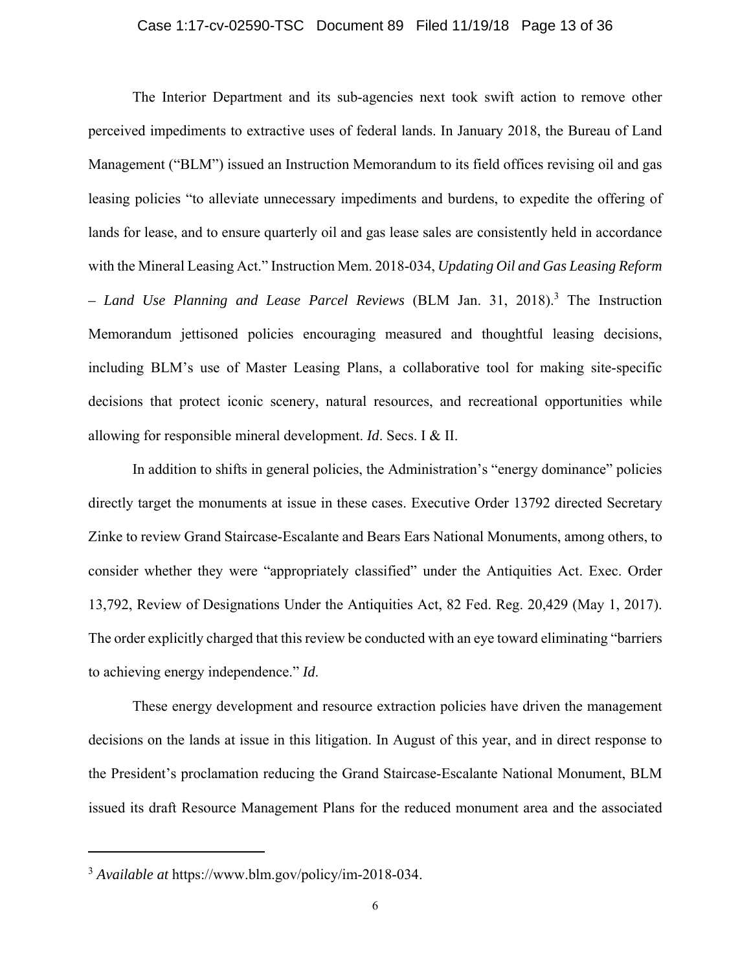### Case 1:17-cv-02590-TSC Document 89 Filed 11/19/18 Page 13 of 36

The Interior Department and its sub-agencies next took swift action to remove other perceived impediments to extractive uses of federal lands. In January 2018, the Bureau of Land Management ("BLM") issued an Instruction Memorandum to its field offices revising oil and gas leasing policies "to alleviate unnecessary impediments and burdens, to expedite the offering of lands for lease, and to ensure quarterly oil and gas lease sales are consistently held in accordance with the Mineral Leasing Act." Instruction Mem. 2018-034, *Updating Oil and Gas Leasing Reform – Land Use Planning and Lease Parcel Reviews* (BLM Jan. 31, 2018).3 The Instruction Memorandum jettisoned policies encouraging measured and thoughtful leasing decisions, including BLM's use of Master Leasing Plans, a collaborative tool for making site-specific decisions that protect iconic scenery, natural resources, and recreational opportunities while allowing for responsible mineral development. *Id*. Secs. I & II.

In addition to shifts in general policies, the Administration's "energy dominance" policies directly target the monuments at issue in these cases. Executive Order 13792 directed Secretary Zinke to review Grand Staircase-Escalante and Bears Ears National Monuments, among others, to consider whether they were "appropriately classified" under the Antiquities Act. Exec. Order 13,792, Review of Designations Under the Antiquities Act, 82 Fed. Reg. 20,429 (May 1, 2017). The order explicitly charged that this review be conducted with an eye toward eliminating "barriers to achieving energy independence." *Id*.

These energy development and resource extraction policies have driven the management decisions on the lands at issue in this litigation. In August of this year, and in direct response to the President's proclamation reducing the Grand Staircase-Escalante National Monument, BLM issued its draft Resource Management Plans for the reduced monument area and the associated

<sup>3</sup> *Available at* [https://www.blm.gov/policy/im-2018-034.](https://www.blm.gov/policy/im-2018-034)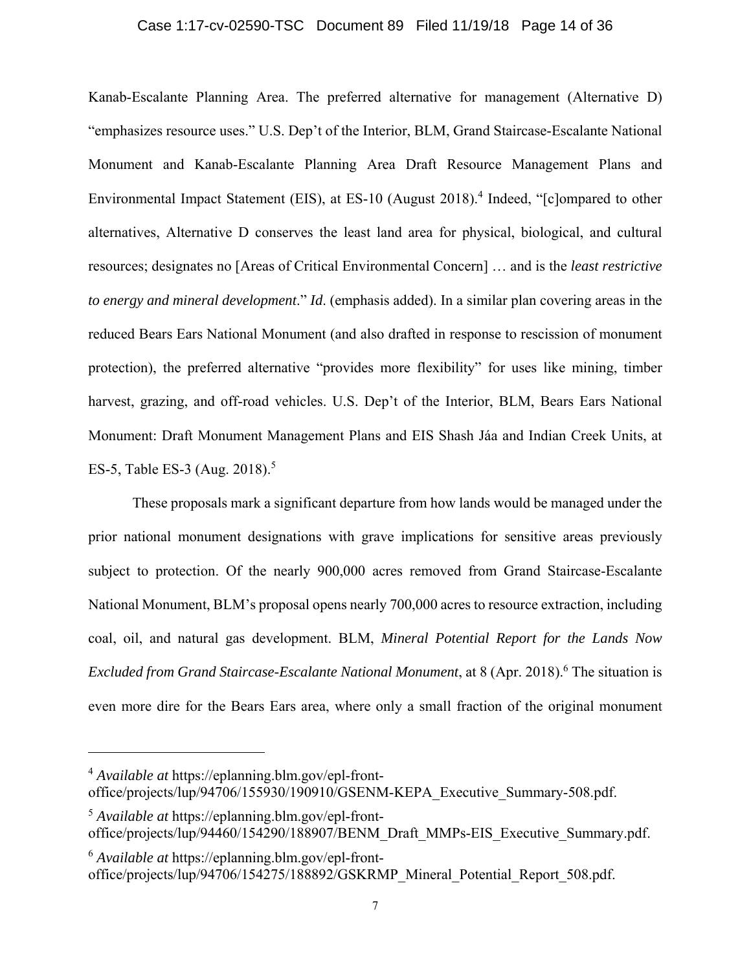### Case 1:17-cv-02590-TSC Document 89 Filed 11/19/18 Page 14 of 36

Kanab-Escalante Planning Area. The preferred alternative for management (Alternative D) "emphasizes resource uses." U.S. Dep't of the Interior, BLM, Grand Staircase-Escalante National Monument and Kanab-Escalante Planning Area Draft Resource Management Plans and Environmental Impact Statement (EIS), at ES-10 (August 2018).<sup>4</sup> Indeed, "[c]ompared to other alternatives, Alternative D conserves the least land area for physical, biological, and cultural resources; designates no [Areas of Critical Environmental Concern] … and is the *least restrictive to energy and mineral development*." *Id*. (emphasis added). In a similar plan covering areas in the reduced Bears Ears National Monument (and also drafted in response to rescission of monument protection), the preferred alternative "provides more flexibility" for uses like mining, timber harvest, grazing, and off-road vehicles. U.S. Dep't of the Interior, BLM, Bears Ears National Monument: Draft Monument Management Plans and EIS Shash Jáa and Indian Creek Units, at ES-5, Table ES-3 (Aug. 2018).<sup>5</sup>

These proposals mark a significant departure from how lands would be managed under the prior national monument designations with grave implications for sensitive areas previously subject to protection. Of the nearly 900,000 acres removed from Grand Staircase-Escalante National Monument, BLM's proposal opens nearly 700,000 acres to resource extraction, including coal, oil, and natural gas development. BLM, *Mineral Potential Report for the Lands Now Excluded from Grand Staircase-Escalante National Monument*, at 8 (Apr. 2018).<sup>6</sup> The situation is even more dire for the Bears Ears area, where only a small fraction of the original monument

<sup>4</sup> *Available at*<https://eplanning.blm.gov/epl-front>office/projects/lup/94706/155930/190910/GSENM-KEPA\_Executive\_Summary-508.pdf.

<sup>5</sup> *Available at*<https://eplanning.blm.gov/epl-front>office/projects/lup/94460/154290/188907/BENM\_Draft\_MMPs-EIS\_Executive\_Summary.pdf.

<sup>6</sup> *Available at*<https://eplanning.blm.gov/epl-front>office/projects/lup/94706/154275/188892/GSKRMP\_Mineral\_Potential\_Report\_508.pdf.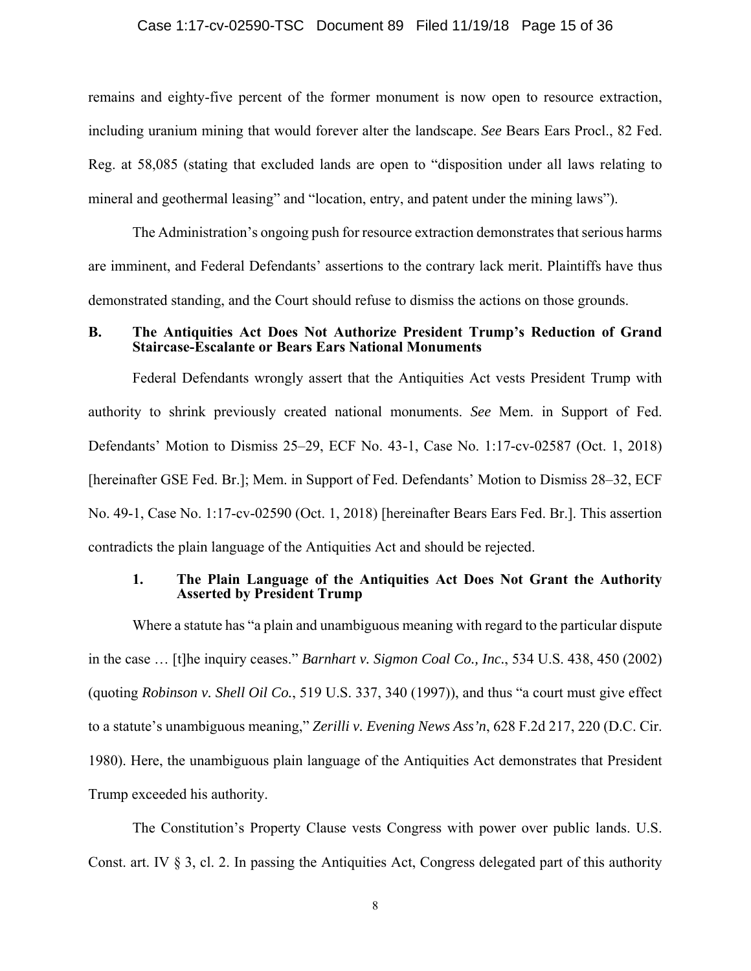### Case 1:17-cv-02590-TSC Document 89 Filed 11/19/18 Page 15 of 36

remains and eighty-five percent of the former monument is now open to resource extraction, including uranium mining that would forever alter the landscape. *See* Bears Ears Procl., 82 Fed. Reg. at 58,085 (stating that excluded lands are open to "disposition under all laws relating to mineral and geothermal leasing" and "location, entry, and patent under the mining laws").

The Administration's ongoing push for resource extraction demonstrates that serious harms are imminent, and Federal Defendants' assertions to the contrary lack merit. Plaintiffs have thus demonstrated standing, and the Court should refuse to dismiss the actions on those grounds.

### **B. The Antiquities Act Does Not Authorize President Trump's Reduction of Grand Staircase-Escalante or Bears Ears National Monuments**

Federal Defendants wrongly assert that the Antiquities Act vests President Trump with authority to shrink previously created national monuments. *See* Mem. in Support of Fed. Defendants' Motion to Dismiss 25–29, ECF No. 43-1, Case No. 1:17-cv-02587 (Oct. 1, 2018) [hereinafter GSE Fed. Br.]; Mem. in Support of Fed. Defendants' Motion to Dismiss 28–32, ECF No. 49-1, Case No. 1:17-cv-02590 (Oct. 1, 2018) [hereinafter Bears Ears Fed. Br.]. This assertion contradicts the plain language of the Antiquities Act and should be rejected.

### **1. The Plain Language of the Antiquities Act Does Not Grant the Authority Asserted by President Trump**

Where a statute has "a plain and unambiguous meaning with regard to the particular dispute in the case … [t]he inquiry ceases." *Barnhart v. Sigmon Coal Co., Inc.*, 534 U.S. 438, 450 (2002) (quoting *Robinson v. Shell Oil Co.*, 519 U.S. 337, 340 (1997)), and thus "a court must give effect to a statute's unambiguous meaning," *Zerilli v. Evening News Ass'n*, 628 F.2d 217, 220 (D.C. Cir. 1980). Here, the unambiguous plain language of the Antiquities Act demonstrates that President Trump exceeded his authority.

The Constitution's Property Clause vests Congress with power over public lands. U.S. Const. art. IV § 3, cl. 2. In passing the Antiquities Act, Congress delegated part of this authority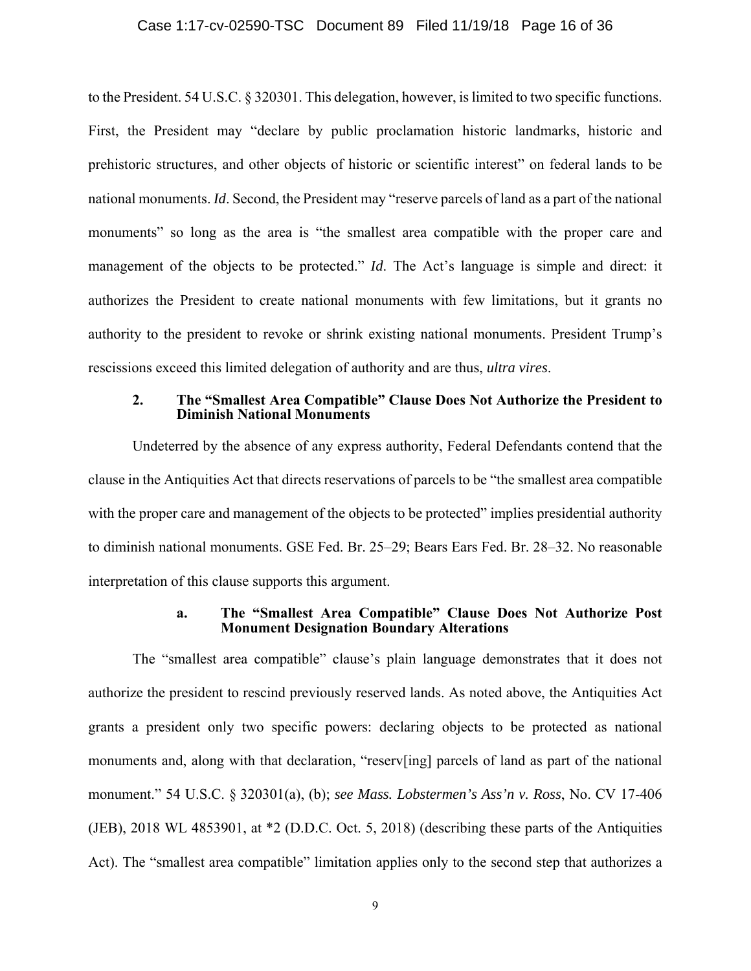### Case 1:17-cv-02590-TSC Document 89 Filed 11/19/18 Page 16 of 36

to the President. 54 U.S.C. § 320301. This delegation, however, is limited to two specific functions. First, the President may "declare by public proclamation historic landmarks, historic and prehistoric structures, and other objects of historic or scientific interest" on federal lands to be national monuments. *Id*. Second, the President may "reserve parcels of land as a part of the national monuments" so long as the area is "the smallest area compatible with the proper care and management of the objects to be protected." *Id*. The Act's language is simple and direct: it authorizes the President to create national monuments with few limitations, but it grants no authority to the president to revoke or shrink existing national monuments. President Trump's rescissions exceed this limited delegation of authority and are thus, *ultra vires*.

### **2. The "Smallest Area Compatible" Clause Does Not Authorize the President to Diminish National Monuments**

Undeterred by the absence of any express authority, Federal Defendants contend that the clause in the Antiquities Act that directs reservations of parcels to be "the smallest area compatible with the proper care and management of the objects to be protected" implies presidential authority to diminish national monuments. GSE Fed. Br. 25–29; Bears Ears Fed. Br. 28–32. No reasonable interpretation of this clause supports this argument.

### **a. The "Smallest Area Compatible" Clause Does Not Authorize Post Monument Designation Boundary Alterations**

 (JEB), 2018 WL 4853901, at \*2 (D.D.C. Oct. 5, 2018) (describing these parts of the Antiquities The "smallest area compatible" clause's plain language demonstrates that it does not authorize the president to rescind previously reserved lands. As noted above, the Antiquities Act grants a president only two specific powers: declaring objects to be protected as national monuments and, along with that declaration, "reserv[ing] parcels of land as part of the national monument." 54 U.S.C. § 320301(a), (b); *see Mass. Lobstermen's Ass'n v. Ross*, No. CV 17-406 Act). The "smallest area compatible" limitation applies only to the second step that authorizes a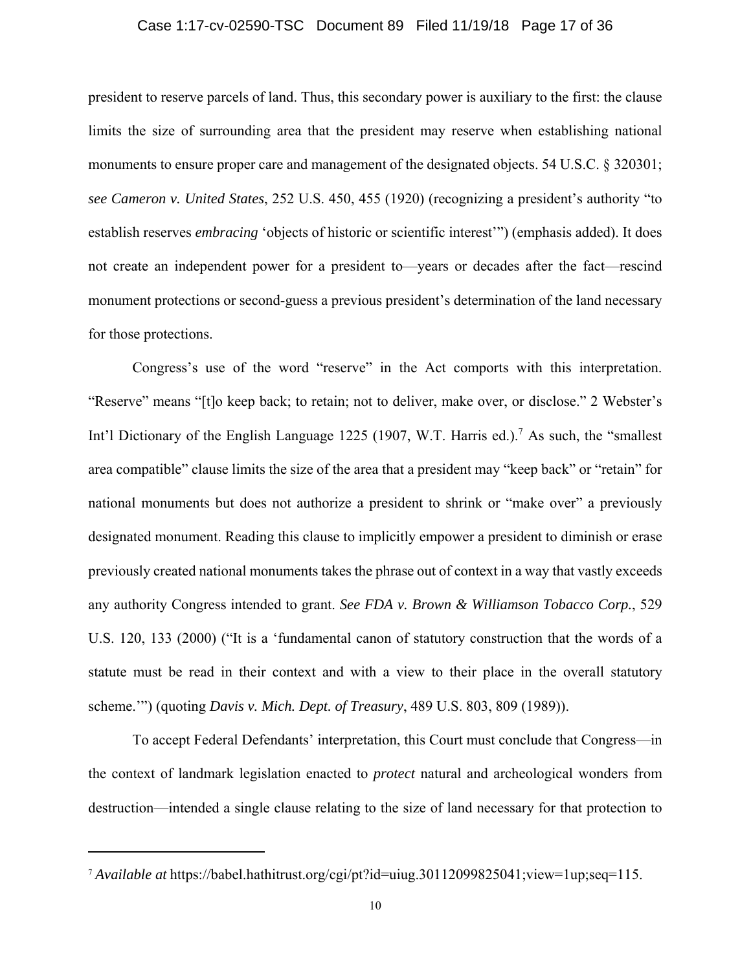### Case 1:17-cv-02590-TSC Document 89 Filed 11/19/18 Page 17 of 36

president to reserve parcels of land. Thus, this secondary power is auxiliary to the first: the clause limits the size of surrounding area that the president may reserve when establishing national monuments to ensure proper care and management of the designated objects. 54 U.S.C. § 320301; *see Cameron v. United States*, 252 U.S. 450, 455 (1920) (recognizing a president's authority "to establish reserves *embracing* 'objects of historic or scientific interest'") (emphasis added). It does not create an independent power for a president to—years or decades after the fact—rescind monument protections or second-guess a previous president's determination of the land necessary for those protections.

Congress's use of the word "reserve" in the Act comports with this interpretation. "Reserve" means "[t]o keep back; to retain; not to deliver, make over, or disclose." 2 Webster's Int'l Dictionary of the English Language 1225 (1907, W.T. Harris ed.).<sup>7</sup> As such, the "smallest" area compatible" clause limits the size of the area that a president may "keep back" or "retain" for national monuments but does not authorize a president to shrink or "make over" a previously designated monument. Reading this clause to implicitly empower a president to diminish or erase previously created national monuments takes the phrase out of context in a way that vastly exceeds any authority Congress intended to grant. *See FDA v. Brown & Williamson Tobacco Corp.*, 529 U.S. 120, 133 (2000) ("It is a 'fundamental canon of statutory construction that the words of a statute must be read in their context and with a view to their place in the overall statutory scheme.'") (quoting *Davis v. Mich. Dept. of Treasury*, 489 U.S. 803, 809 (1989)).

To accept Federal Defendants' interpretation, this Court must conclude that Congress—in the context of landmark legislation enacted to *protect* natural and archeological wonders from destruction—intended a single clause relating to the size of land necessary for that protection to

<sup>7</sup> *Available at* <https://babel.hathitrust.org/cgi/pt?id=uiug.30112099825041;view=1up;seq=115>.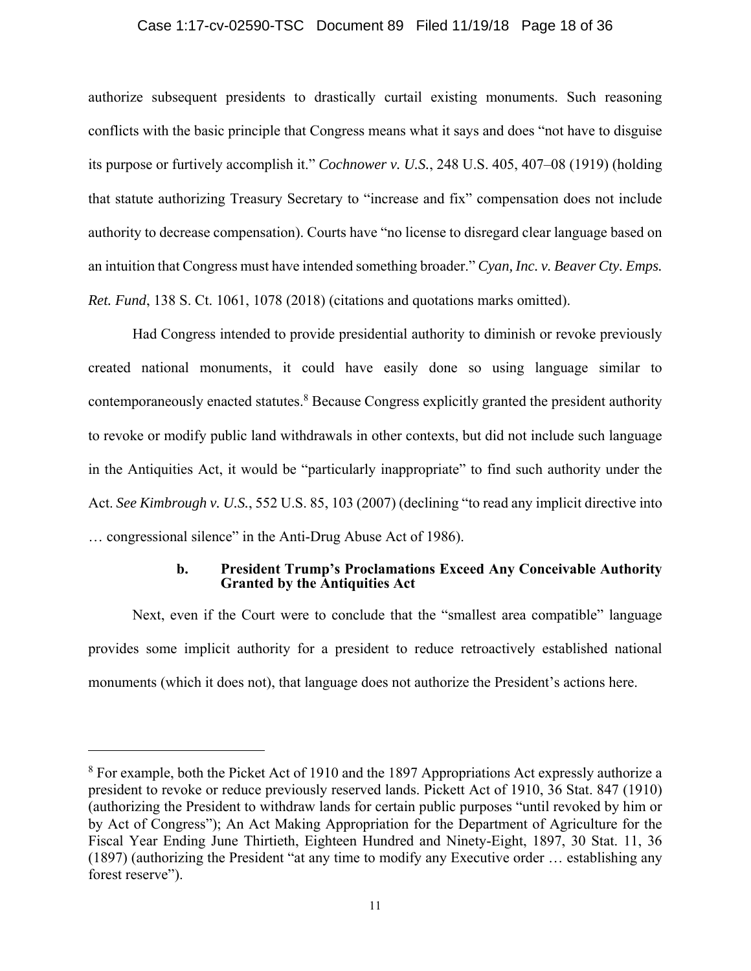### Case 1:17-cv-02590-TSC Document 89 Filed 11/19/18 Page 18 of 36

authorize subsequent presidents to drastically curtail existing monuments. Such reasoning conflicts with the basic principle that Congress means what it says and does "not have to disguise its purpose or furtively accomplish it." *Cochnower v. U.S.*, 248 U.S. 405, 407–08 (1919) (holding that statute authorizing Treasury Secretary to "increase and fix" compensation does not include authority to decrease compensation). Courts have "no license to disregard clear language based on an intuition that Congress must have intended something broader." *Cyan, Inc. v. Beaver Cty. Emps. Ret. Fund*, 138 S. Ct. 1061, 1078 (2018) (citations and quotations marks omitted).

Had Congress intended to provide presidential authority to diminish or revoke previously created national monuments, it could have easily done so using language similar to contemporaneously enacted statutes.<sup>8</sup> Because Congress explicitly granted the president authority to revoke or modify public land withdrawals in other contexts, but did not include such language in the Antiquities Act, it would be "particularly inappropriate" to find such authority under the Act. *See Kimbrough v. U.S.*, 552 U.S. 85, 103 (2007) (declining "to read any implicit directive into … congressional silence" in the Anti-Drug Abuse Act of 1986).

### **b. President Trump's Proclamations Exceed Any Conceivable Authority Granted by the Antiquities Act**

Next, even if the Court were to conclude that the "smallest area compatible" language provides some implicit authority for a president to reduce retroactively established national monuments (which it does not), that language does not authorize the President's actions here.

<sup>&</sup>lt;sup>8</sup> For example, both the Picket Act of 1910 and the 1897 Appropriations Act expressly authorize a president to revoke or reduce previously reserved lands. Pickett Act of 1910, 36 Stat. 847 (1910) (authorizing the President to withdraw lands for certain public purposes "until revoked by him or by Act of Congress"); An Act Making Appropriation for the Department of Agriculture for the Fiscal Year Ending June Thirtieth, Eighteen Hundred and Ninety-Eight, 1897, 30 Stat. 11, 36 (1897) (authorizing the President "at any time to modify any Executive order … establishing any forest reserve").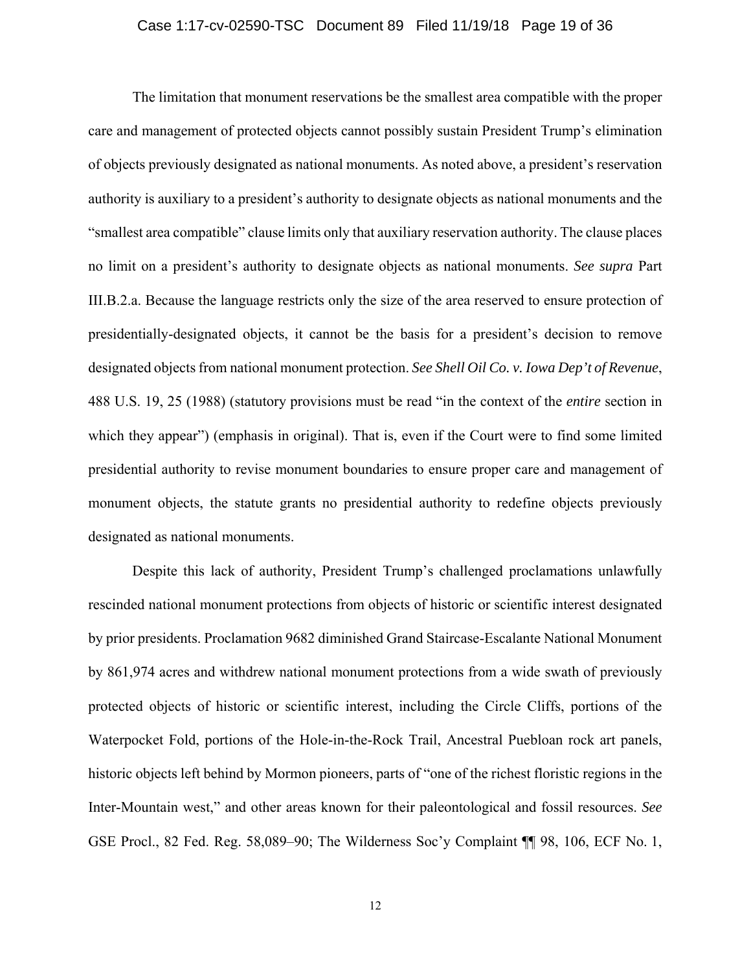### Case 1:17-cv-02590-TSC Document 89 Filed 11/19/18 Page 19 of 36

which they appear") (emphasis in original). That is, even if the Court were to find some limited monument objects, the statute grants no presidential authority to redefine objects previously The limitation that monument reservations be the smallest area compatible with the proper care and management of protected objects cannot possibly sustain President Trump's elimination of objects previously designated as national monuments. As noted above, a president's reservation authority is auxiliary to a president's authority to designate objects as national monuments and the "smallest area compatible" clause limits only that auxiliary reservation authority. The clause places no limit on a president's authority to designate objects as national monuments. *See supra* Part III.B.2.a. Because the language restricts only the size of the area reserved to ensure protection of presidentially-designated objects, it cannot be the basis for a president's decision to remove designated objects from national monument protection. *See Shell Oil Co. v. Iowa Dep't of Revenue*, 488 U.S. 19, 25 (1988) (statutory provisions must be read "in the context of the *entire* section in presidential authority to revise monument boundaries to ensure proper care and management of designated as national monuments.

 by 861,974 acres and withdrew national monument protections from a wide swath of previously Despite this lack of authority, President Trump's challenged proclamations unlawfully rescinded national monument protections from objects of historic or scientific interest designated by prior presidents. Proclamation 9682 diminished Grand Staircase-Escalante National Monument protected objects of historic or scientific interest, including the Circle Cliffs, portions of the Waterpocket Fold, portions of the Hole-in-the-Rock Trail, Ancestral Puebloan rock art panels, historic objects left behind by Mormon pioneers, parts of "one of the richest floristic regions in the Inter-Mountain west," and other areas known for their paleontological and fossil resources. *See*  GSE Procl., 82 Fed. Reg. 58,089–90; The Wilderness Soc'y Complaint ¶¶ 98, 106, ECF No. 1,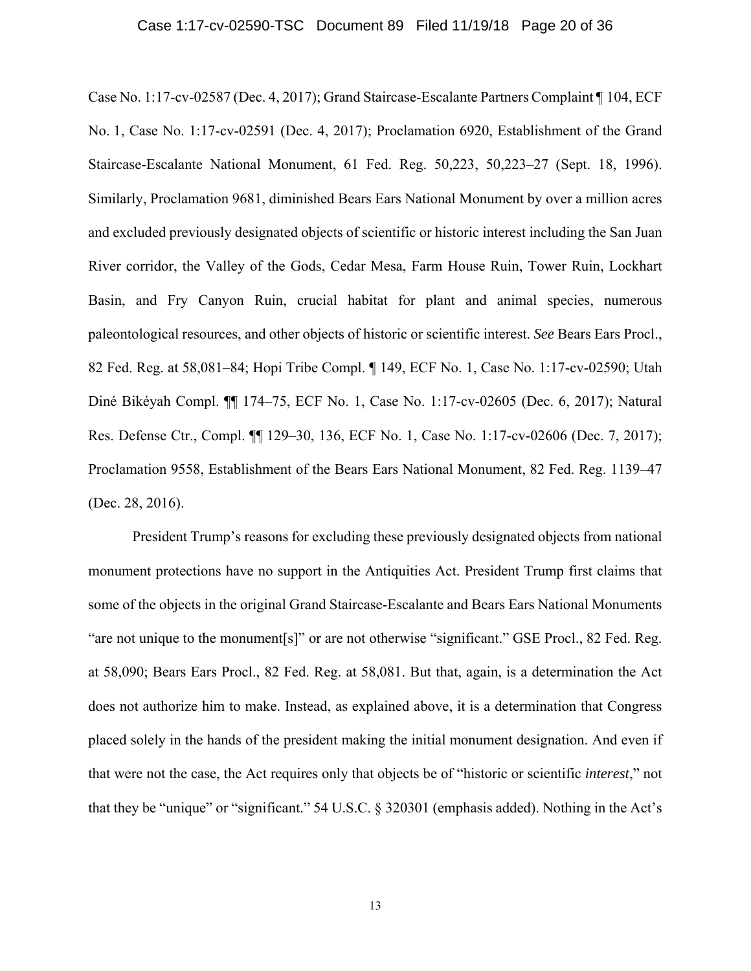### Case 1:17-cv-02590-TSC Document 89 Filed 11/19/18 Page 20 of 36

Case No. 1:17-cv-02587 (Dec. 4, 2017); Grand Staircase-Escalante Partners Complaint ¶ 104, ECF No. 1, Case No. 1:17-cv-02591 (Dec. 4, 2017); Proclamation 6920, Establishment of the Grand Staircase-Escalante National Monument, 61 Fed. Reg. 50,223, 50,223–27 (Sept. 18, 1996). Similarly, Proclamation 9681, diminished Bears Ears National Monument by over a million acres and excluded previously designated objects of scientific or historic interest including the San Juan River corridor, the Valley of the Gods, Cedar Mesa, Farm House Ruin, Tower Ruin, Lockhart Basin, and Fry Canyon Ruin, crucial habitat for plant and animal species, numerous paleontological resources, and other objects of historic or scientific interest. *See* Bears Ears Procl., 82 Fed. Reg. at 58,081–84; Hopi Tribe Compl. ¶ 149, ECF No. 1, Case No. 1:17-cv-02590; Utah Diné Bikéyah Compl. ¶¶ 174–75, ECF No. 1, Case No. 1:17-cv-02605 (Dec. 6, 2017); Natural Res. Defense Ctr., Compl. ¶¶ 129–30, 136, ECF No. 1, Case No. 1:17-cv-02606 (Dec. 7, 2017); Proclamation 9558, Establishment of the Bears Ears National Monument, 82 Fed. Reg. 1139–47 (Dec. 28, 2016).

President Trump's reasons for excluding these previously designated objects from national monument protections have no support in the Antiquities Act. President Trump first claims that some of the objects in the original Grand Staircase-Escalante and Bears Ears National Monuments "are not unique to the monument[s]" or are not otherwise "significant." GSE Procl., 82 Fed. Reg. at 58,090; Bears Ears Procl., 82 Fed. Reg. at 58,081. But that, again, is a determination the Act does not authorize him to make. Instead, as explained above, it is a determination that Congress placed solely in the hands of the president making the initial monument designation. And even if that were not the case, the Act requires only that objects be of "historic or scientific *interest*," not that they be "unique" or "significant." 54 U.S.C. § 320301 (emphasis added). Nothing in the Act's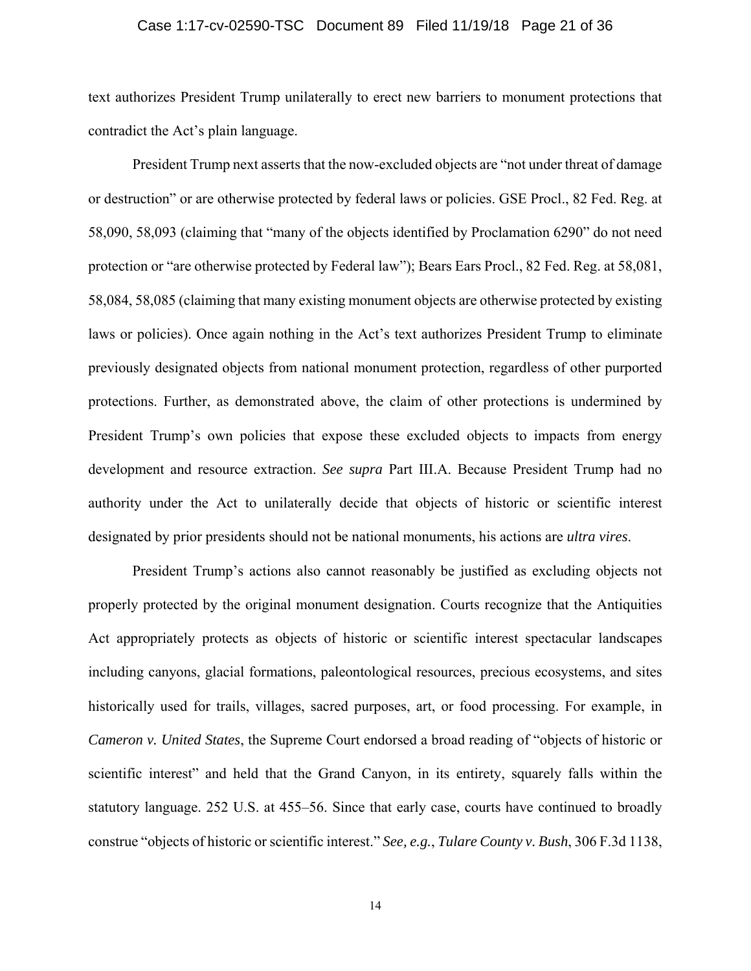### Case 1:17-cv-02590-TSC Document 89 Filed 11/19/18 Page 21 of 36

text authorizes President Trump unilaterally to erect new barriers to monument protections that contradict the Act's plain language.

President Trump next asserts that the now-excluded objects are "not under threat of damage or destruction" or are otherwise protected by federal laws or policies. GSE Procl., 82 Fed. Reg. at 58,090, 58,093 (claiming that "many of the objects identified by Proclamation 6290" do not need protection or "are otherwise protected by Federal law"); Bears Ears Procl., 82 Fed. Reg. at 58,081, 58,084, 58,085 (claiming that many existing monument objects are otherwise protected by existing laws or policies). Once again nothing in the Act's text authorizes President Trump to eliminate previously designated objects from national monument protection, regardless of other purported protections. Further, as demonstrated above, the claim of other protections is undermined by President Trump's own policies that expose these excluded objects to impacts from energy development and resource extraction. *See supra* Part III.A. Because President Trump had no authority under the Act to unilaterally decide that objects of historic or scientific interest designated by prior presidents should not be national monuments, his actions are *ultra vires*.

President Trump's actions also cannot reasonably be justified as excluding objects not properly protected by the original monument designation. Courts recognize that the Antiquities Act appropriately protects as objects of historic or scientific interest spectacular landscapes including canyons, glacial formations, paleontological resources, precious ecosystems, and sites historically used for trails, villages, sacred purposes, art, or food processing. For example, in *Cameron v. United States*, the Supreme Court endorsed a broad reading of "objects of historic or scientific interest" and held that the Grand Canyon, in its entirety, squarely falls within the statutory language. 252 U.S. at 455–56. Since that early case, courts have continued to broadly construe "objects of historic or scientific interest." *See, e.g.*, *Tulare County v. Bush*, 306 F.3d 1138,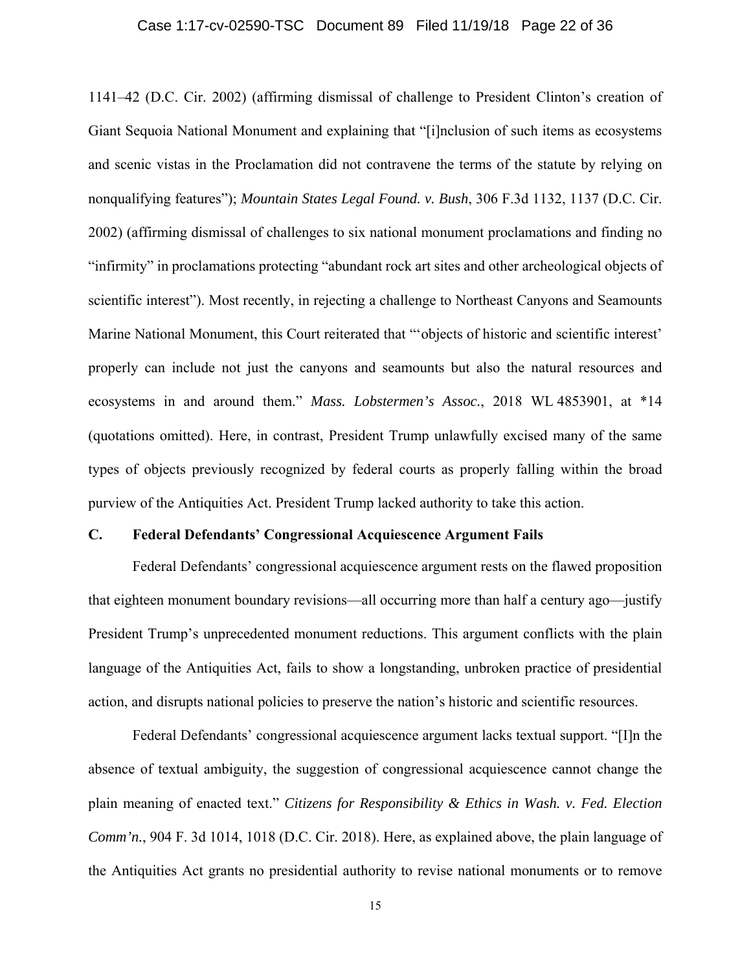### Case 1:17-cv-02590-TSC Document 89 Filed 11/19/18 Page 22 of 36

1141–42 (D.C. Cir. 2002) (affirming dismissal of challenge to President Clinton's creation of Giant Sequoia National Monument and explaining that "[i]nclusion of such items as ecosystems and scenic vistas in the Proclamation did not contravene the terms of the statute by relying on nonqualifying features"); *Mountain States Legal Found. v. Bush*, 306 F.3d 1132, 1137 (D.C. Cir. 2002) (affirming dismissal of challenges to six national monument proclamations and finding no "infirmity" in proclamations protecting "abundant rock art sites and other archeological objects of scientific interest"). Most recently, in rejecting a challenge to Northeast Canyons and Seamounts Marine National Monument, this Court reiterated that "'objects of historic and scientific interest' properly can include not just the canyons and seamounts but also the natural resources and ecosystems in and around them." *Mass. Lobstermen's Assoc.*, 2018 WL 4853901, at \*14 (quotations omitted). Here, in contrast, President Trump unlawfully excised many of the same types of objects previously recognized by federal courts as properly falling within the broad purview of the Antiquities Act. President Trump lacked authority to take this action.

### **C. Federal Defendants' Congressional Acquiescence Argument Fails**

Federal Defendants' congressional acquiescence argument rests on the flawed proposition that eighteen monument boundary revisions—all occurring more than half a century ago—justify President Trump's unprecedented monument reductions. This argument conflicts with the plain language of the Antiquities Act, fails to show a longstanding, unbroken practice of presidential action, and disrupts national policies to preserve the nation's historic and scientific resources.

Federal Defendants' congressional acquiescence argument lacks textual support. "[I]n the absence of textual ambiguity, the suggestion of congressional acquiescence cannot change the plain meaning of enacted text." *Citizens for Responsibility & Ethics in Wash. v. Fed. Election Comm'n.*, 904 F. 3d 1014, 1018 (D.C. Cir. 2018). Here, as explained above, the plain language of the Antiquities Act grants no presidential authority to revise national monuments or to remove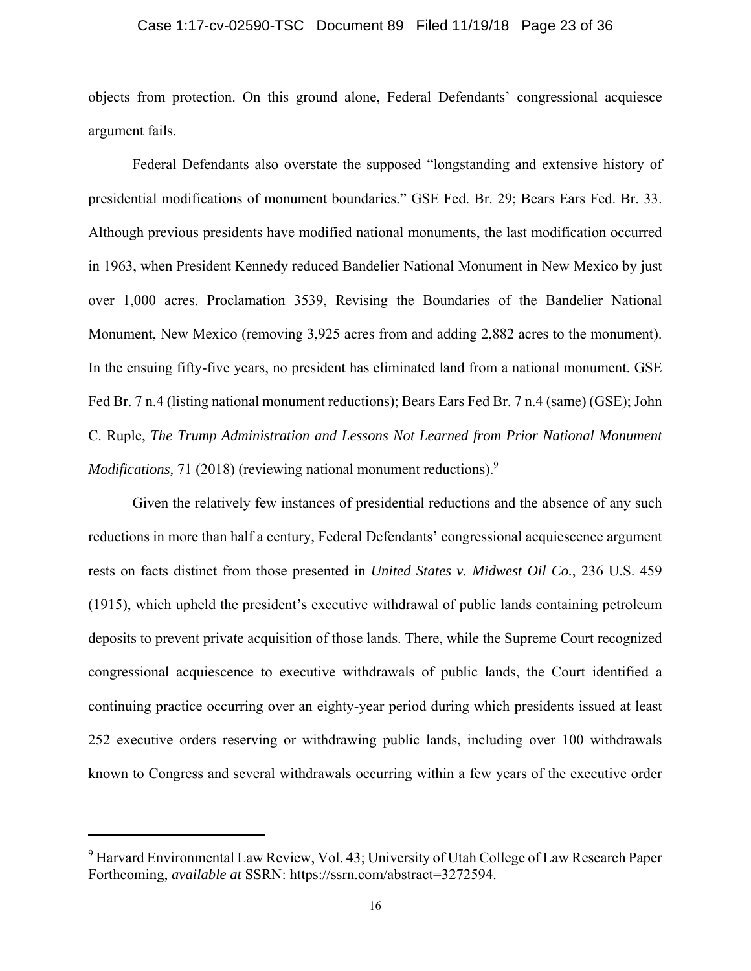### Case 1:17-cv-02590-TSC Document 89 Filed 11/19/18 Page 23 of 36

objects from protection. On this ground alone, Federal Defendants' congressional acquiesce argument fails.

Federal Defendants also overstate the supposed "longstanding and extensive history of presidential modifications of monument boundaries." GSE Fed. Br. 29; Bears Ears Fed. Br. 33. Although previous presidents have modified national monuments, the last modification occurred in 1963, when President Kennedy reduced Bandelier National Monument in New Mexico by just over 1,000 acres. Proclamation 3539, Revising the Boundaries of the Bandelier National Monument, New Mexico (removing 3,925 acres from and adding 2,882 acres to the monument). In the ensuing fifty-five years, no president has eliminated land from a national monument. GSE Fed Br. 7 n.4 (listing national monument reductions); Bears Ears Fed Br. 7 n.4 (same) (GSE); John C. Ruple, *The Trump Administration and Lessons Not Learned from Prior National Monument Modifications,* 71 (2018) (reviewing national monument reductions).<sup>9</sup>

Given the relatively few instances of presidential reductions and the absence of any such reductions in more than half a century, Federal Defendants' congressional acquiescence argument rests on facts distinct from those presented in *United States v. Midwest Oil Co.*, 236 U.S. 459 (1915), which upheld the president's executive withdrawal of public lands containing petroleum deposits to prevent private acquisition of those lands. There, while the Supreme Court recognized congressional acquiescence to executive withdrawals of public lands, the Court identified a continuing practice occurring over an eighty-year period during which presidents issued at least 252 executive orders reserving or withdrawing public lands, including over 100 withdrawals known to Congress and several withdrawals occurring within a few years of the executive order

<sup>&</sup>lt;sup>9</sup> Harvard Environmental Law Review, Vol. 43; University of Utah College of Law Research Paper Forthcoming, *available at* SSRN:<https://ssrn.com/abstract=3272594>.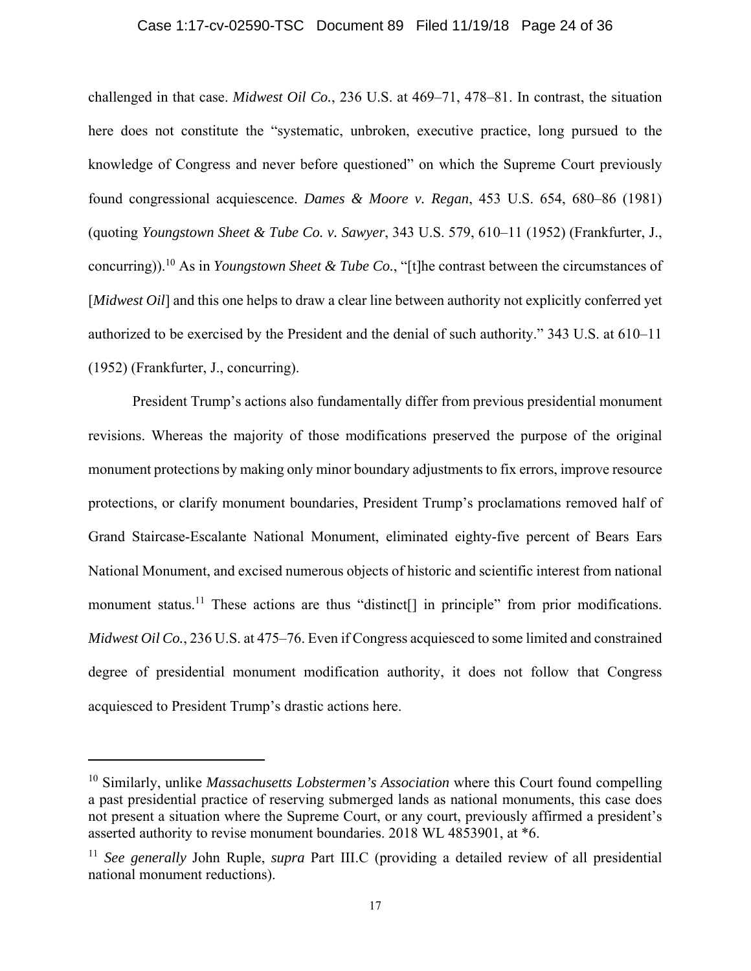### Case 1:17-cv-02590-TSC Document 89 Filed 11/19/18 Page 24 of 36

challenged in that case. *Midwest Oil Co.*, 236 U.S. at 469–71, 478–81. In contrast, the situation here does not constitute the "systematic, unbroken, executive practice, long pursued to the knowledge of Congress and never before questioned" on which the Supreme Court previously found congressional acquiescence. *Dames & Moore v. Regan*, 453 U.S. 654, 680–86 (1981) (quoting *Youngstown Sheet & Tube Co. v. Sawyer*, 343 U.S. 579, 610–11 (1952) (Frankfurter, J., [concurring\)\).](https://concurring)).10)10 As in *Youngstown Sheet & Tube Co.*, "[t]he contrast between the circumstances of [*Midwest Oil*] and this one helps to draw a clear line between authority not explicitly conferred yet authorized to be exercised by the President and the denial of such authority." 343 U.S. at 610–11 (1952) (Frankfurter, J., concurring).

President Trump's actions also fundamentally differ from previous presidential monument revisions. Whereas the majority of those modifications preserved the purpose of the original monument protections by making only minor boundary adjustments to fix errors, improve resource protections, or clarify monument boundaries, President Trump's proclamations removed half of Grand Staircase-Escalante National Monument, eliminated eighty-five percent of Bears Ears National Monument, and excised numerous objects of historic and scientific interest from national monument status.<sup>11</sup> These actions are thus "distinct<sup>[]</sup> in principle" from prior modifications. *Midwest Oil Co.*, 236 U.S. at 475–76. Even if Congress acquiesced to some limited and constrained degree of presidential monument modification authority, it does not follow that Congress acquiesced to President Trump's drastic actions here.

<sup>10</sup> Similarly, unlike *Massachusetts Lobstermen's Association* where this Court found compelling a past presidential practice of reserving submerged lands as national monuments, this case does not present a situation where the Supreme Court, or any court, previously affirmed a president's asserted authority to revise monument boundaries. 2018 WL 4853901, at \*6.

<sup>11</sup> *See generally* John Ruple, *supra* Part III.C (providing a detailed review of all presidential national monument reductions).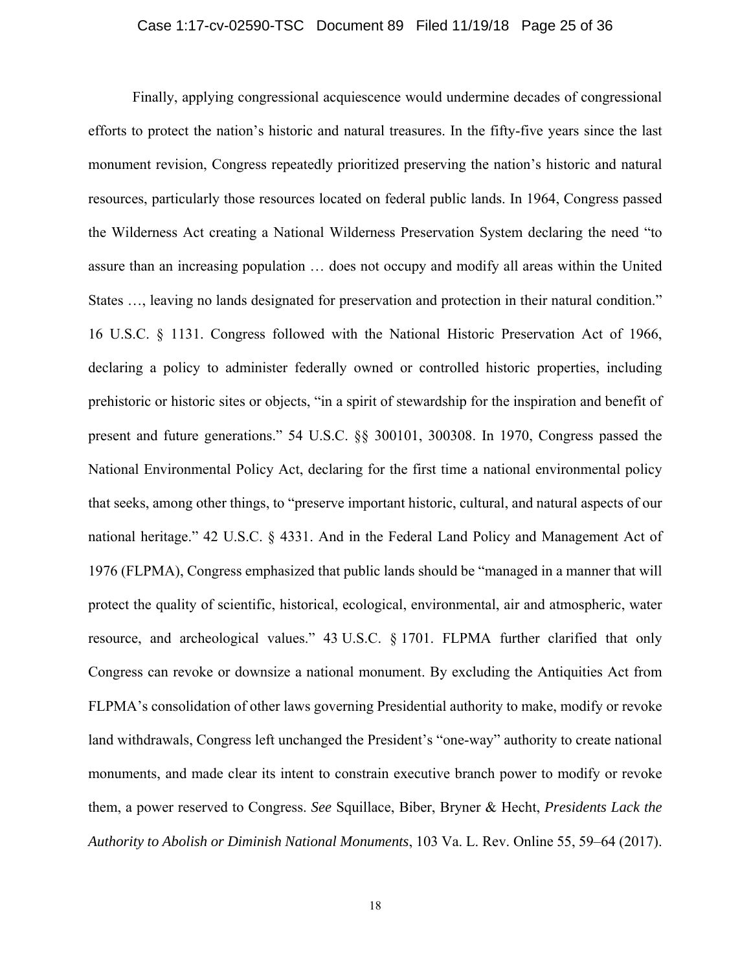### Case 1:17-cv-02590-TSC Document 89 Filed 11/19/18 Page 25 of 36

 National Environmental Policy Act, declaring for the first time a national environmental policy that seeks, among other things, to "preserve important historic, cultural, and natural aspects of our Finally, applying congressional acquiescence would undermine decades of congressional efforts to protect the nation's historic and natural treasures. In the fifty-five years since the last monument revision, Congress repeatedly prioritized preserving the nation's historic and natural resources, particularly those resources located on federal public lands. In 1964, Congress passed the Wilderness Act creating a National Wilderness Preservation System declaring the need "to assure than an increasing population … does not occupy and modify all areas within the United States …, leaving no lands designated for preservation and protection in their natural condition." 16 U.S.C. § 1131. Congress followed with the National Historic Preservation Act of 1966, declaring a policy to administer federally owned or controlled historic properties, including prehistoric or historic sites or objects, "in a spirit of stewardship for the inspiration and benefit of present and future generations." 54 U.S.C. §§ 300101, 300308. In 1970, Congress passed the national heritage." 42 U.S.C. § 4331. And in the Federal Land Policy and Management Act of 1976 (FLPMA), Congress emphasized that public lands should be "managed in a manner that will protect the quality of scientific, historical, ecological, environmental, air and atmospheric, water resource, and archeological values." 43 U.S.C. § 1701. FLPMA further clarified that only Congress can revoke or downsize a national monument. By excluding the Antiquities Act from FLPMA's consolidation of other laws governing Presidential authority to make, modify or revoke land withdrawals, Congress left unchanged the President's "one-way" authority to create national monuments, and made clear its intent to constrain executive branch power to modify or revoke them, a power reserved to Congress. *See* Squillace, Biber, Bryner & Hecht, *Presidents Lack the Authority to Abolish or Diminish National Monuments*, 103 Va. L. Rev. Online 55, 59–64 (2017).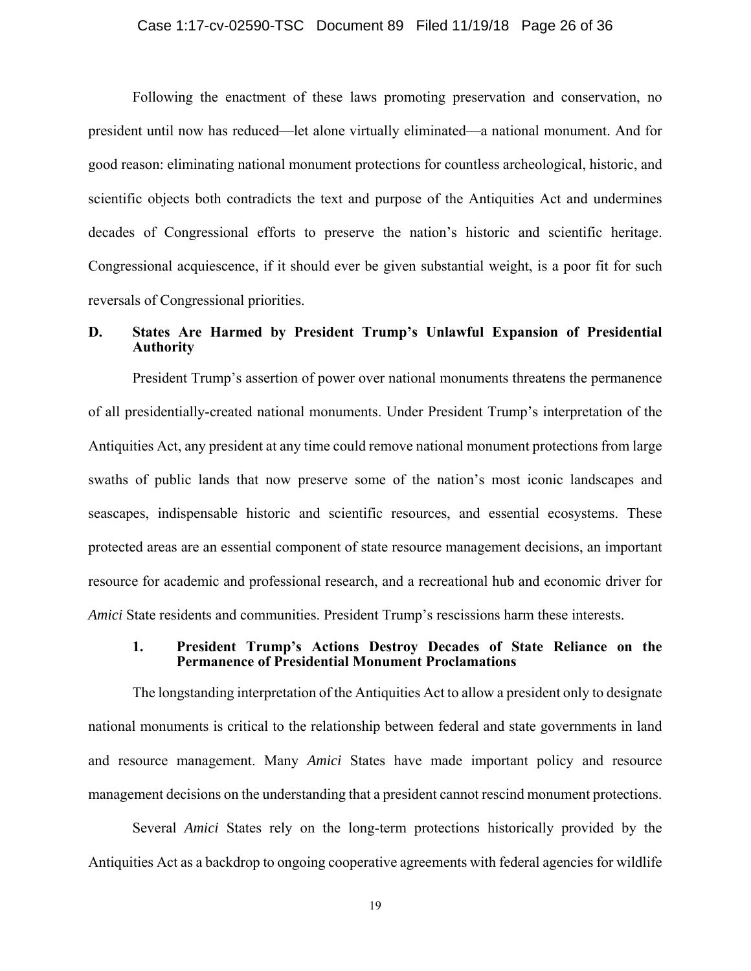### Case 1:17-cv-02590-TSC Document 89 Filed 11/19/18 Page 26 of 36

Following the enactment of these laws promoting preservation and conservation, no president until now has reduced—let alone virtually eliminated—a national monument. And for good reason: eliminating national monument protections for countless archeological, historic, and scientific objects both contradicts the text and purpose of the Antiquities Act and undermines decades of Congressional efforts to preserve the nation's historic and scientific heritage. Congressional acquiescence, if it should ever be given substantial weight, is a poor fit for such reversals of Congressional priorities.

## **D. States Are Harmed by President Trump's Unlawful Expansion of Presidential Authority**

 Antiquities Act, any president at any time could remove national monument protections from large President Trump's assertion of power over national monuments threatens the permanence of all presidentially-created national monuments. Under President Trump's interpretation of the swaths of public lands that now preserve some of the nation's most iconic landscapes and seascapes, indispensable historic and scientific resources, and essential ecosystems. These protected areas are an essential component of state resource management decisions, an important resource for academic and professional research, and a recreational hub and economic driver for *Amici* State residents and communities. President Trump's rescissions harm these interests.

### **1. President Trump's Actions Destroy Decades of State Reliance on the Permanence of Presidential Monument Proclamations**

 The longstanding interpretation of the Antiquities Act to allow a president only to designate national monuments is critical to the relationship between federal and state governments in land and resource management. Many *Amici* States have made important policy and resource management decisions on the understanding that a president cannot rescind monument protections.

 Antiquities Act as a backdrop to ongoing cooperative agreements with federal agencies for wildlife Several *Amici* States rely on the long-term protections historically provided by the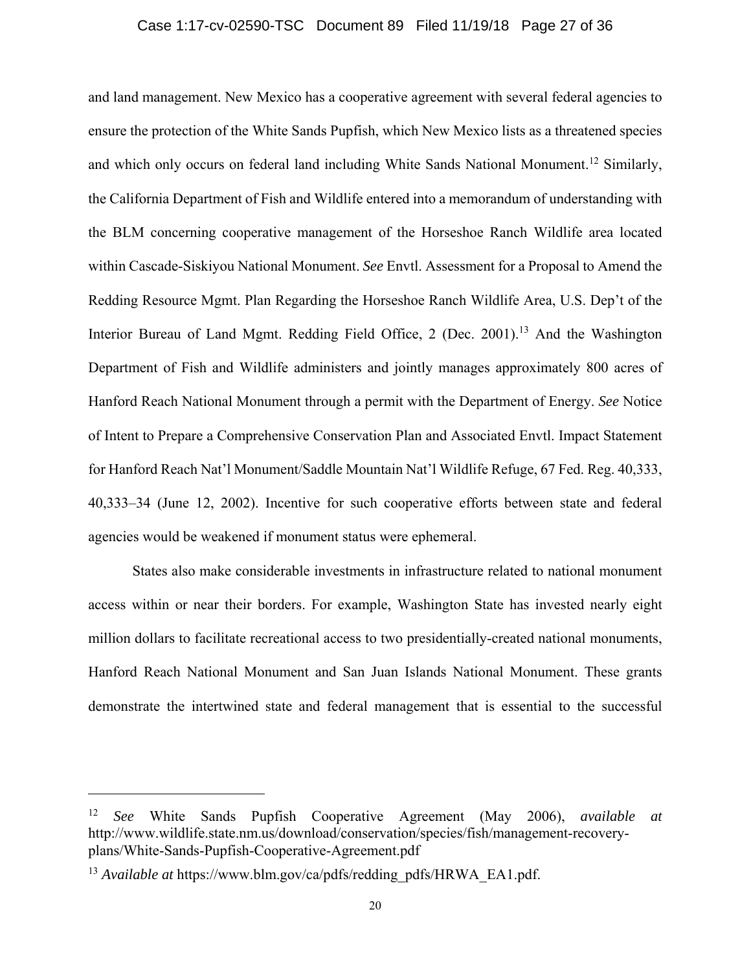### Case 1:17-cv-02590-TSC Document 89 Filed 11/19/18 Page 27 of 36

and land management. New Mexico has a cooperative agreement with several federal agencies to ensure the protection of the White Sands Pupfish, which New Mexico lists as a threatened species and which only occurs on federal land including White Sands National [Monument.](https://Monument.12)<sup>12</sup> Similarly, the California Department of Fish and Wildlife entered into a memorandum of understanding with the BLM concerning cooperative management of the Horseshoe Ranch Wildlife area located within Cascade-Siskiyou National Monument. *See* Envtl. Assessment for a Proposal to Amend the Redding Resource Mgmt. Plan Regarding the Horseshoe Ranch Wildlife Area, U.S. Dep't of the Interior Bureau of Land Mgmt. Redding Field Office, 2 (Dec. [2001\).](https://2001).13)<sup>13</sup> And the Washington Department of Fish and Wildlife administers and jointly manages approximately 800 acres of Hanford Reach National Monument through a permit with the Department of Energy. *See* Notice of Intent to Prepare a Comprehensive Conservation Plan and Associated Envtl. Impact Statement for Hanford Reach Nat'l Monument/Saddle Mountain Nat'l Wildlife Refuge, 67 Fed. Reg. 40,333, 40,333–34 (June 12, 2002). Incentive for such cooperative efforts between state and federal agencies would be weakened if monument status were ephemeral.

States also make considerable investments in infrastructure related to national monument access within or near their borders. For example, Washington State has invested nearly eight million dollars to facilitate recreational access to two presidentially-created national monuments, Hanford Reach National Monument and San Juan Islands National Monument. These grants demonstrate the intertwined state and federal management that is essential to the successful

<sup>12</sup> *See* White Sands Pupfish Cooperative Agreement (May 2006), *available at*  <http://www.wildlife.state.nm.us/download/conservation/species/fish/management-recovery>plans/White-Sands-Pupfish-Cooperative-Agreement.pdf

<sup>&</sup>lt;sup>13</sup> *Available at [https://www.blm.gov/ca/pdfs/redding\\_pdfs/HRWA\\_EA1.pdf](https://www.blm.gov/ca/pdfs/redding_pdfs/HRWA_EA1.pdf).*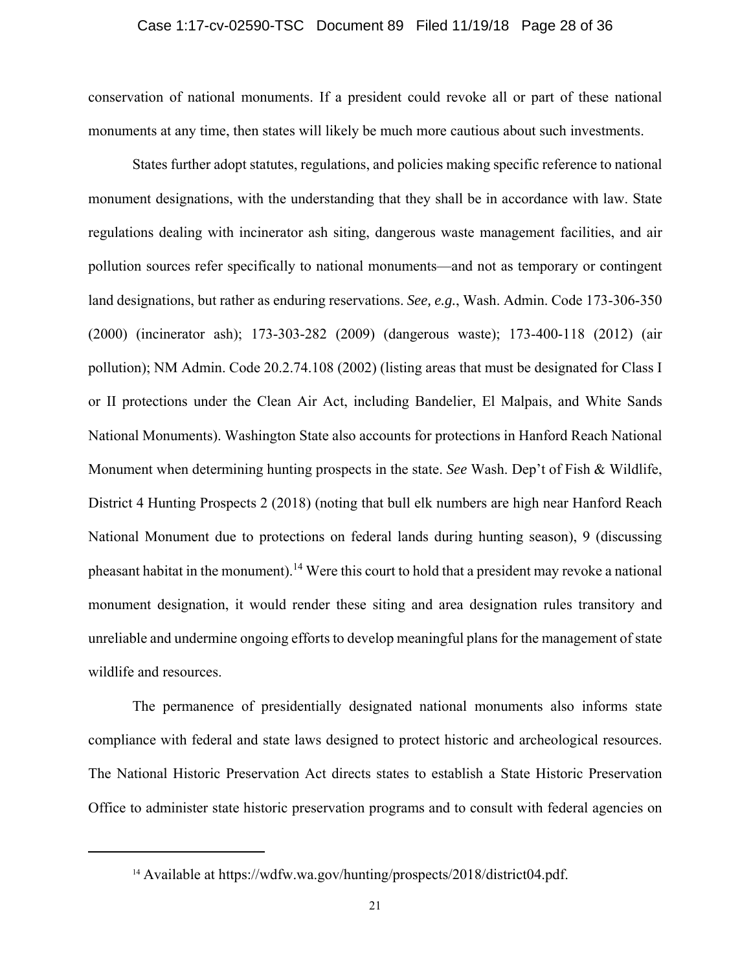### Case 1:17-cv-02590-TSC Document 89 Filed 11/19/18 Page 28 of 36

conservation of national monuments. If a president could revoke all or part of these national monuments at any time, then states will likely be much more cautious about such investments.

States further adopt statutes, regulations, and policies making specific reference to national monument designations, with the understanding that they shall be in accordance with law. State regulations dealing with incinerator ash siting, dangerous waste management facilities, and air pollution sources refer specifically to national monuments—and not as temporary or contingent land designations, but rather as enduring reservations. *See, e.g.*, Wash. Admin. Code 173-306-350 (2000) (incinerator ash); 173-303-282 (2009) (dangerous waste); 173-400-118 (2012) (air pollution); NM Admin. Code 20.2.74.108 (2002) (listing areas that must be designated for Class I or II protections under the Clean Air Act, including Bandelier, El Malpais, and White Sands National Monuments). Washington State also accounts for protections in Hanford Reach National Monument when determining hunting prospects in the state. *See* Wash. Dep't of Fish & Wildlife, District 4 Hunting Prospects 2 (2018) (noting that bull elk numbers are high near Hanford Reach National Monument due to protections on federal lands during hunting season), 9 (discussing pheasant habitat in the monument).<sup>14</sup> Were this court to hold that a president may revoke a national monument designation, it would render these siting and area designation rules transitory and unreliable and undermine ongoing efforts to develop meaningful plans for the management of state wildlife and resources.

The permanence of presidentially designated national monuments also informs state compliance with federal and state laws designed to protect historic and archeological resources. The National Historic Preservation Act directs states to establish a State Historic Preservation Office to administer state historic preservation programs and to consult with federal agencies on

<sup>14</sup> Available at [https://wdfw.wa.gov/hunting/prospects/2018/district04.pdf.](https://wdfw.wa.gov/hunting/prospects/2018/district04.pdf)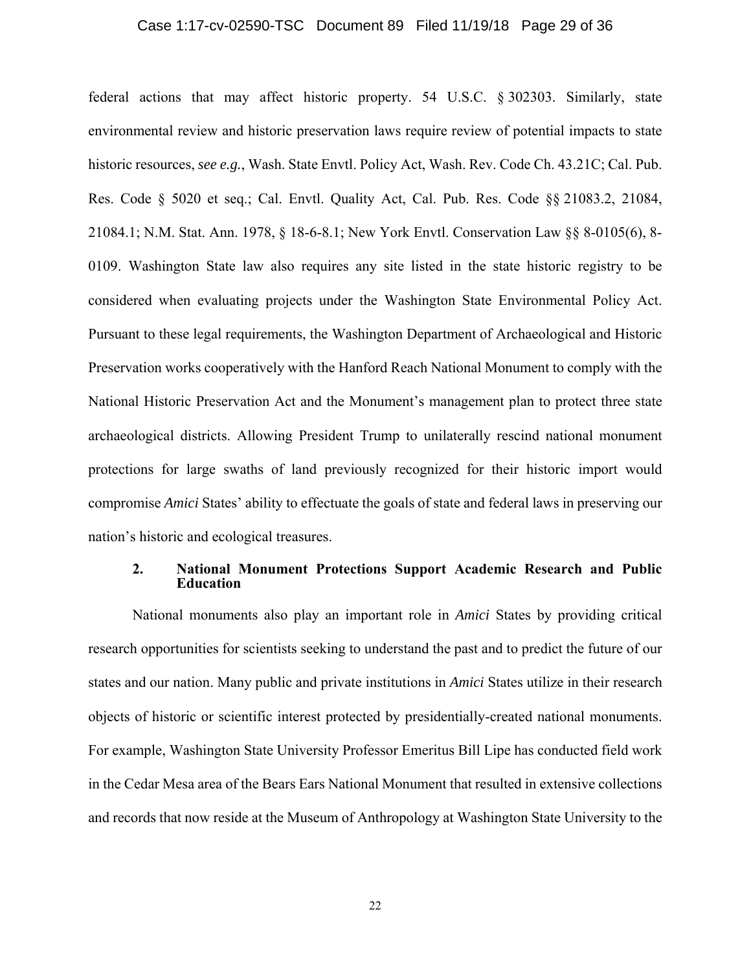### Case 1:17-cv-02590-TSC Document 89 Filed 11/19/18 Page 29 of 36

 0109. Washington State law also requires any site listed in the state historic registry to be compromise *Amici* States' ability to effectuate the goals of state and federal laws in preserving our federal actions that may affect historic property. 54 U.S.C. § 302303. Similarly, state environmental review and historic preservation laws require review of potential impacts to state historic resources, *see e.g.*, Wash. State Envtl. Policy Act, Wash. Rev. Code Ch. 43.21C; Cal. Pub. Res. Code § 5020 et seq.; Cal. Envtl. Quality Act, Cal. Pub. Res. Code §§ 21083.2, 21084, 21084.1; N.M. Stat. Ann. 1978, § 18-6-8.1; New York Envtl. Conservation Law §§ 8-0105(6), 8 considered when evaluating projects under the Washington State Environmental Policy Act. Pursuant to these legal requirements, the Washington Department of Archaeological and Historic Preservation works cooperatively with the Hanford Reach National Monument to comply with the National Historic Preservation Act and the Monument's management plan to protect three state archaeological districts. Allowing President Trump to unilaterally rescind national monument protections for large swaths of land previously recognized for their historic import would nation's historic and ecological treasures.

### **2. National Monument Protections Support Academic Research and Public Education**

 and records that now reside at the Museum of Anthropology at Washington State University to the National monuments also play an important role in *Amici* States by providing critical research opportunities for scientists seeking to understand the past and to predict the future of our states and our nation. Many public and private institutions in *Amici* States utilize in their research objects of historic or scientific interest protected by presidentially-created national monuments. For example, Washington State University Professor Emeritus Bill Lipe has conducted field work in the Cedar Mesa area of the Bears Ears National Monument that resulted in extensive collections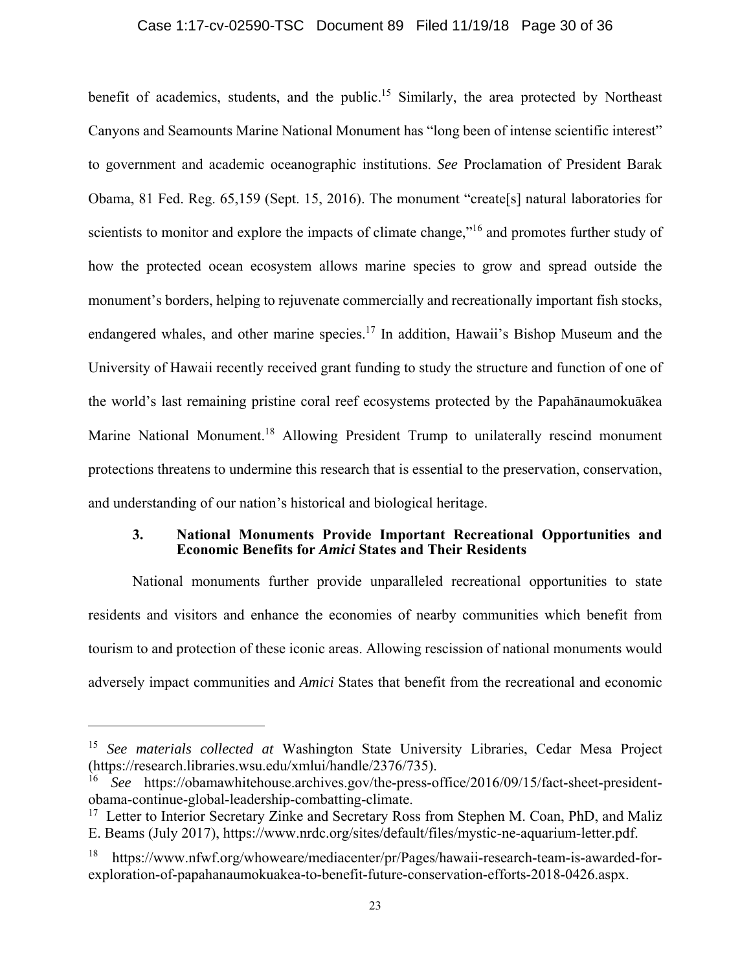### Case 1:17-cv-02590-TSC Document 89 Filed 11/19/18 Page 30 of 36

benefit of academics, students, and the public.<sup>15</sup> Similarly, the area protected by Northeast Canyons and Seamounts Marine National Monument has "long been of intense scientific interest" to government and academic oceanographic institutions. *See* Proclamation of President Barak Obama, 81 Fed. Reg. 65,159 (Sept. 15, 2016). The monument "create[s] natural laboratories for scientists to monitor and explore the impacts of climate change,"<sup>16</sup> and promotes further study of how the protected ocean ecosystem allows marine species to grow and spread outside the monument's borders, helping to rejuvenate commercially and recreationally important fish stocks, endangered whales, and other marine species.<sup>17</sup> In addition, Hawaii's Bishop Museum and the University of Hawaii recently received grant funding to study the structure and function of one of the world's last remaining pristine coral reef ecosystems protected by the Papahānaumokuākea Marine National [Monument.](https://Monument.18)<sup>18</sup> Allowing President Trump to unilaterally rescind monument protections threatens to undermine this research that is essential to the preservation, conservation, and understanding of our nation's historical and biological heritage.

### **3. National Monuments Provide Important Recreational Opportunities and Economic Benefits for** *Amici* **States and Their Residents**

National monuments further provide unparalleled recreational opportunities to state residents and visitors and enhance the economies of nearby communities which benefit from tourism to and protection of these iconic areas. Allowing rescission of national monuments would adversely impact communities and *Amici* States that benefit from the recreational and economic

<sup>15</sup> *See materials collected at* Washington State University Libraries, Cedar Mesa Project (<https://research.libraries.wsu.edu/xmlui/handle/2376/735>).

<sup>16</sup> *See* <https://obamawhitehouse.archives.gov/the-press-office/2016/09/15/fact-sheet-president>obama-continue-global-leadership-combatting-climate.

 $17$  Letter to Interior Secretary Zinke and Secretary Ross from Stephen M. Coan, PhD, and Maliz E. Beams (July 2017), [https://www.nrdc.org/sites/default/files/mystic-ne-aquarium-letter.pdf.](https://www.nrdc.org/sites/default/files/mystic-ne-aquarium-letter.pdf)

<sup>18</sup> <https://www.nfwf.org/whoweare/mediacenter/pr/Pages/hawaii-research-team-is-awarded-for>exploration-of-papahanaumokuakea-to-benefit-future-conservation-efforts-2018-0426.aspx.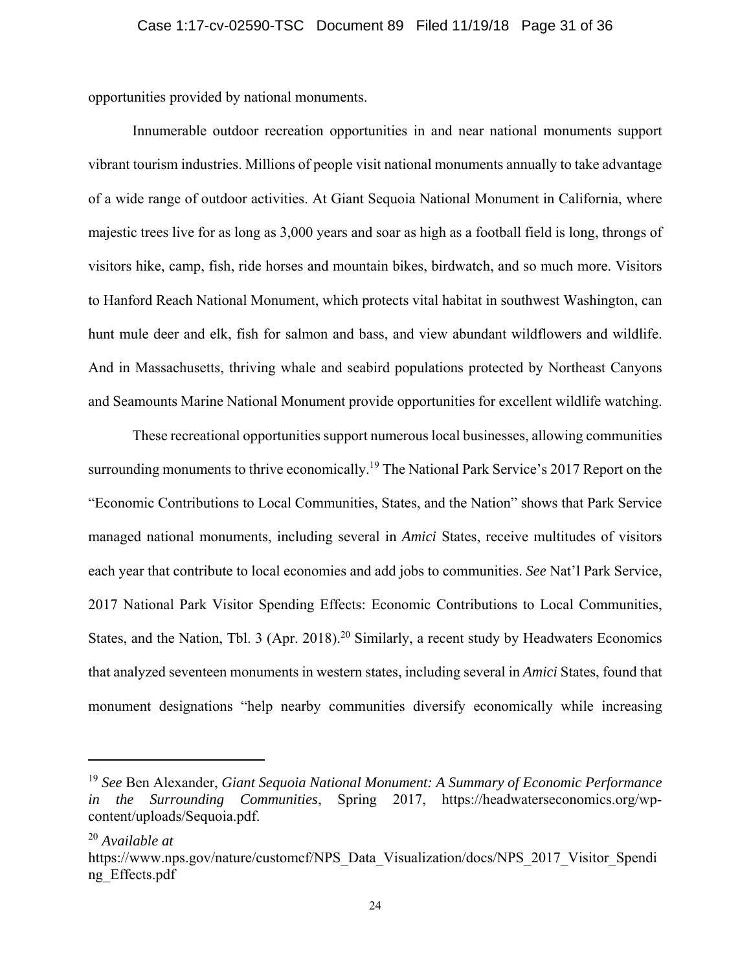opportunities provided by national monuments.

Innumerable outdoor recreation opportunities in and near national monuments support vibrant tourism industries. Millions of people visit national monuments annually to take advantage of a wide range of outdoor activities. At Giant Sequoia National Monument in California, where majestic trees live for as long as 3,000 years and soar as high as a football field is long, throngs of visitors hike, camp, fish, ride horses and mountain bikes, birdwatch, and so much more. Visitors to Hanford Reach National Monument, which protects vital habitat in southwest Washington, can hunt mule deer and elk, fish for salmon and bass, and view abundant wildflowers and wildlife. And in Massachusetts, thriving whale and seabird populations protected by Northeast Canyons and Seamounts Marine National Monument provide opportunities for excellent wildlife watching.

These recreational opportunities support numerous local businesses, allowing communities surrounding monuments to thrive economically.<sup>19</sup> The National Park Service's 2017 Report on the "Economic Contributions to Local Communities, States, and the Nation" shows that Park Service managed national monuments, including several in *Amici* States, receive multitudes of visitors each year that contribute to local economies and add jobs to communities. *See* Nat'l Park Service, 2017 National Park Visitor Spending Effects: Economic Contributions to Local Communities, States, and the Nation, Tbl. 3 (Apr. 2018).<sup>20</sup> Similarly, a recent study by Headwaters Economics that analyzed seventeen monuments in western states, including several in *Amici* States, found that monument designations "help nearby communities diversify economically while increasing

<sup>19</sup> *See* Ben Alexander, *Giant Sequoia National Monument: A Summary of Economic Performance in the Surrounding Communities*, Spring 2017, <https://headwaterseconomics.org/wp>content/uploads/Sequoia.pdf.

<sup>20</sup> *Available at* 

[https://www.nps.gov/nature/customcf/NPS\\_Data\\_Visualization/docs/NPS\\_2017\\_Visitor\\_Spendi](https://www.nps.gov/nature/customcf/NPS_Data_Visualization/docs/NPS_2017_Visitor_Spendi) ng\_Effects.pdf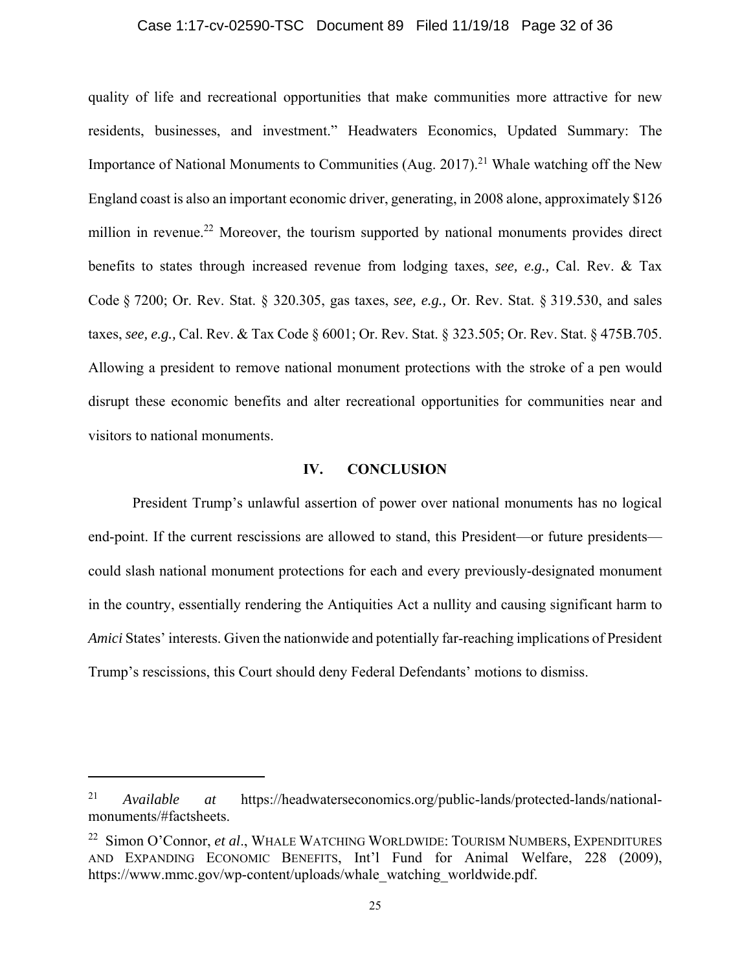### Case 1:17-cv-02590-TSC Document 89 Filed 11/19/18 Page 32 of 36

quality of life and recreational opportunities that make communities more attractive for new residents, businesses, and investment." Headwaters Economics, Updated Summary: The Importance of National Monuments to Communities (Aug. [2017\).](https://2017).21)<sup>21</sup> Whale watching off the New England coast is also an important economic driver, generating, in 2008 alone, approximately \$126 million in revenue.<sup>22</sup> Moreover, the tourism supported by national monuments provides direct benefits to states through increased revenue from lodging taxes, *see, e.g.,* Cal. Rev. & Tax Code § 7200; Or. Rev. Stat. § 320.305, gas taxes, *see, e.g.,* Or. Rev. Stat. § 319.530, and sales taxes, *see, e.g.,* Cal. Rev. & Tax Code § 6001; Or. Rev. Stat. § 323.505; Or. Rev. Stat. § 475B.705. Allowing a president to remove national monument protections with the stroke of a pen would disrupt these economic benefits and alter recreational opportunities for communities near and visitors to national monuments.

### **IV. CONCLUSION**

President Trump's unlawful assertion of power over national monuments has no logical end-point. If the current rescissions are allowed to stand, this President—or future presidents could slash national monument protections for each and every previously-designated monument in the country, essentially rendering the Antiquities Act a nullity and causing significant harm to *Amici* States' interests. Given the nationwide and potentially far-reaching implications of President Trump's rescissions, this Court should deny Federal Defendants' motions to dismiss.

<sup>21</sup> *Available at* <https://headwaterseconomics.org/public-lands/protected-lands/national>monuments/#factsheets.

<sup>22</sup> Simon O'Connor, *et al*., WHALE WATCHING WORLDWIDE: TOURISM NUMBERS, EXPENDITURES AND EXPANDING ECONOMIC BENEFITS, Int'l Fund for Animal Welfare, 228 (2009), [https://www.mmc.gov/wp-content/uploads/whale\\_watching\\_worldwide.pdf](https://www.mmc.gov/wp-content/uploads/whale_watching_worldwide.pdf).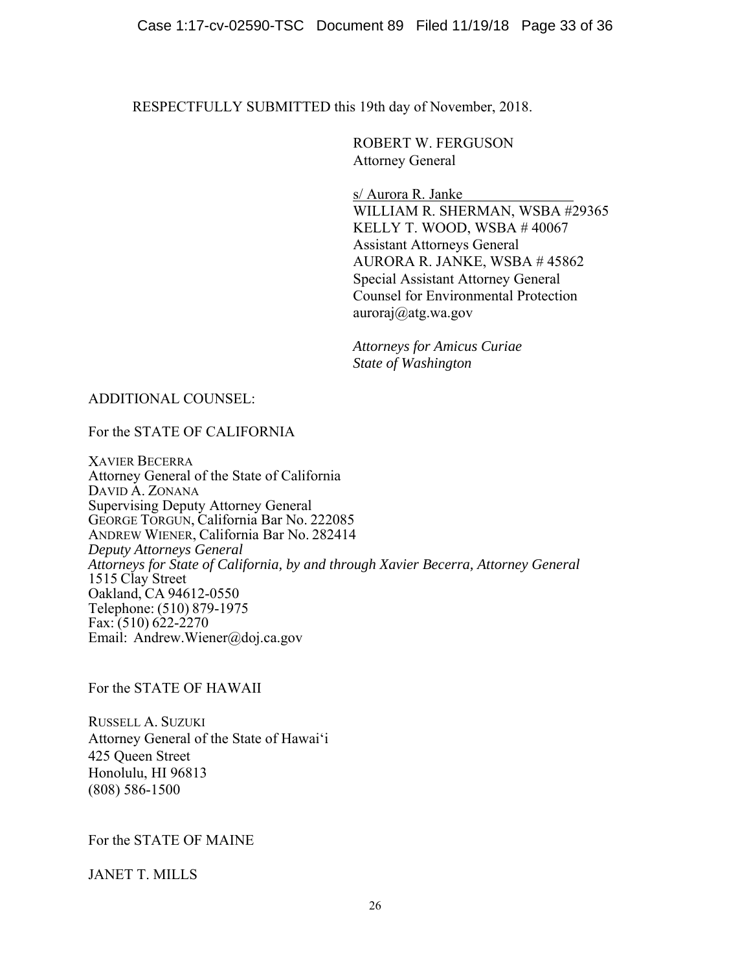RESPECTFULLY SUBMITTED this 19th day of November, 2018.

ROBERT W. FERGUSON Attorney General

s/ Aurora R. Janke WILLIAM R. SHERMAN, WSBA #29365 KELLY T. WOOD, WSBA # 40067 Assistant Attorneys General AURORA R. JANKE, WSBA # 45862 Special Assistant Attorney General Counsel for Environmental Protection [auroraj@atg.wa.gov](mailto:auroraj@atg.wa.gov) 

*Attorneys for Amicus Curiae State of Washington* 

## ADDITIONAL COUNSEL:

For the STATE OF CALIFORNIA

XAVIER BECERRA Attorney General of the State of California DAVID A. ZONANA Supervising Deputy Attorney General GEORGE TORGUN, California Bar No. 222085 ANDREW WIENER, California Bar No. 282414 *Deputy Attorneys General Attorneys for State of California, by and through Xavier Becerra, Attorney General*  1515 Clay Street Oakland, CA 94612-0550 Telephone: (510) 879-1975 Fax:  $(510)$  622-2270 Email: [Andrew.Wiener@doj.ca.gov](mailto:Andrew.Wiener@doj.ca.gov) 

For the STATE OF HAWAII

RUSSELL A. SUZUKI Attorney General of the State of Hawaiʻi 425 Queen Street Honolulu, HI 96813 (808) 586-1500

For the STATE OF MAINE

JANET T. MILLS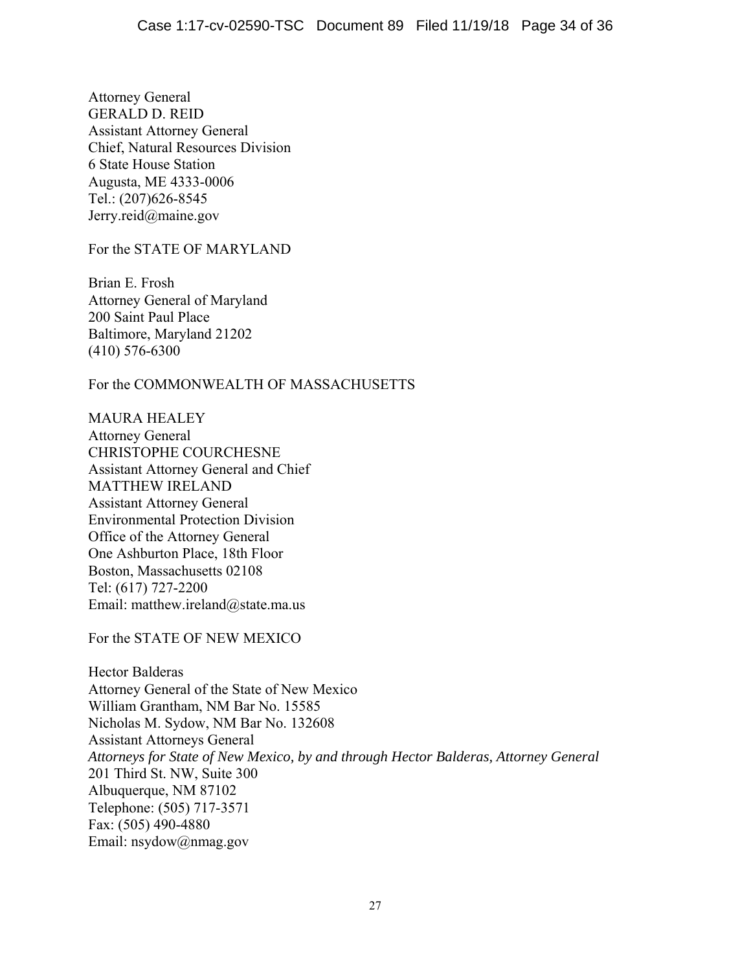Attorney General GERALD D. REID Assistant Attorney General Chief, Natural Resources Division 6 State House Station Augusta, ME 4333-0006 Tel.: (207)626-8545 [Jerry.reid@maine.gov](mailto:Jerry.reid@maine.gov)

For the STATE OF MARYLAND

Brian E. Frosh Attorney General of Maryland 200 Saint Paul Place Baltimore, Maryland 21202 (410) 576-6300

For the COMMONWEALTH OF MASSACHUSETTS

MAURA HEALEY Attorney General CHRISTOPHE COURCHESNE Assistant Attorney General and Chief MATTHEW IRELAND Assistant Attorney General Environmental Protection Division Office of the Attorney General One Ashburton Place, 18th Floor Boston, Massachusetts 02108 Tel: (617) 727-2200 Email: [matthew.ireland@state.ma.us](mailto:matthew.ireland@state.ma.us)

For the STATE OF NEW MEXICO

Hector Balderas Attorney General of the State of New Mexico William Grantham, NM Bar No. 15585 Nicholas M. Sydow, NM Bar No. 132608 Assistant Attorneys General *Attorneys for State of New Mexico, by and through Hector Balderas, Attorney General*  201 Third St. NW, Suite 300 Albuquerque, NM 87102 Telephone: (505) 717-3571 Fax: (505) 490-4880 Email: [nsydow@nmag.gov](mailto:nsydow@nmag.gov)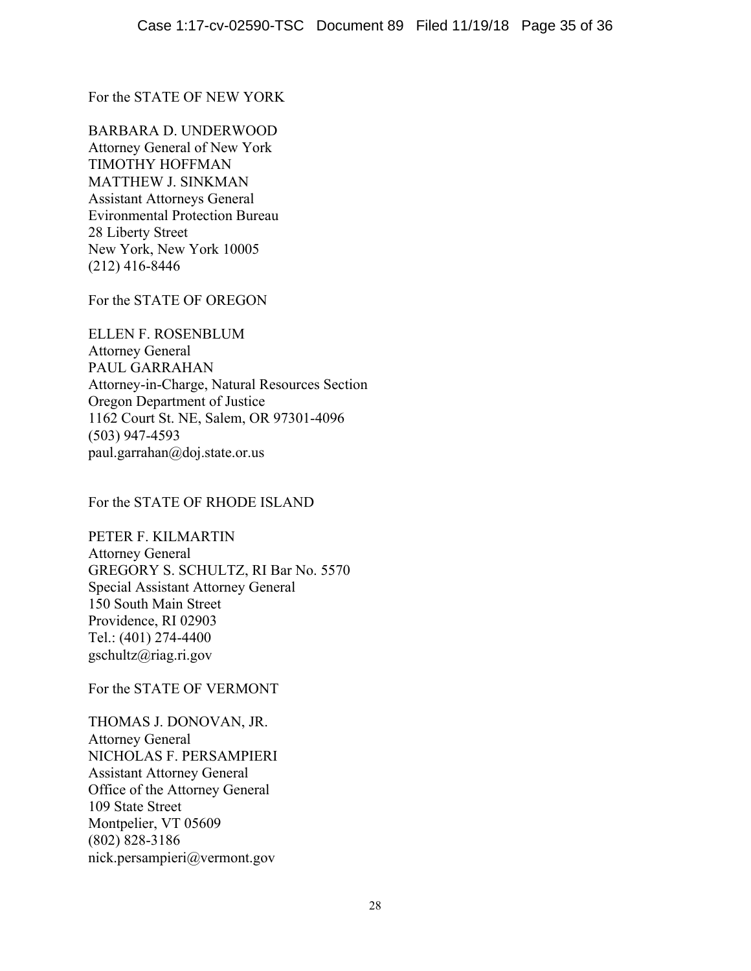For the STATE OF NEW YORK

BARBARA D. UNDERWOOD Attorney General of New York TIMOTHY HOFFMAN MATTHEW J. SINKMAN Assistant Attorneys General Evironmental Protection Bureau 28 Liberty Street New York, New York 10005 (212) 416-8446

For the STATE OF OREGON

ELLEN F. ROSENBLUM Attorney General PAUL GARRAHAN Attorney-in-Charge, Natural Resources Section Oregon Department of Justice 1162 Court St. NE, Salem, OR 97301-4096 (503) 947-4593 [paul.garrahan@doj.state.or.us](mailto:paul.garrahan@doj.state.or.us) 

For the STATE OF RHODE ISLAND

PETER F. KILMARTIN Attorney General GREGORY S. SCHULTZ, RI Bar No. 5570 Special Assistant Attorney General 150 South Main Street Providence, RI 02903 Tel.: (401) 274-4400 [gschultz@riag.ri.gov](mailto:gschultz@riag.ri.gov)

For the STATE OF VERMONT

THOMAS J. DONOVAN, JR. Attorney General NICHOLAS F. PERSAMPIERI Assistant Attorney General Office of the Attorney General 109 State Street Montpelier, VT 05609 (802) 828-3186 [nick.persampieri@vermont.gov](mailto:nick.persampieri@vermont.gov)